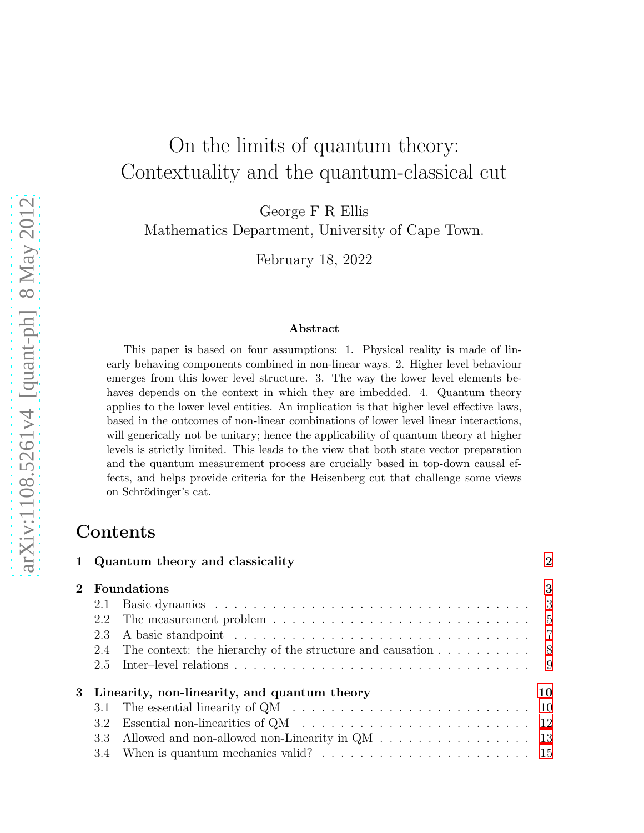# On the limits of quantum theory: Contextuality and the quantum-classical cut

George F R Ellis

Mathematics Department, University of Cape Town.

February 18, 2022

#### Abstract

This paper is based on four assumptions: 1. Physical reality is made of linearly behaving components combined in non-linear ways. 2. Higher level behaviour emerges from this lower level structure. 3. The way the lower level elements behaves depends on the context in which they are imbedded. 4. Quantum theory applies to the lower level entities. An implication is that higher level effective laws, based in the outcomes of non-linear combinations of lower level linear interactions, will generically not be unitary; hence the applicability of quantum theory at higher levels is strictly limited. This leads to the view that both state vector preparation and the quantum measurement process are crucially based in top-down causal effects, and helps provide criteria for the Heisenberg cut that challenge some views on Schrödinger's cat.

## Contents

|             |     | 1 Quantum theory and classicality                                                        | $\bf{2}$ |
|-------------|-----|------------------------------------------------------------------------------------------|----------|
| $2^{\circ}$ |     | <b>Foundations</b>                                                                       | 3        |
|             | 2.1 |                                                                                          |          |
|             | 2.2 | The measurement problem $\ldots \ldots \ldots \ldots \ldots \ldots \ldots \ldots \ldots$ |          |
|             | 2.3 |                                                                                          |          |
|             | 2.4 | The context: the hierarchy of the structure and causation $\dots \dots \dots$            |          |
|             | 2.5 |                                                                                          |          |
|             |     | 3 Linearity, non-linearity, and quantum theory                                           | 10       |
|             |     |                                                                                          |          |
|             | 3.2 |                                                                                          |          |
|             | 3.3 | Allowed and non-allowed non-Linearity in QM 13                                           |          |
|             |     |                                                                                          |          |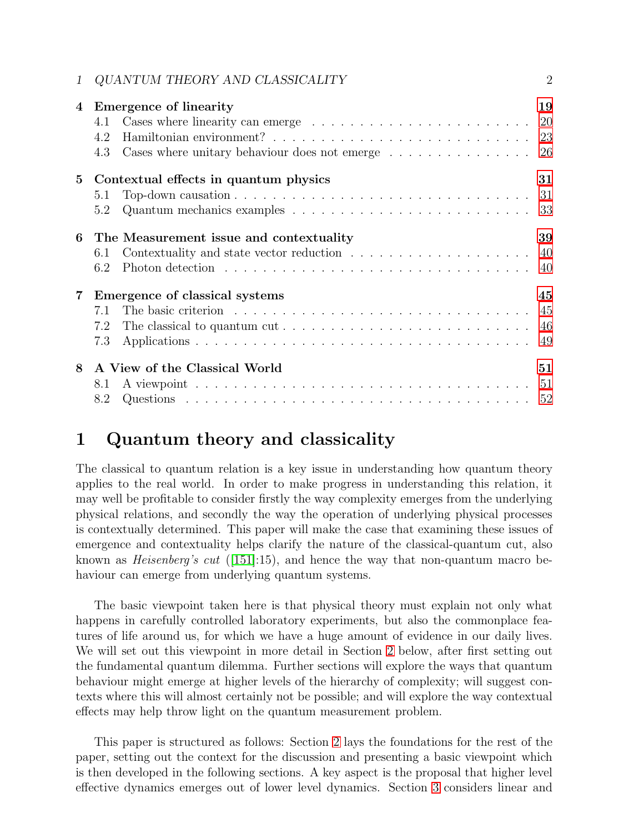## 1 QUANTUM THEORY AND CLASSICALITY 2

| $\overline{4}$ | <b>Emergence of linearity</b>                                                                            | 19  |
|----------------|----------------------------------------------------------------------------------------------------------|-----|
|                | 4.1                                                                                                      |     |
|                | 4.2                                                                                                      |     |
|                | Cases where unitary behaviour does not emerge<br>4.3                                                     | 26  |
| 5              | Contextual effects in quantum physics                                                                    | 31  |
|                | 5.1                                                                                                      | -31 |
|                | Quantum mechanics examples $\dots \dots \dots \dots \dots \dots \dots \dots \dots \dots$<br>5.2          | 33  |
| 6              | The Measurement issue and contextuality                                                                  | 39  |
|                | Contextuality and state vector reduction $\ldots \ldots \ldots \ldots \ldots \ldots$<br>6.1              | 40  |
|                | 6.2                                                                                                      | 40  |
| $7\phantom{.}$ | Emergence of classical systems                                                                           | 45  |
|                | 7.1                                                                                                      | 45  |
|                | 7.2                                                                                                      | 46  |
|                | 7.3                                                                                                      | 49  |
| 8              | A View of the Classical World                                                                            | 51  |
|                | A viewpoint $\ldots \ldots \ldots \ldots \ldots \ldots \ldots \ldots \ldots \ldots \ldots \ldots$<br>8.1 |     |
|                | 8.2                                                                                                      | 52  |

## <span id="page-1-0"></span>1 Quantum theory and classicality

The classical to quantum relation is a key issue in understanding how quantum theory applies to the real world. In order to make progress in understanding this relation, it may well be profitable to consider firstly the way complexity emerges from the underlying physical relations, and secondly the way the operation of underlying physical processes is contextually determined. This paper will make the case that examining these issues of emergence and contextuality helps clarify the nature of the classical-quantum cut, also known as *Heisenberg's cut* ([\[151\]](#page-63-0):15), and hence the way that non-quantum macro behaviour can emerge from underlying quantum systems.

The basic viewpoint taken here is that physical theory must explain not only what happens in carefully controlled laboratory experiments, but also the commonplace features of life around us, for which we have a huge amount of evidence in our daily lives. We will set out this viewpoint in more detail in Section [2](#page-2-0) below, after first setting out the fundamental quantum dilemma. Further sections will explore the ways that quantum behaviour might emerge at higher levels of the hierarchy of complexity; will suggest contexts where this will almost certainly not be possible; and will explore the way contextual effects may help throw light on the quantum measurement problem.

This paper is structured as follows: Section [2](#page-2-0) lays the foundations for the rest of the paper, setting out the context for the discussion and presenting a basic viewpoint which is then developed in the following sections. A key aspect is the proposal that higher level effective dynamics emerges out of lower level dynamics. Section [3](#page-9-0) considers linear and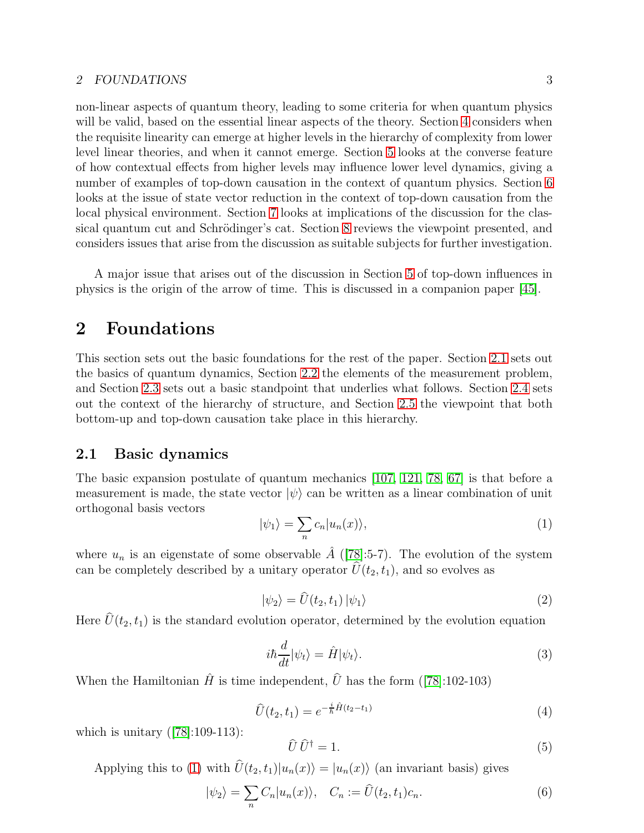non-linear aspects of quantum theory, leading to some criteria for when quantum physics will be valid, based on the essential linear aspects of the theory. Section [4](#page-18-0) considers when the requisite linearity can emerge at higher levels in the hierarchy of complexity from lower level linear theories, and when it cannot emerge. Section [5](#page-30-0) looks at the converse feature of how contextual effects from higher levels may influence lower level dynamics, giving a number of examples of top-down causation in the context of quantum physics. Section [6](#page-38-0) looks at the issue of state vector reduction in the context of top-down causation from the local physical environment. Section [7](#page-44-0) looks at implications of the discussion for the clas-sical quantum cut and Schrödinger's cat. Section [8](#page-50-0) reviews the viewpoint presented, and considers issues that arise from the discussion as suitable subjects for further investigation.

A major issue that arises out of the discussion in Section [5](#page-30-0) of top-down influences in physics is the origin of the arrow of time. This is discussed in a companion paper [\[45\]](#page-57-0).

## <span id="page-2-0"></span>2 Foundations

This section sets out the basic foundations for the rest of the paper. Section [2.1](#page-2-1) sets out the basics of quantum dynamics, Section [2.2](#page-4-0) the elements of the measurement problem, and Section [2.3](#page-6-0) sets out a basic standpoint that underlies what follows. Section [2.4](#page-7-0) sets out the context of the hierarchy of structure, and Section [2.5](#page-8-0) the viewpoint that both bottom-up and top-down causation take place in this hierarchy.

### <span id="page-2-1"></span>2.1 Basic dynamics

The basic expansion postulate of quantum mechanics [\[107,](#page-61-0) [121,](#page-62-0) [78,](#page-59-0) [67\]](#page-58-0) is that before a measurement is made, the state vector  $|\psi\rangle$  can be written as a linear combination of unit orthogonal basis vectors

<span id="page-2-2"></span>
$$
|\psi_1\rangle = \sum_n c_n |u_n(x)\rangle, \tag{1}
$$

where  $u_n$  is an eigenstate of some observable  $\hat{A}$  ([\[78\]](#page-59-0):5-7). The evolution of the system can be completely described by a unitary operator  $U(t_2, t_1)$ , and so evolves as

<span id="page-2-5"></span>
$$
|\psi_2\rangle = \hat{U}(t_2, t_1) |\psi_1\rangle \tag{2}
$$

Here  $\hat{U}(t_2, t_1)$  is the standard evolution operator, determined by the evolution equation

<span id="page-2-4"></span>
$$
i\hbar \frac{d}{dt}|\psi_t\rangle = \hat{H}|\psi_t\rangle.
$$
\n(3)

When the Hamiltonian  $\hat{H}$  is time independent,  $\hat{U}$  has the form ([\[78\]](#page-59-0):102-103)

<span id="page-2-7"></span>
$$
\widehat{U}(t_2, t_1) = e^{-\frac{i}{\hbar}\widehat{H}(t_2 - t_1)}
$$
\n(4)

which is unitary ([\[78\]](#page-59-0):109-113):

<span id="page-2-6"></span>
$$
\hat{U}\,\hat{U}^{\dagger} = 1.\tag{5}
$$

Applying this to [\(1\)](#page-2-2) with  $\hat{U}(t_2, t_1)|u_n(x)\rangle = |u_n(x)\rangle$  (an invariant basis) gives

<span id="page-2-3"></span>
$$
|\psi_2\rangle = \sum_n C_n |u_n(x)\rangle, \quad C_n := \widehat{U}(t_2, t_1)c_n.
$$
 (6)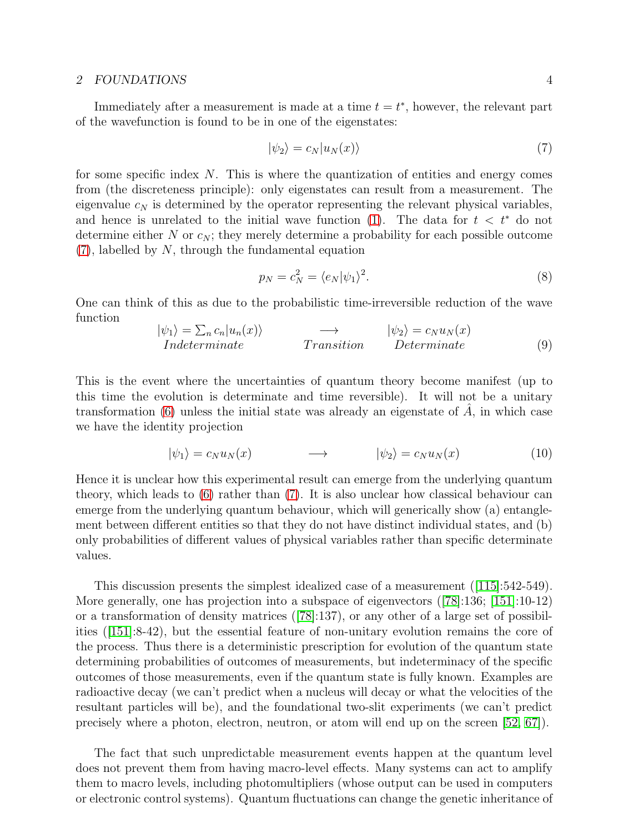Immediately after a measurement is made at a time  $t = t^*$ , however, the relevant part of the wavefunction is found to be in one of the eigenstates:

<span id="page-3-0"></span>
$$
|\psi_2\rangle = c_N |u_N(x)\rangle \tag{7}
$$

for some specific index  $N$ . This is where the quantization of entities and energy comes from (the discreteness principle): only eigenstates can result from a measurement. The eigenvalue  $c_N$  is determined by the operator representing the relevant physical variables, and hence is unrelated to the initial wave function [\(1\)](#page-2-2). The data for  $t < t^*$  do not determine either N or  $c_N$ ; they merely determine a probability for each possible outcome  $(7)$ , labelled by N, through the fundamental equation

<span id="page-3-2"></span>
$$
p_N = c_N^2 = \langle e_N | \psi_1 \rangle^2. \tag{8}
$$

One can think of this as due to the probabilistic time-irreversible reduction of the wave function

<span id="page-3-1"></span>
$$
|\psi_1\rangle = \sum_n c_n |u_n(x)\rangle \longrightarrow |\psi_2\rangle = c_N u_N(x)
$$
  
Indeterminate  
Transition Determine (9)

This is the event where the uncertainties of quantum theory become manifest (up to this time the evolution is determinate and time reversible). It will not be a unitary transformation  $(6)$  unless the initial state was already an eigenstate of A, in which case we have the identity projection

$$
|\psi_1\rangle = c_N u_N(x) \qquad \longrightarrow \qquad |\psi_2\rangle = c_N u_N(x) \tag{10}
$$

Hence it is unclear how this experimental result can emerge from the underlying quantum theory, which leads to [\(6\)](#page-2-3) rather than [\(7\)](#page-3-0). It is also unclear how classical behaviour can emerge from the underlying quantum behaviour, which will generically show (a) entanglement between different entities so that they do not have distinct individual states, and (b) only probabilities of different values of physical variables rather than specific determinate values.

This discussion presents the simplest idealized case of a measurement ([\[115\]](#page-61-1):542-549). More generally, one has projection into a subspace of eigenvectors ([\[78\]](#page-59-0):136; [\[151\]](#page-63-0):10-12) or a transformation of density matrices  $(78|137)$ , or any other of a large set of possibilities ([\[151\]](#page-63-0):8-42), but the essential feature of non-unitary evolution remains the core of the process. Thus there is a deterministic prescription for evolution of the quantum state determining probabilities of outcomes of measurements, but indeterminacy of the specific outcomes of those measurements, even if the quantum state is fully known. Examples are radioactive decay (we can't predict when a nucleus will decay or what the velocities of the resultant particles will be), and the foundational two-slit experiments (we can't predict precisely where a photon, electron, neutron, or atom will end up on the screen [\[52,](#page-58-1) [67\]](#page-58-0)).

The fact that such unpredictable measurement events happen at the quantum level does not prevent them from having macro-level effects. Many systems can act to amplify them to macro levels, including photomultipliers (whose output can be used in computers or electronic control systems). Quantum fluctuations can change the genetic inheritance of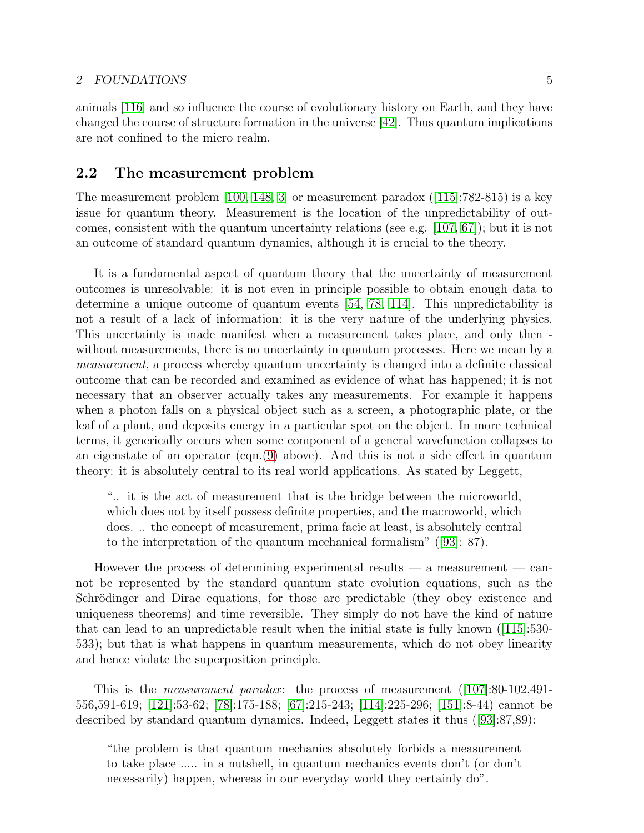animals [\[116\]](#page-61-2) and so influence the course of evolutionary history on Earth, and they have changed the course of structure formation in the universe [\[42\]](#page-57-1). Thus quantum implications are not confined to the micro realm.

## <span id="page-4-0"></span>2.2 The measurement problem

The measurement problem  $[100, 148, 3]$  $[100, 148, 3]$  $[100, 148, 3]$  or measurement paradox  $([115]:782-815)$  $([115]:782-815)$  $([115]:782-815)$  is a key issue for quantum theory. Measurement is the location of the unpredictability of outcomes, consistent with the quantum uncertainty relations (see e.g. [\[107,](#page-61-0) [67\]](#page-58-0)); but it is not an outcome of standard quantum dynamics, although it is crucial to the theory.

It is a fundamental aspect of quantum theory that the uncertainty of measurement outcomes is unresolvable: it is not even in principle possible to obtain enough data to determine a unique outcome of quantum events [\[54,](#page-58-2) [78,](#page-59-0) [114\]](#page-61-3). This unpredictability is not a result of a lack of information: it is the very nature of the underlying physics. This uncertainty is made manifest when a measurement takes place, and only then without measurements, there is no uncertainty in quantum processes. Here we mean by a measurement, a process whereby quantum uncertainty is changed into a definite classical outcome that can be recorded and examined as evidence of what has happened; it is not necessary that an observer actually takes any measurements. For example it happens when a photon falls on a physical object such as a screen, a photographic plate, or the leaf of a plant, and deposits energy in a particular spot on the object. In more technical terms, it generically occurs when some component of a general wavefunction collapses to an eigenstate of an operator (eqn.[\(9\)](#page-3-1) above). And this is not a side effect in quantum theory: it is absolutely central to its real world applications. As stated by Leggett,

".. it is the act of measurement that is the bridge between the microworld, which does not by itself possess definite properties, and the macroworld, which does. .. the concept of measurement, prima facie at least, is absolutely central to the interpretation of the quantum mechanical formalism" ([\[93\]](#page-60-1): 87).

However the process of determining experimental results — a measurement — cannot be represented by the standard quantum state evolution equations, such as the Schrödinger and Dirac equations, for those are predictable (they obey existence and uniqueness theorems) and time reversible. They simply do not have the kind of nature that can lead to an unpredictable result when the initial state is fully known ([\[115\]](#page-61-1):530- 533); but that is what happens in quantum measurements, which do not obey linearity and hence violate the superposition principle.

This is the *measurement paradox*: the process of measurement  $(107]:80-102,491-$ 556,591-619; [\[121\]](#page-62-0):53-62; [\[78\]](#page-59-0):175-188; [\[67\]](#page-58-0):215-243; [\[114\]](#page-61-3):225-296; [\[151\]](#page-63-0):8-44) cannot be described by standard quantum dynamics. Indeed, Leggett states it thus ([\[93\]](#page-60-1):87,89):

"the problem is that quantum mechanics absolutely forbids a measurement to take place ..... in a nutshell, in quantum mechanics events don't (or don't necessarily) happen, whereas in our everyday world they certainly do".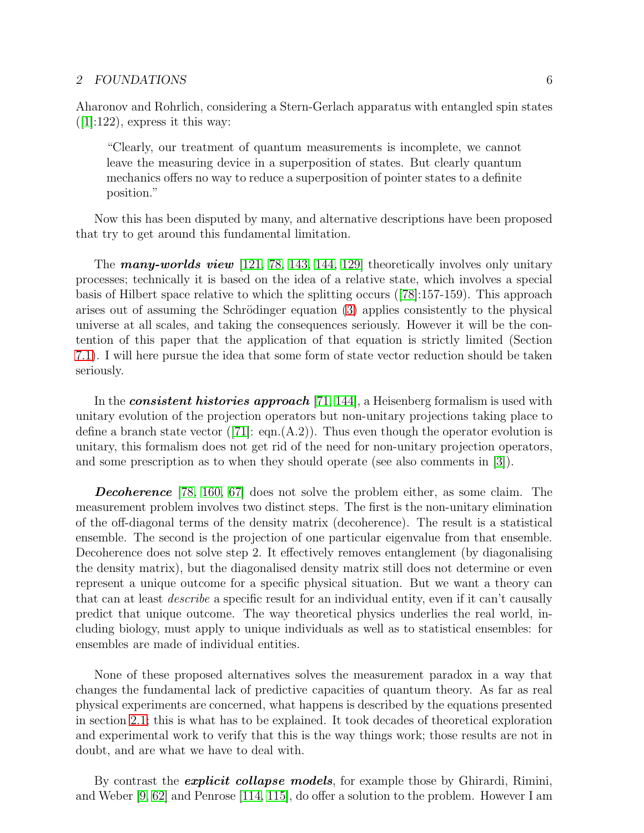Aharonov and Rohrlich, considering a Stern-Gerlach apparatus with entangled spin states  $([1]:122)$  $([1]:122)$  $([1]:122)$ , express it this way:

"Clearly, our treatment of quantum measurements is incomplete, we cannot leave the measuring device in a superposition of states. But clearly quantum mechanics offers no way to reduce a superposition of pointer states to a definite position."

Now this has been disputed by many, and alternative descriptions have been proposed that try to get around this fundamental limitation.

The **many-worlds view** [\[121,](#page-62-0) [78,](#page-59-0) [143,](#page-63-2) [144,](#page-63-3) [129\]](#page-62-1) theoretically involves only unitary processes; technically it is based on the idea of a relative state, which involves a special basis of Hilbert space relative to which the splitting occurs ([\[78\]](#page-59-0):157-159). This approach arises out of assuming the Schrödinger equation [\(3\)](#page-2-4) applies consistently to the physical universe at all scales, and taking the consequences seriously. However it will be the contention of this paper that the application of that equation is strictly limited (Section [7.1\)](#page-44-1). I will here pursue the idea that some form of state vector reduction should be taken seriously.

In the **consistent histories approach** [\[71,](#page-59-1) [144\]](#page-63-3), a Heisenberg formalism is used with unitary evolution of the projection operators but non-unitary projections taking place to define a branch state vector ([\[71\]](#page-59-1): eqn.(A.2)). Thus even though the operator evolution is unitary, this formalism does not get rid of the need for non-unitary projection operators, and some prescription as to when they should operate (see also comments in [\[3\]](#page-55-0)).

**Decoherence** [\[78,](#page-59-0) [160,](#page-64-0) [67\]](#page-58-0) does not solve the problem either, as some claim. The measurement problem involves two distinct steps. The first is the non-unitary elimination of the off-diagonal terms of the density matrix (decoherence). The result is a statistical ensemble. The second is the projection of one particular eigenvalue from that ensemble. Decoherence does not solve step 2. It effectively removes entanglement (by diagonalising the density matrix), but the diagonalised density matrix still does not determine or even represent a unique outcome for a specific physical situation. But we want a theory can that can at least describe a specific result for an individual entity, even if it can't causally predict that unique outcome. The way theoretical physics underlies the real world, including biology, must apply to unique individuals as well as to statistical ensembles: for ensembles are made of individual entities.

None of these proposed alternatives solves the measurement paradox in a way that changes the fundamental lack of predictive capacities of quantum theory. As far as real physical experiments are concerned, what happens is described by the equations presented in section [2.1;](#page-2-1) this is what has to be explained. It took decades of theoretical exploration and experimental work to verify that this is the way things work; those results are not in doubt, and are what we have to deal with.

By contrast the *explicit collapse models*, for example those by Ghirardi, Rimini, and Weber [\[9,](#page-55-2) [62\]](#page-58-3) and Penrose [\[114,](#page-61-3) [115\]](#page-61-1), do offer a solution to the problem. However I am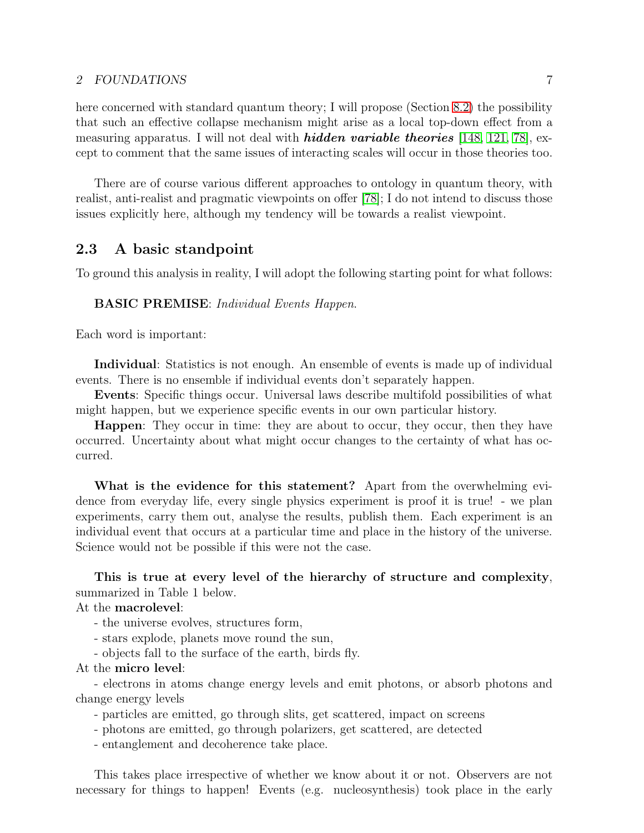here concerned with standard quantum theory; I will propose (Section [8.2\)](#page-51-0) the possibility that such an effective collapse mechanism might arise as a local top-down effect from a measuring apparatus. I will not deal with **hidden variable theories** [\[148,](#page-63-1) [121,](#page-62-0) [78\]](#page-59-0), except to comment that the same issues of interacting scales will occur in those theories too.

There are of course various different approaches to ontology in quantum theory, with realist, anti-realist and pragmatic viewpoints on offer [\[78\]](#page-59-0); I do not intend to discuss those issues explicitly here, although my tendency will be towards a realist viewpoint.

## <span id="page-6-0"></span>2.3 A basic standpoint

To ground this analysis in reality, I will adopt the following starting point for what follows:

BASIC PREMISE: Individual Events Happen.

Each word is important:

Individual: Statistics is not enough. An ensemble of events is made up of individual events. There is no ensemble if individual events don't separately happen.

Events: Specific things occur. Universal laws describe multifold possibilities of what might happen, but we experience specific events in our own particular history.

Happen: They occur in time: they are about to occur, they occur, then they have occurred. Uncertainty about what might occur changes to the certainty of what has occurred.

What is the evidence for this statement? Apart from the overwhelming evidence from everyday life, every single physics experiment is proof it is true! - we plan experiments, carry them out, analyse the results, publish them. Each experiment is an individual event that occurs at a particular time and place in the history of the universe. Science would not be possible if this were not the case.

## This is true at every level of the hierarchy of structure and complexity, summarized in Table 1 below.

### At the macrolevel:

- the universe evolves, structures form,

- stars explode, planets move round the sun,
- objects fall to the surface of the earth, birds fly.

#### At the micro level:

- electrons in atoms change energy levels and emit photons, or absorb photons and change energy levels

- particles are emitted, go through slits, get scattered, impact on screens

- photons are emitted, go through polarizers, get scattered, are detected

- entanglement and decoherence take place.

This takes place irrespective of whether we know about it or not. Observers are not necessary for things to happen! Events (e.g. nucleosynthesis) took place in the early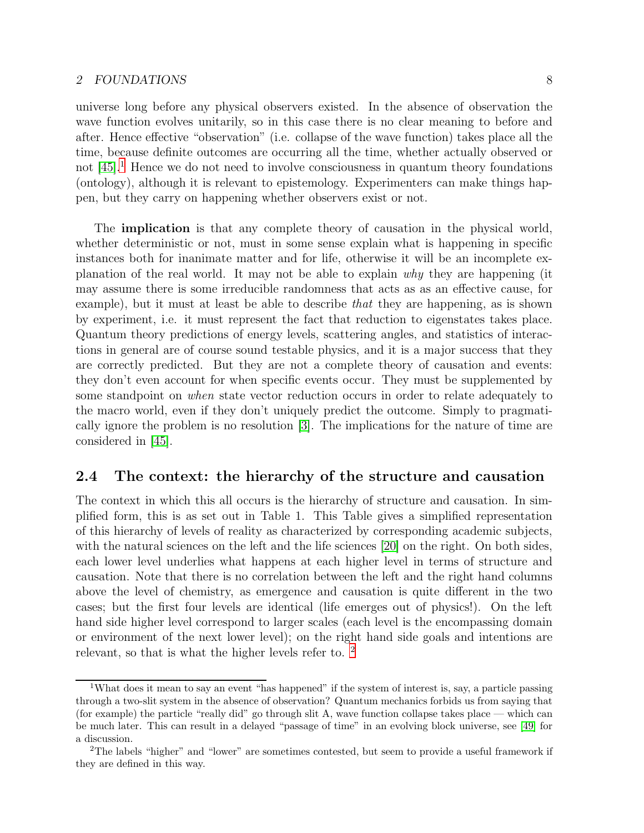universe long before any physical observers existed. In the absence of observation the wave function evolves unitarily, so in this case there is no clear meaning to before and after. Hence effective "observation" (i.e. collapse of the wave function) takes place all the time, because definite outcomes are occurring all the time, whether actually observed or not  $[45]$ <sup>[1](#page-7-1)</sup>. Hence we do not need to involve consciousness in quantum theory foundations (ontology), although it is relevant to epistemology. Experimenters can make things happen, but they carry on happening whether observers exist or not.

The implication is that any complete theory of causation in the physical world, whether deterministic or not, must in some sense explain what is happening in specific instances both for inanimate matter and for life, otherwise it will be an incomplete explanation of the real world. It may not be able to explain why they are happening (it may assume there is some irreducible randomness that acts as as an effective cause, for example), but it must at least be able to describe that they are happening, as is shown by experiment, i.e. it must represent the fact that reduction to eigenstates takes place. Quantum theory predictions of energy levels, scattering angles, and statistics of interactions in general are of course sound testable physics, and it is a major success that they are correctly predicted. But they are not a complete theory of causation and events: they don't even account for when specific events occur. They must be supplemented by some standpoint on *when* state vector reduction occurs in order to relate adequately to the macro world, even if they don't uniquely predict the outcome. Simply to pragmatically ignore the problem is no resolution [\[3\]](#page-55-0). The implications for the nature of time are considered in [\[45\]](#page-57-0).

## <span id="page-7-0"></span>2.4 The context: the hierarchy of the structure and causation

The context in which this all occurs is the hierarchy of structure and causation. In simplified form, this is as set out in Table 1. This Table gives a simplified representation of this hierarchy of levels of reality as characterized by corresponding academic subjects, with the natural sciences on the left and the life sciences [\[20\]](#page-56-0) on the right. On both sides, each lower level underlies what happens at each higher level in terms of structure and causation. Note that there is no correlation between the left and the right hand columns above the level of chemistry, as emergence and causation is quite different in the two cases; but the first four levels are identical (life emerges out of physics!). On the left hand side higher level correspond to larger scales (each level is the encompassing domain or environment of the next lower level); on the right hand side goals and intentions are relevant, so that is what the higher levels refer to. <sup>[2](#page-7-2)</sup>

<span id="page-7-1"></span><sup>1</sup>What does it mean to say an event "has happened" if the system of interest is, say, a particle passing through a two-slit system in the absence of observation? Quantum mechanics forbids us from saying that (for example) the particle "really did" go through slit A, wave function collapse takes place — which can be much later. This can result in a delayed "passage of time" in an evolving block universe, see [\[49\]](#page-57-2) for a discussion.

<span id="page-7-2"></span><sup>&</sup>lt;sup>2</sup>The labels "higher" and "lower" are sometimes contested, but seem to provide a useful framework if they are defined in this way.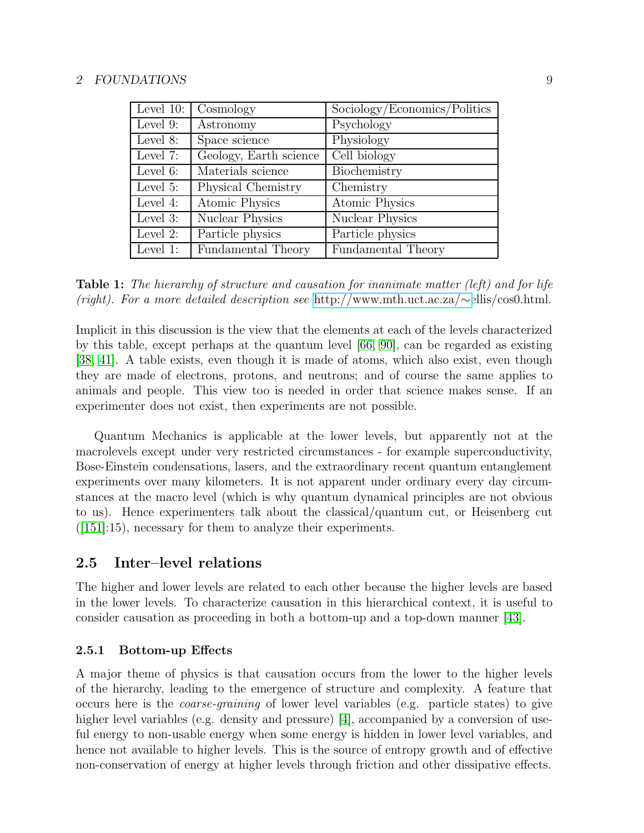| Level 10:   | Cosmology              | Sociology/Economics/Politics |
|-------------|------------------------|------------------------------|
| Level 9:    | Astronomy              | Psychology                   |
| Level 8:    | Space science          | Physiology                   |
| Level 7:    | Geology, Earth science | Cell biology                 |
| Level 6:    | Materials science      | Biochemistry                 |
| Level 5:    | Physical Chemistry     | Chemistry                    |
| Level $4$ : | Atomic Physics         | Atomic Physics               |
| Level 3:    | Nuclear Physics        | Nuclear Physics              |
| Level $2$ : | Particle physics       | Particle physics             |
| Level 1:    | Fundamental Theory     | Fundamental Theory           |

Table 1: The hierarchy of structure and causation for inanimate matter (left) and for life (right). For a more detailed description see [http://www.mth.uct.ac.za/](http://www.mth.uct.ac.za/~)∼ellis/cos0.html.

Implicit in this discussion is the view that the elements at each of the levels characterized by this table, except perhaps at the quantum level [\[66,](#page-58-4) [90\]](#page-60-2), can be regarded as existing [\[38,](#page-57-3) [41\]](#page-57-4). A table exists, even though it is made of atoms, which also exist, even though they are made of electrons, protons, and neutrons; and of course the same applies to animals and people. This view too is needed in order that science makes sense. If an experimenter does not exist, then experiments are not possible.

Quantum Mechanics is applicable at the lower levels, but apparently not at the macrolevels except under very restricted circumstances - for example superconductivity, Bose-Einstein condensations, lasers, and the extraordinary recent quantum entanglement experiments over many kilometers. It is not apparent under ordinary every day circumstances at the macro level (which is why quantum dynamical principles are not obvious to us). Hence experimenters talk about the classical/quantum cut, or Heisenberg cut  $([151]:15)$  $([151]:15)$  $([151]:15)$ , necessary for them to analyze their experiments.

## <span id="page-8-0"></span>2.5 Inter–level relations

The higher and lower levels are related to each other because the higher levels are based in the lower levels. To characterize causation in this hierarchical context, it is useful to consider causation as proceeding in both a bottom-up and a top-down manner [\[43\]](#page-57-5).

#### 2.5.1 Bottom-up Effects

A major theme of physics is that causation occurs from the lower to the higher levels of the hierarchy, leading to the emergence of structure and complexity. A feature that occurs here is the coarse-graining of lower level variables (e.g. particle states) to give higher level variables (e.g. density and pressure) [\[4\]](#page-55-3), accompanied by a conversion of useful energy to non-usable energy when some energy is hidden in lower level variables, and hence not available to higher levels. This is the source of entropy growth and of effective non-conservation of energy at higher levels through friction and other dissipative effects.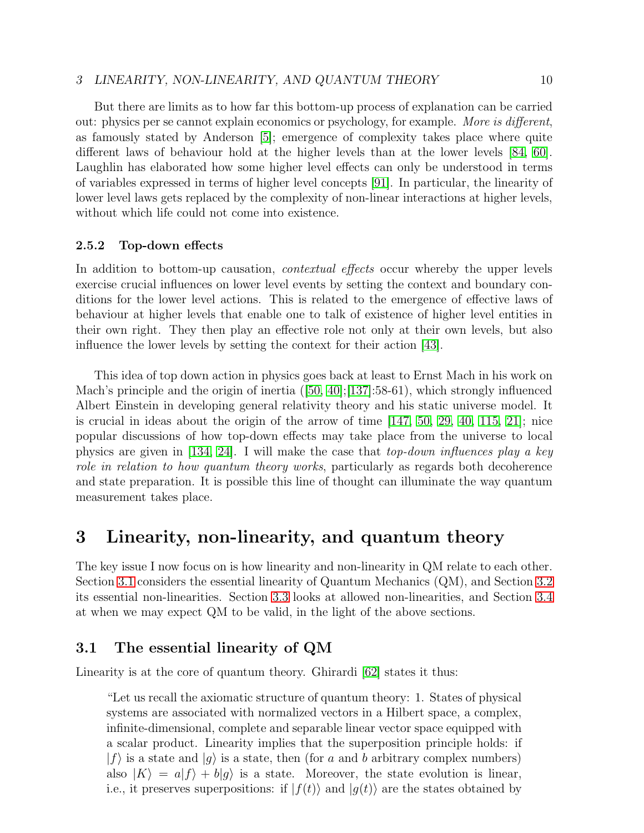But there are limits as to how far this bottom-up process of explanation can be carried out: physics per se cannot explain economics or psychology, for example. More is different, as famously stated by Anderson [\[5\]](#page-55-4); emergence of complexity takes place where quite different laws of behaviour hold at the higher levels than at the lower levels [\[84,](#page-59-2) [60\]](#page-58-5). Laughlin has elaborated how some higher level effects can only be understood in terms of variables expressed in terms of higher level concepts [\[91\]](#page-60-3). In particular, the linearity of lower level laws gets replaced by the complexity of non-linear interactions at higher levels, without which life could not come into existence.

#### 2.5.2 Top-down effects

In addition to bottom-up causation, *contextual effects* occur whereby the upper levels exercise crucial influences on lower level events by setting the context and boundary conditions for the lower level actions. This is related to the emergence of effective laws of behaviour at higher levels that enable one to talk of existence of higher level entities in their own right. They then play an effective role not only at their own levels, but also influence the lower levels by setting the context for their action [\[43\]](#page-57-5).

This idea of top down action in physics goes back at least to Ernst Mach in his work on Mach's principle and the origin of inertia ([\[50,](#page-57-6) [40\]](#page-57-7);[\[137\]](#page-62-2):58-61), which strongly influenced Albert Einstein in developing general relativity theory and his static universe model. It is crucial in ideas about the origin of the arrow of time [\[147,](#page-63-4) [50,](#page-57-6) [29,](#page-56-1) [40,](#page-57-7) [115,](#page-61-1) [21\]](#page-56-2); nice popular discussions of how top-down effects may take place from the universe to local physics are given in [\[134,](#page-62-3) [24\]](#page-56-3). I will make the case that *top-down influences play a key* role in relation to how quantum theory works, particularly as regards both decoherence and state preparation. It is possible this line of thought can illuminate the way quantum measurement takes place.

## <span id="page-9-0"></span>3 Linearity, non-linearity, and quantum theory

The key issue I now focus on is how linearity and non-linearity in QM relate to each other. Section [3.1](#page-9-1) considers the essential linearity of Quantum Mechanics (QM), and Section [3.2](#page-11-0) its essential non-linearities. Section [3.3](#page-12-0) looks at allowed non-linearities, and Section [3.4](#page-14-0) at when we may expect QM to be valid, in the light of the above sections.

## <span id="page-9-1"></span>3.1 The essential linearity of QM

Linearity is at the core of quantum theory. Ghirardi [\[62\]](#page-58-3) states it thus:

"Let us recall the axiomatic structure of quantum theory: 1. States of physical systems are associated with normalized vectors in a Hilbert space, a complex, infinite-dimensional, complete and separable linear vector space equipped with a scalar product. Linearity implies that the superposition principle holds: if  $|f\rangle$  is a state and  $|q\rangle$  is a state, then (for a and b arbitrary complex numbers) also  $|K\rangle = a|f\rangle + b|g\rangle$  is a state. Moreover, the state evolution is linear, i.e., it preserves superpositions: if  $|f(t)\rangle$  and  $|g(t)\rangle$  are the states obtained by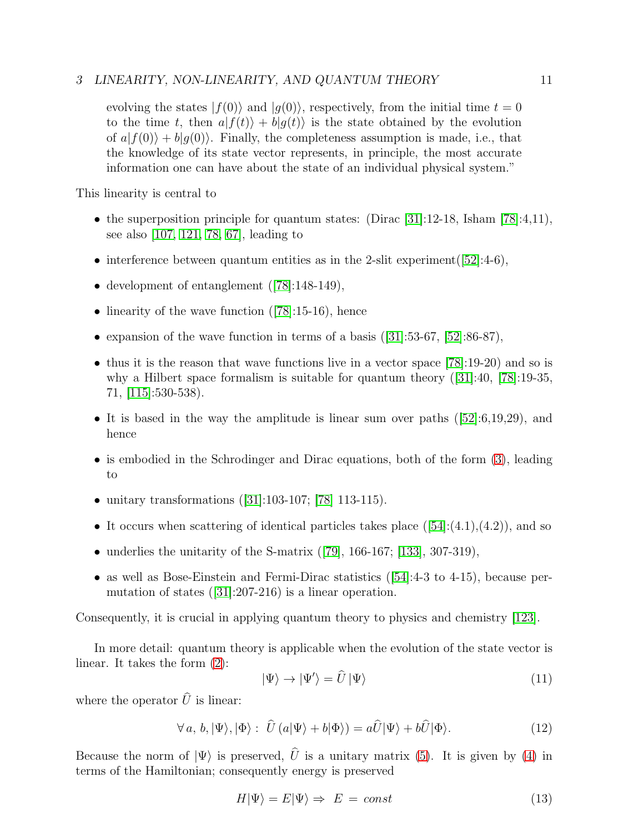evolving the states  $|f(0)\rangle$  and  $|g(0)\rangle$ , respectively, from the initial time  $t = 0$ to the time t, then  $a|f(t)\rangle + b|q(t)\rangle$  is the state obtained by the evolution of  $a|f(0)\rangle + b|g(0)\rangle$ . Finally, the completeness assumption is made, i.e., that the knowledge of its state vector represents, in principle, the most accurate information one can have about the state of an individual physical system."

This linearity is central to

- the superposition principle for quantum states: (Dirac [\[31\]](#page-56-4):12-18, Isham [\[78\]](#page-59-0):4,11), see also [\[107,](#page-61-0) [121,](#page-62-0) [78,](#page-59-0) [67\]](#page-58-0), leading to
- interference between quantum entities as in the 2-slit experiment  $(52):4-6$ ,
- development of entanglement ([\[78\]](#page-59-0):148-149),
- linearity of the wave function ([\[78\]](#page-59-0):15-16), hence
- expansion of the wave function in terms of a basis  $(31]:53-67, 52]:86-87$ ,
- thus it is the reason that wave functions live in a vector space [\[78\]](#page-59-0):19-20) and so is why a Hilbert space formalism is suitable for quantum theory  $(31):40, 78:19-35$ , 71, [\[115\]](#page-61-1):530-538).
- It is based in the way the amplitude is linear sum over paths  $(52):6,19,29)$ , and hence
- is embodied in the Schrodinger and Dirac equations, both of the form [\(3\)](#page-2-4), leading to
- unitary transformations ([\[31\]](#page-56-4):103-107; [\[78\]](#page-59-0) 113-115).
- It occurs when scattering of identical particles takes place  $([54]:(4.1),(4.2))$  $([54]:(4.1),(4.2))$  $([54]:(4.1),(4.2))$ , and so
- underlies the unitarity of the S-matrix  $(79)$ , 166-167; [\[133\]](#page-62-4), 307-319),
- as well as Bose-Einstein and Fermi-Dirac statistics ([\[54\]](#page-58-2):4-3 to 4-15), because permutation of states ([\[31\]](#page-56-4):207-216) is a linear operation.

Consequently, it is crucial in applying quantum theory to physics and chemistry [\[123\]](#page-62-5).

In more detail: quantum theory is applicable when the evolution of the state vector is linear. It takes the form [\(2\)](#page-2-5):

<span id="page-10-0"></span>
$$
|\Psi\rangle \to |\Psi'\rangle = \hat{U}|\Psi\rangle \tag{11}
$$

where the operator  $\hat{U}$  is linear:

<span id="page-10-1"></span>
$$
\forall a, b, |\Psi\rangle, |\Phi\rangle: \ \hat{U}(a|\Psi\rangle + b|\Phi\rangle) = a\hat{U}|\Psi\rangle + b\hat{U}|\Phi\rangle. \tag{12}
$$

Because the norm of  $|\Psi\rangle$  is preserved,  $\hat{U}$  is a unitary matrix [\(5\)](#page-2-6). It is given by [\(4\)](#page-2-7) in terms of the Hamiltonian; consequently energy is preserved

$$
H|\Psi\rangle = E|\Psi\rangle \Rightarrow E = const \tag{13}
$$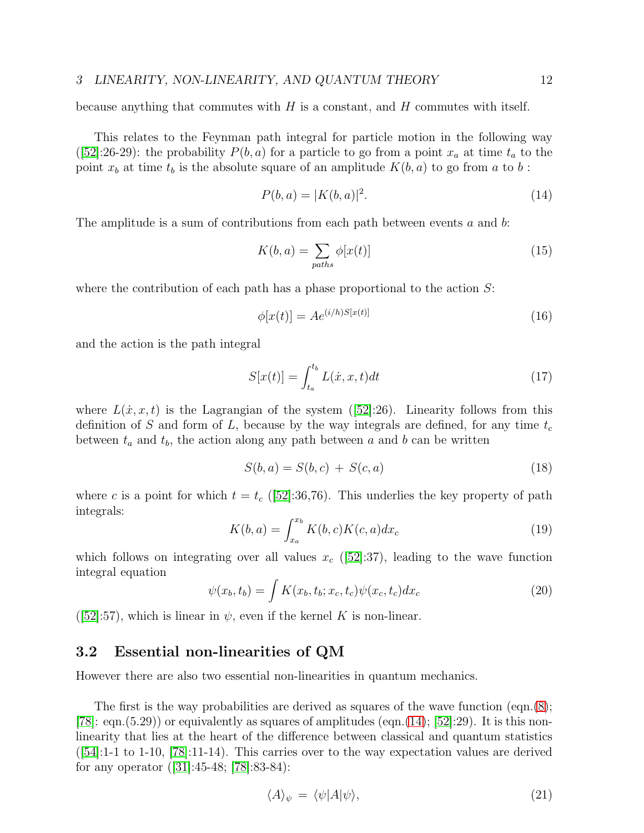because anything that commutes with  $H$  is a constant, and  $H$  commutes with itself.

This relates to the Feynman path integral for particle motion in the following way  $([52]:26-29)$  $([52]:26-29)$  $([52]:26-29)$ : the probability  $P(b, a)$  for a particle to go from a point  $x_a$  at time  $t_a$  to the point  $x_b$  at time  $t_b$  is the absolute square of an amplitude  $K(b, a)$  to go from a to b:

<span id="page-11-1"></span>
$$
P(b, a) = |K(b, a)|^2.
$$
 (14)

The amplitude is a sum of contributions from each path between events  $a$  and  $b$ :

<span id="page-11-3"></span>
$$
K(b, a) = \sum_{paths} \phi[x(t)] \tag{15}
$$

where the contribution of each path has a phase proportional to the action  $S$ :

$$
\phi[x(t)] = Ae^{(i/h)S[x(t)]} \tag{16}
$$

and the action is the path integral

<span id="page-11-2"></span>
$$
S[x(t)] = \int_{t_a}^{t_b} L(\dot{x}, x, t)dt
$$
\n(17)

where  $L(\dot{x}, x, t)$  is the Lagrangian of the system ([\[52\]](#page-58-1):26). Linearity follows from this definition of S and form of L, because by the way integrals are defined, for any time  $t_c$ between  $t_a$  and  $t_b$ , the action along any path between a and b can be written

$$
S(b, a) = S(b, c) + S(c, a)
$$
\n(18)

where c is a point for which  $t = t_c$  ([\[52\]](#page-58-1):36,76). This underlies the key property of path integrals:

$$
K(b, a) = \int_{x_a}^{x_b} K(b, c) K(c, a) dx_c
$$
\n(19)

which follows on integrating over all values  $x_c$  ([\[52\]](#page-58-1):37), leading to the wave function integral equation

<span id="page-11-4"></span>
$$
\psi(x_b, t_b) = \int K(x_b, t_b; x_c, t_c) \psi(x_c, t_c) dx_c \tag{20}
$$

 $(52):57$ , which is linear in  $\psi$ , even if the kernel K is non-linear.

## <span id="page-11-0"></span>3.2 Essential non-linearities of QM

However there are also two essential non-linearities in quantum mechanics.

The first is the way probabilities are derived as squares of the wave function (eqn.[\(8\)](#page-3-2); [\[78\]](#page-59-0): eqn.(5.29)) or equivalently as squares of amplitudes (eqn.[\(14\)](#page-11-1); [\[52\]](#page-58-1):29). It is this nonlinearity that lies at the heart of the difference between classical and quantum statistics  $([54]:1-1$  $([54]:1-1$  $([54]:1-1$  to 1-10,  $[78]:11-14$ ). This carries over to the way expectation values are derived for any operator ([\[31\]](#page-56-4):45-48; [\[78\]](#page-59-0):83-84):

$$
\langle A \rangle_{\psi} = \langle \psi | A | \psi \rangle, \tag{21}
$$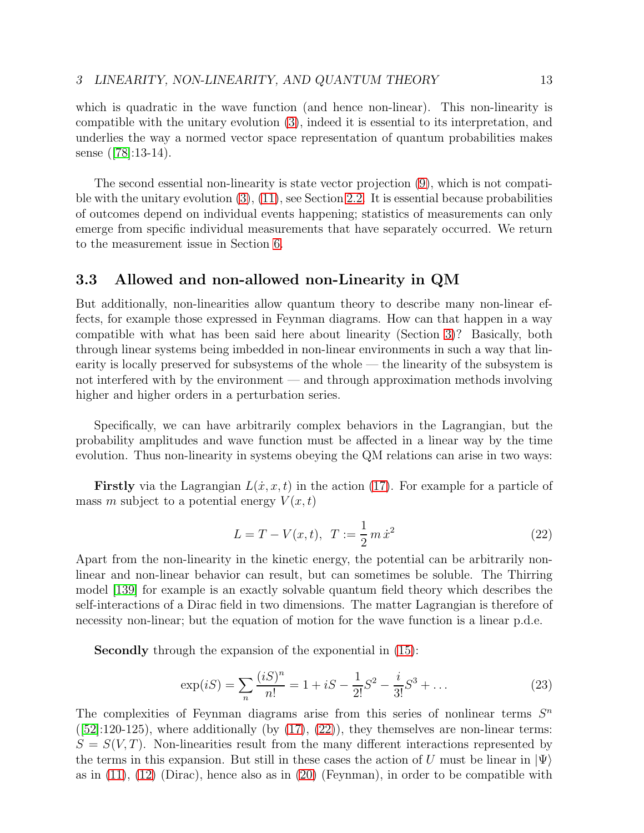which is quadratic in the wave function (and hence non-linear). This non-linearity is compatible with the unitary evolution [\(3\)](#page-2-4), indeed it is essential to its interpretation, and underlies the way a normed vector space representation of quantum probabilities makes sense ([\[78\]](#page-59-0):13-14).

The second essential non-linearity is state vector projection [\(9\)](#page-3-1), which is not compatible with the unitary evolution  $(3)$ ,  $(11)$ , see Section [2.2.](#page-4-0) It is essential because probabilities of outcomes depend on individual events happening; statistics of measurements can only emerge from specific individual measurements that have separately occurred. We return to the measurement issue in Section [6.](#page-38-0)

## <span id="page-12-0"></span>3.3 Allowed and non-allowed non-Linearity in QM

But additionally, non-linearities allow quantum theory to describe many non-linear effects, for example those expressed in Feynman diagrams. How can that happen in a way compatible with what has been said here about linearity (Section [3\)](#page-9-0)? Basically, both through linear systems being imbedded in non-linear environments in such a way that linearity is locally preserved for subsystems of the whole — the linearity of the subsystem is not interfered with by the environment — and through approximation methods involving higher and higher orders in a perturbation series.

Specifically, we can have arbitrarily complex behaviors in the Lagrangian, but the probability amplitudes and wave function must be affected in a linear way by the time evolution. Thus non-linearity in systems obeying the QM relations can arise in two ways:

**Firstly** via the Lagrangian  $L(x, x, t)$  in the action [\(17\)](#page-11-2). For example for a particle of mass m subject to a potential energy  $V(x, t)$ 

<span id="page-12-1"></span>
$$
L = T - V(x, t), \ T := \frac{1}{2} m \dot{x}^2 \tag{22}
$$

Apart from the non-linearity in the kinetic energy, the potential can be arbitrarily nonlinear and non-linear behavior can result, but can sometimes be soluble. The Thirring model [\[139\]](#page-63-5) for example is an exactly solvable quantum field theory which describes the self-interactions of a Dirac field in two dimensions. The matter Lagrangian is therefore of necessity non-linear; but the equation of motion for the wave function is a linear p.d.e.

Secondly through the expansion of the exponential in  $(15)$ :

$$
\exp(iS) = \sum_{n} \frac{(iS)^n}{n!} = 1 + iS - \frac{1}{2!}S^2 - \frac{i}{3!}S^3 + \dots
$$
\n(23)

The complexities of Feynman diagrams arise from this series of nonlinear terms  $S<sup>n</sup>$  $([52]:120-125)$  $([52]:120-125)$  $([52]:120-125)$ , where additionally (by  $(17), (22)$  $(17), (22)$ ), they themselves are non-linear terms:  $S = S(V, T)$ . Non-linearities result from the many different interactions represented by the terms in this expansion. But still in these cases the action of U must be linear in  $|\Psi\rangle$ as in [\(11\)](#page-10-0), [\(12\)](#page-10-1) (Dirac), hence also as in [\(20\)](#page-11-4) (Feynman), in order to be compatible with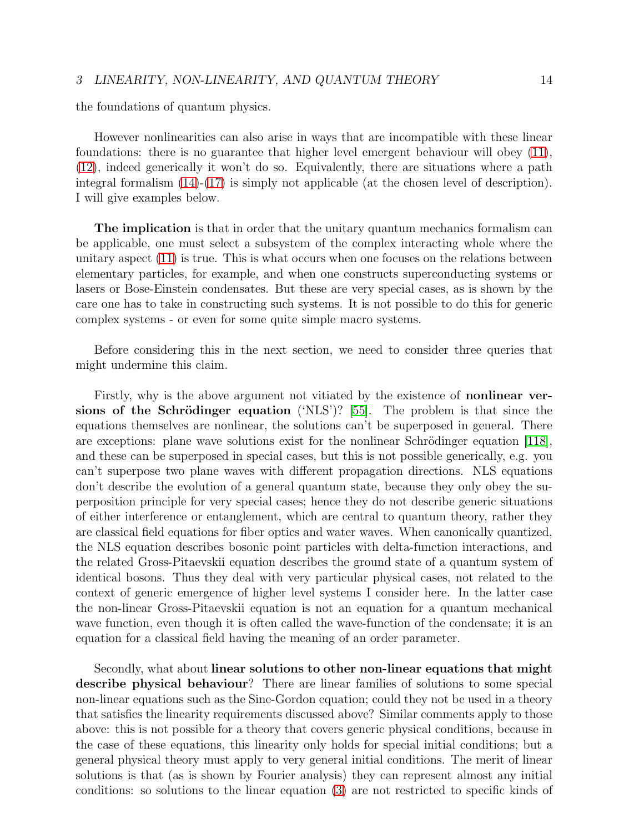the foundations of quantum physics.

However nonlinearities can also arise in ways that are incompatible with these linear foundations: there is no guarantee that higher level emergent behaviour will obey [\(11\)](#page-10-0), [\(12\)](#page-10-1), indeed generically it won't do so. Equivalently, there are situations where a path integral formalism [\(14\)](#page-11-1)-[\(17\)](#page-11-2) is simply not applicable (at the chosen level of description). I will give examples below.

The implication is that in order that the unitary quantum mechanics formalism can be applicable, one must select a subsystem of the complex interacting whole where the unitary aspect [\(11\)](#page-10-0) is true. This is what occurs when one focuses on the relations between elementary particles, for example, and when one constructs superconducting systems or lasers or Bose-Einstein condensates. But these are very special cases, as is shown by the care one has to take in constructing such systems. It is not possible to do this for generic complex systems - or even for some quite simple macro systems.

Before considering this in the next section, we need to consider three queries that might undermine this claim.

Firstly, why is the above argument not vitiated by the existence of **nonlinear ver-**sions of the Schrödinger equation ('NLS')? [\[55\]](#page-58-6). The problem is that since the equations themselves are nonlinear, the solutions can't be superposed in general. There are exceptions: plane wave solutions exist for the nonlinear Schrödinger equation  $[118]$ , and these can be superposed in special cases, but this is not possible generically, e.g. you can't superpose two plane waves with different propagation directions. NLS equations don't describe the evolution of a general quantum state, because they only obey the superposition principle for very special cases; hence they do not describe generic situations of either interference or entanglement, which are central to quantum theory, rather they are classical field equations for fiber optics and water waves. When canonically quantized, the NLS equation describes bosonic point particles with delta-function interactions, and the related Gross-Pitaevskii equation describes the ground state of a quantum system of identical bosons. Thus they deal with very particular physical cases, not related to the context of generic emergence of higher level systems I consider here. In the latter case the non-linear Gross-Pitaevskii equation is not an equation for a quantum mechanical wave function, even though it is often called the wave-function of the condensate; it is an equation for a classical field having the meaning of an order parameter.

Secondly, what about linear solutions to other non-linear equations that might describe physical behaviour? There are linear families of solutions to some special non-linear equations such as the Sine-Gordon equation; could they not be used in a theory that satisfies the linearity requirements discussed above? Similar comments apply to those above: this is not possible for a theory that covers generic physical conditions, because in the case of these equations, this linearity only holds for special initial conditions; but a general physical theory must apply to very general initial conditions. The merit of linear solutions is that (as is shown by Fourier analysis) they can represent almost any initial conditions: so solutions to the linear equation [\(3\)](#page-2-4) are not restricted to specific kinds of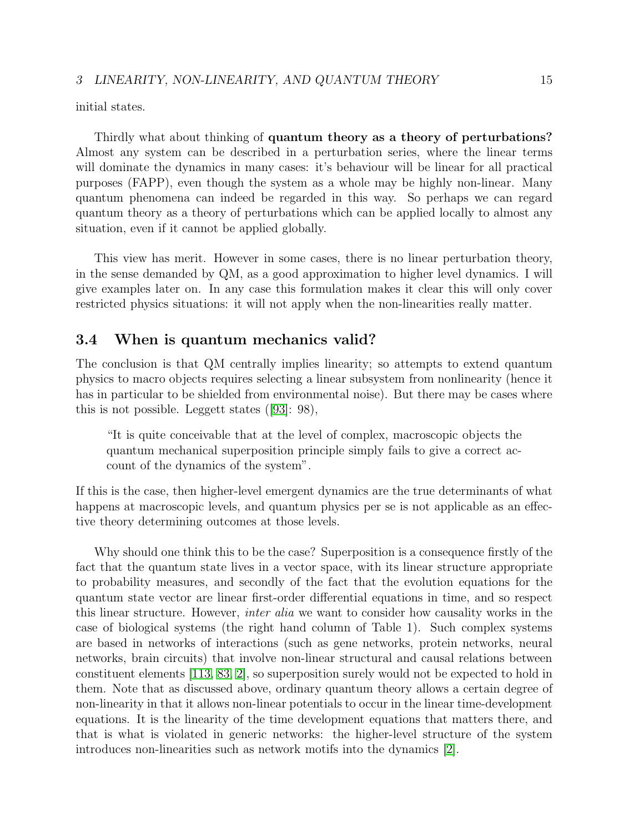initial states.

Thirdly what about thinking of quantum theory as a theory of perturbations? Almost any system can be described in a perturbation series, where the linear terms will dominate the dynamics in many cases: it's behaviour will be linear for all practical purposes (FAPP), even though the system as a whole may be highly non-linear. Many quantum phenomena can indeed be regarded in this way. So perhaps we can regard quantum theory as a theory of perturbations which can be applied locally to almost any situation, even if it cannot be applied globally.

This view has merit. However in some cases, there is no linear perturbation theory, in the sense demanded by QM, as a good approximation to higher level dynamics. I will give examples later on. In any case this formulation makes it clear this will only cover restricted physics situations: it will not apply when the non-linearities really matter.

## <span id="page-14-0"></span>3.4 When is quantum mechanics valid?

The conclusion is that QM centrally implies linearity; so attempts to extend quantum physics to macro objects requires selecting a linear subsystem from nonlinearity (hence it has in particular to be shielded from environmental noise). But there may be cases where this is not possible. Leggett states ([\[93\]](#page-60-1): 98),

"It is quite conceivable that at the level of complex, macroscopic objects the quantum mechanical superposition principle simply fails to give a correct account of the dynamics of the system".

If this is the case, then higher-level emergent dynamics are the true determinants of what happens at macroscopic levels, and quantum physics per se is not applicable as an effective theory determining outcomes at those levels.

Why should one think this to be the case? Superposition is a consequence firstly of the fact that the quantum state lives in a vector space, with its linear structure appropriate to probability measures, and secondly of the fact that the evolution equations for the quantum state vector are linear first-order differential equations in time, and so respect this linear structure. However, inter alia we want to consider how causality works in the case of biological systems (the right hand column of Table 1). Such complex systems are based in networks of interactions (such as gene networks, protein networks, neural networks, brain circuits) that involve non-linear structural and causal relations between constituent elements [\[113,](#page-61-5) [83,](#page-59-4) [2\]](#page-55-5), so superposition surely would not be expected to hold in them. Note that as discussed above, ordinary quantum theory allows a certain degree of non-linearity in that it allows non-linear potentials to occur in the linear time-development equations. It is the linearity of the time development equations that matters there, and that is what is violated in generic networks: the higher-level structure of the system introduces non-linearities such as network motifs into the dynamics [\[2\]](#page-55-5).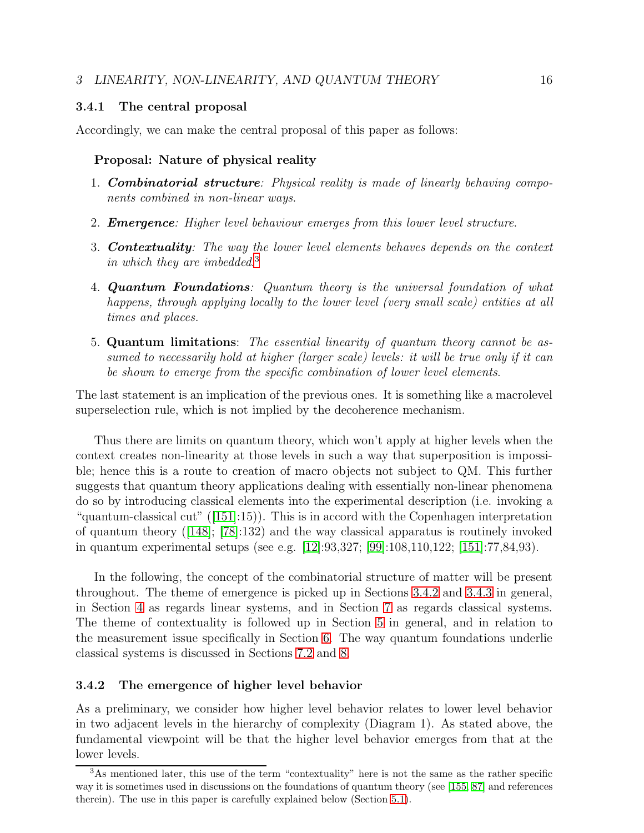#### <span id="page-15-2"></span>3.4.1 The central proposal

Accordingly, we can make the central proposal of this paper as follows:

#### Proposal: Nature of physical reality

- 1. **Combinatorial structure**: Physical reality is made of linearly behaving components combined in non-linear ways.
- 2. **Emergence**: Higher level behaviour emerges from this lower level structure.
- 3. **Contextuality**: The way the lower level elements behaves depends on the context in which they are imbedded.<sup>[3](#page-15-0)</sup>
- 4. **Quantum Foundations**: Quantum theory is the universal foundation of what happens, through applying locally to the lower level (very small scale) entities at all times and places.
- 5. Quantum limitations: The essential linearity of quantum theory cannot be assumed to necessarily hold at higher (larger scale) levels: it will be true only if it can be shown to emerge from the specific combination of lower level elements.

The last statement is an implication of the previous ones. It is something like a macrolevel superselection rule, which is not implied by the decoherence mechanism.

Thus there are limits on quantum theory, which won't apply at higher levels when the context creates non-linearity at those levels in such a way that superposition is impossible; hence this is a route to creation of macro objects not subject to QM. This further suggests that quantum theory applications dealing with essentially non-linear phenomena do so by introducing classical elements into the experimental description (i.e. invoking a "quantum-classical cut" ([\[151\]](#page-63-0):15)). This is in accord with the Copenhagen interpretation of quantum theory ([\[148\]](#page-63-1); [\[78\]](#page-59-0):132) and the way classical apparatus is routinely invoked in quantum experimental setups (see e.g. [\[12\]](#page-55-6):93,327; [\[99\]](#page-60-4):108,110,122; [\[151\]](#page-63-0):77,84,93).

In the following, the concept of the combinatorial structure of matter will be present throughout. The theme of emergence is picked up in Sections [3.4.2](#page-15-1) and [3.4.3](#page-17-0) in general, in Section [4](#page-18-0) as regards linear systems, and in Section [7](#page-44-0) as regards classical systems. The theme of contextuality is followed up in Section [5](#page-30-0) in general, and in relation to the measurement issue specifically in Section [6.](#page-38-0) The way quantum foundations underlie classical systems is discussed in Sections [7.2](#page-45-0) and [8.](#page-50-0)

#### <span id="page-15-1"></span>3.4.2 The emergence of higher level behavior

As a preliminary, we consider how higher level behavior relates to lower level behavior in two adjacent levels in the hierarchy of complexity (Diagram 1). As stated above, the fundamental viewpoint will be that the higher level behavior emerges from that at the lower levels.

<span id="page-15-0"></span><sup>&</sup>lt;sup>3</sup>As mentioned later, this use of the term "contextuality" here is not the same as the rather specific way it is sometimes used in discussions on the foundations of quantum theory (see [\[155,](#page-64-1) [87\]](#page-60-5) and references therein). The use in this paper is carefully explained below (Section [5.1\)](#page-30-1).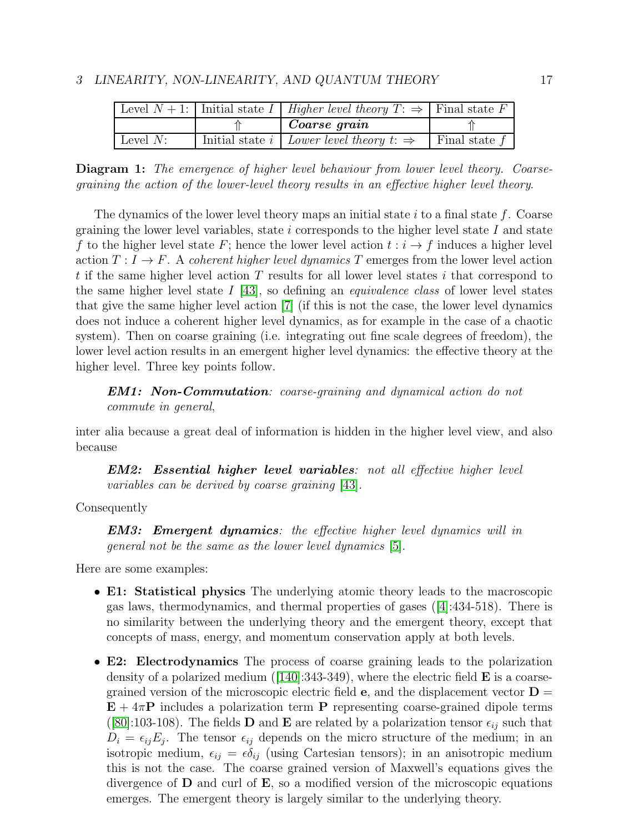|             | Level $N+1$ : Initial state I   Higher level theory $T: \Rightarrow$   Final state F |  |
|-------------|--------------------------------------------------------------------------------------|--|
|             | $Coarse\ grain$                                                                      |  |
| Level $N$ : | Initial state i   Lower level theory $t: \Rightarrow$   Final state f                |  |

Diagram 1: The emergence of higher level behaviour from lower level theory. Coarsegraining the action of the lower-level theory results in an effective higher level theory.

The dynamics of the lower level theory maps an initial state i to a final state f. Coarse graining the lower level variables, state  $i$  corresponds to the higher level state  $I$  and state f to the higher level state F; hence the lower level action  $t : i \to f$  induces a higher level action  $T: I \to F$ . A coherent higher level dynamics T emerges from the lower level action t if the same higher level action T results for all lower level states i that correspond to the same higher level state I [\[43\]](#page-57-5), so defining an *equivalence class* of lower level states that give the same higher level action [\[7\]](#page-55-7) (if this is not the case, the lower level dynamics does not induce a coherent higher level dynamics, as for example in the case of a chaotic system). Then on coarse graining (i.e. integrating out fine scale degrees of freedom), the lower level action results in an emergent higher level dynamics: the effective theory at the higher level. Three key points follow.

**EM1:** Non-Commutation: coarse-graining and dynamical action do not commute in general,

inter alia because a great deal of information is hidden in the higher level view, and also because

**EM2:** Essential higher level variables: not all effective higher level variables can be derived by coarse graining [\[43\]](#page-57-5).

Consequently

**EM3:** Emergent dynamics: the effective higher level dynamics will in general not be the same as the lower level dynamics [\[5\]](#page-55-4).

Here are some examples:

- E1: Statistical physics The underlying atomic theory leads to the macroscopic gas laws, thermodynamics, and thermal properties of gases ([\[4\]](#page-55-3):434-518). There is no similarity between the underlying theory and the emergent theory, except that concepts of mass, energy, and momentum conservation apply at both levels.
- E2: Electrodynamics The process of coarse graining leads to the polarization density of a polarized medium ( $[140]:343-349$  $[140]:343-349$ ), where the electric field **E** is a coarsegrained version of the microscopic electric field  $e$ , and the displacement vector  $D =$  $E + 4\pi P$  includes a polarization term P representing coarse-grained dipole terms ([\[80\]](#page-59-5):103-108). The fields **D** and **E** are related by a polarization tensor  $\epsilon_{ij}$  such that  $D_i = \epsilon_{ij} E_j$ . The tensor  $\epsilon_{ij}$  depends on the micro structure of the medium; in an isotropic medium,  $\epsilon_{ij} = \epsilon \delta_{ij}$  (using Cartesian tensors); in an anisotropic medium this is not the case. The coarse grained version of Maxwell's equations gives the divergence of  **and curl of**  $**E**$ **, so a modified version of the microscopic equations** emerges. The emergent theory is largely similar to the underlying theory.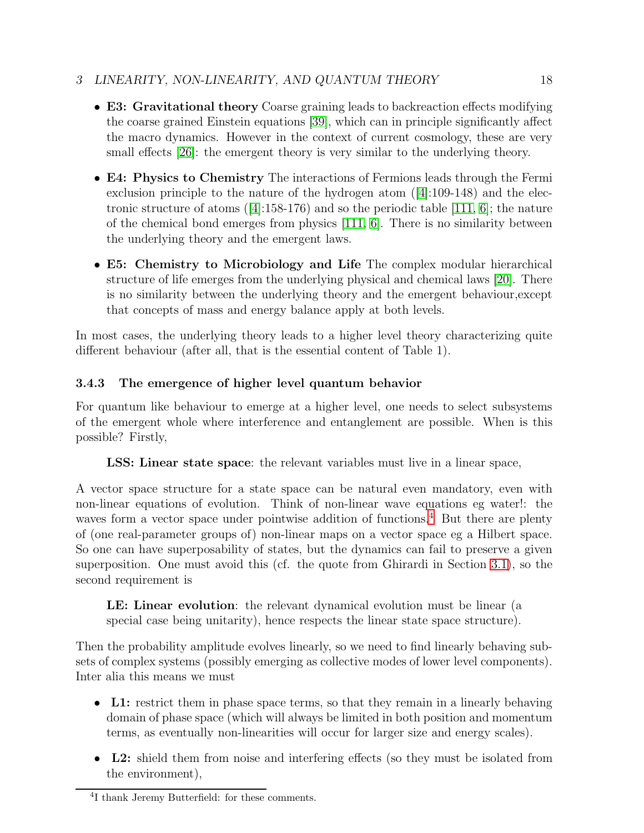- E3: Gravitational theory Coarse graining leads to backreaction effects modifying the coarse grained Einstein equations [\[39\]](#page-57-8), which can in principle significantly affect the macro dynamics. However in the context of current cosmology, these are very small effects [\[26\]](#page-56-5): the emergent theory is very similar to the underlying theory.
- E4: Physics to Chemistry The interactions of Fermions leads through the Fermi exclusion principle to the nature of the hydrogen atom  $([4]:109-148)$  $([4]:109-148)$  $([4]:109-148)$  and the electronic structure of atoms  $([4]:158-176)$  $([4]:158-176)$  $([4]:158-176)$  and so the periodic table [\[111,](#page-61-6) [6\]](#page-55-8); the nature of the chemical bond emerges from physics [\[111,](#page-61-6) [6\]](#page-55-8). There is no similarity between the underlying theory and the emergent laws.
- E5: Chemistry to Microbiology and Life The complex modular hierarchical structure of life emerges from the underlying physical and chemical laws [\[20\]](#page-56-0). There is no similarity between the underlying theory and the emergent behaviour,except that concepts of mass and energy balance apply at both levels.

In most cases, the underlying theory leads to a higher level theory characterizing quite different behaviour (after all, that is the essential content of Table 1).

## <span id="page-17-0"></span>3.4.3 The emergence of higher level quantum behavior

For quantum like behaviour to emerge at a higher level, one needs to select subsystems of the emergent whole where interference and entanglement are possible. When is this possible? Firstly,

LSS: Linear state space: the relevant variables must live in a linear space,

A vector space structure for a state space can be natural even mandatory, even with non-linear equations of evolution. Think of non-linear wave equations eg water!: the waves form a vector space under pointwise addition of functions.<sup>[4](#page-17-1)</sup> But there are plenty of (one real-parameter groups of) non-linear maps on a vector space eg a Hilbert space. So one can have superposability of states, but the dynamics can fail to preserve a given superposition. One must avoid this (cf. the quote from Ghirardi in Section [3.1\)](#page-9-1), so the second requirement is

LE: Linear evolution: the relevant dynamical evolution must be linear (a special case being unitarity), hence respects the linear state space structure).

Then the probability amplitude evolves linearly, so we need to find linearly behaving subsets of complex systems (possibly emerging as collective modes of lower level components). Inter alia this means we must

- L1: restrict them in phase space terms, so that they remain in a linearly behaving domain of phase space (which will always be limited in both position and momentum terms, as eventually non-linearities will occur for larger size and energy scales).
- L2: shield them from noise and interfering effects (so they must be isolated from the environment),

<span id="page-17-1"></span><sup>4</sup> I thank Jeremy Butterfield: for these comments.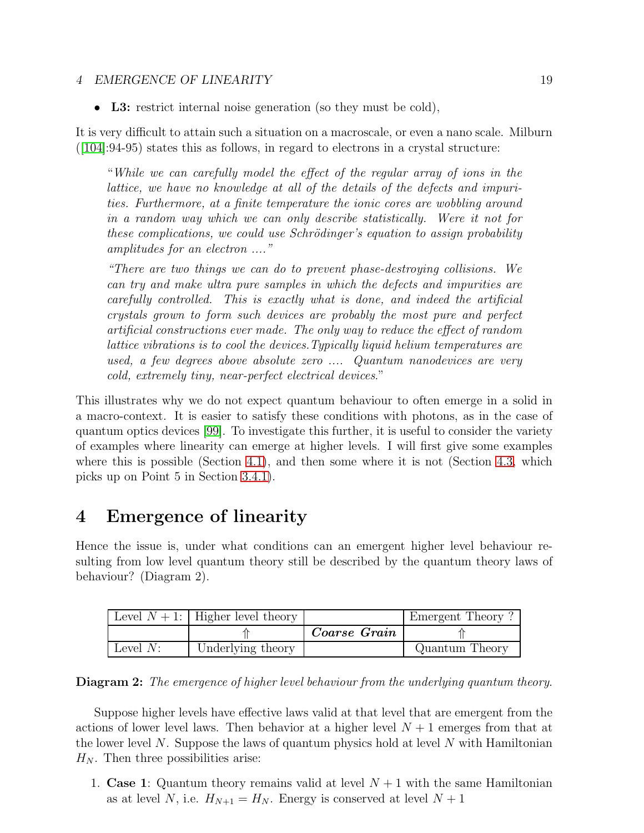• L3: restrict internal noise generation (so they must be cold),

It is very difficult to attain such a situation on a macroscale, or even a nano scale. Milburn ([\[104\]](#page-61-7):94-95) states this as follows, in regard to electrons in a crystal structure:

"While we can carefully model the effect of the regular array of ions in the lattice, we have no knowledge at all of the details of the defects and impurities. Furthermore, at a finite temperature the ionic cores are wobbling around in a random way which we can only describe statistically. Were it not for these complications, we could use  $Schrödinger's$  equation to assign probability amplitudes for an electron ...."

"There are two things we can do to prevent phase-destroying collisions. We can try and make ultra pure samples in which the defects and impurities are carefully controlled. This is exactly what is done, and indeed the artificial crystals grown to form such devices are probably the most pure and perfect artificial constructions ever made. The only way to reduce the effect of random lattice vibrations is to cool the devices.Typically liquid helium temperatures are used, a few degrees above absolute zero .... Quantum nanodevices are very cold, extremely tiny, near-perfect electrical devices."

This illustrates why we do not expect quantum behaviour to often emerge in a solid in a macro-context. It is easier to satisfy these conditions with photons, as in the case of quantum optics devices [\[99\]](#page-60-4). To investigate this further, it is useful to consider the variety of examples where linearity can emerge at higher levels. I will first give some examples where this is possible (Section [4.1\)](#page-19-0), and then some where it is not (Section [4.3,](#page-25-0) which picks up on Point 5 in Section [3.4.1\)](#page-15-2).

## <span id="page-18-0"></span>4 Emergence of linearity

Hence the issue is, under what conditions can an emergent higher level behaviour resulting from low level quantum theory still be described by the quantum theory laws of behaviour? (Diagram 2).

|             | Level $N+1$ : Higher level theory |                      | Emergent Theory: |
|-------------|-----------------------------------|----------------------|------------------|
|             |                                   | $\it{Coarse\ Grain}$ |                  |
| Level $N$ : | Underlying theory                 |                      | Quantum Theory   |

Diagram 2: The emergence of higher level behaviour from the underlying quantum theory.

Suppose higher levels have effective laws valid at that level that are emergent from the actions of lower level laws. Then behavior at a higher level  $N + 1$  emerges from that at the lower level  $N$ . Suppose the laws of quantum physics hold at level  $N$  with Hamiltonian  $H_N$ . Then three possibilities arise:

1. **Case 1**: Quantum theory remains valid at level  $N + 1$  with the same Hamiltonian as at level N, i.e.  $H_{N+1} = H_N$ . Energy is conserved at level  $N+1$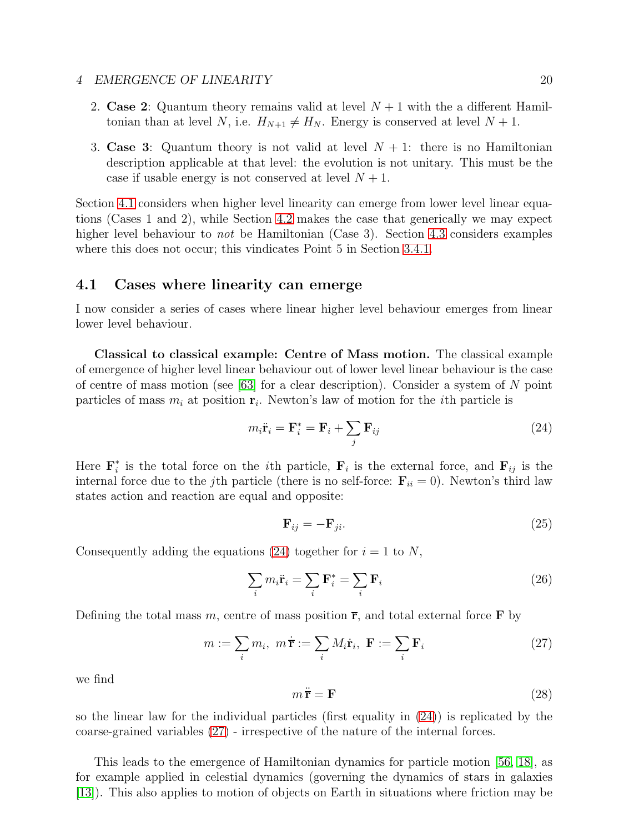- 2. Case 2: Quantum theory remains valid at level  $N+1$  with the a different Hamiltonian than at level N, i.e.  $H_{N+1} \neq H_N$ . Energy is conserved at level  $N + 1$ .
- 3. Case 3: Quantum theory is not valid at level  $N + 1$ : there is no Hamiltonian description applicable at that level: the evolution is not unitary. This must be the case if usable energy is not conserved at level  $N + 1$ .

Section [4.1](#page-19-0) considers when higher level linearity can emerge from lower level linear equations (Cases 1 and 2), while Section [4.2](#page-22-0) makes the case that generically we may expect higher level behaviour to *not* be Hamiltonian (Case 3). Section [4.3](#page-25-0) considers examples where this does not occur; this vindicates Point 5 in Section [3.4.1.](#page-15-2)

## <span id="page-19-0"></span>4.1 Cases where linearity can emerge

I now consider a series of cases where linear higher level behaviour emerges from linear lower level behaviour.

Classical to classical example: Centre of Mass motion. The classical example of emergence of higher level linear behaviour out of lower level linear behaviour is the case of centre of mass motion (see  $|63|$  for a clear description). Consider a system of N point particles of mass  $m_i$  at position  $\mathbf{r}_i$ . Newton's law of motion for the *i*th particle is

<span id="page-19-1"></span>
$$
m_i \ddot{\mathbf{r}}_i = \mathbf{F}_i^* = \mathbf{F}_i + \sum_j \mathbf{F}_{ij}
$$
 (24)

Here  $\mathbf{F}_i^*$ <sup>\*</sup> is the total force on the *i*th particle,  $\mathbf{F}_i$  is the external force, and  $\mathbf{F}_{ij}$  is the internal force due to the j<sup>th</sup> particle (there is no self-force:  $\mathbf{F}_{ii} = 0$ ). Newton's third law states action and reaction are equal and opposite:

$$
\mathbf{F}_{ij} = -\mathbf{F}_{ji}.\tag{25}
$$

Consequently adding the equations [\(24\)](#page-19-1) together for  $i = 1$  to N,

$$
\sum_{i} m_i \ddot{\mathbf{r}}_i = \sum_{i} \mathbf{F}_i^* = \sum_{i} \mathbf{F}_i
$$
\n(26)

Defining the total mass m, centre of mass position  $\bar{r}$ , and total external force  $\bar{F}$  by

<span id="page-19-2"></span>
$$
m := \sum_{i} m_i, \ m \dot{\mathbf{r}} := \sum_{i} M_i \dot{\mathbf{r}}_i, \ \mathbf{F} := \sum_{i} \mathbf{F}_i \tag{27}
$$

we find

<span id="page-19-3"></span>
$$
m\ddot{\mathbf{r}} = \mathbf{F} \tag{28}
$$

so the linear law for the individual particles (first equality in [\(24\)](#page-19-1)) is replicated by the coarse-grained variables [\(27\)](#page-19-2) - irrespective of the nature of the internal forces.

This leads to the emergence of Hamiltonian dynamics for particle motion [\[56,](#page-58-8) [18\]](#page-56-6), as for example applied in celestial dynamics (governing the dynamics of stars in galaxies [\[13\]](#page-55-9)). This also applies to motion of objects on Earth in situations where friction may be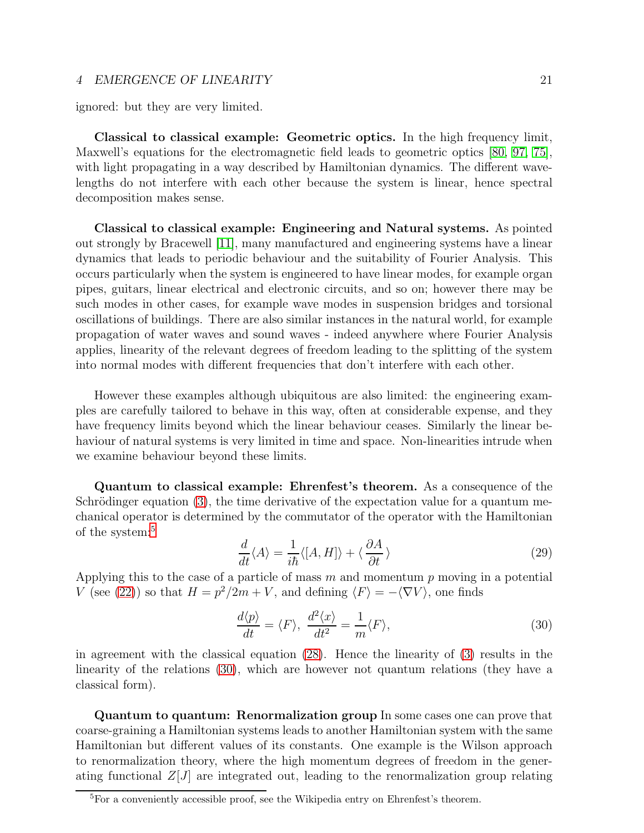ignored: but they are very limited.

Classical to classical example: Geometric optics. In the high frequency limit, Maxwell's equations for the electromagnetic field leads to geometric optics [\[80,](#page-59-5) [97,](#page-60-6) [75\]](#page-59-6), with light propagating in a way described by Hamiltonian dynamics. The different wavelengths do not interfere with each other because the system is linear, hence spectral decomposition makes sense.

Classical to classical example: Engineering and Natural systems. As pointed out strongly by Bracewell [\[11\]](#page-55-10), many manufactured and engineering systems have a linear dynamics that leads to periodic behaviour and the suitability of Fourier Analysis. This occurs particularly when the system is engineered to have linear modes, for example organ pipes, guitars, linear electrical and electronic circuits, and so on; however there may be such modes in other cases, for example wave modes in suspension bridges and torsional oscillations of buildings. There are also similar instances in the natural world, for example propagation of water waves and sound waves - indeed anywhere where Fourier Analysis applies, linearity of the relevant degrees of freedom leading to the splitting of the system into normal modes with different frequencies that don't interfere with each other.

However these examples although ubiquitous are also limited: the engineering examples are carefully tailored to behave in this way, often at considerable expense, and they have frequency limits beyond which the linear behaviour ceases. Similarly the linear behaviour of natural systems is very limited in time and space. Non-linearities intrude when we examine behaviour beyond these limits.

Quantum to classical example: Ehrenfest's theorem. As a consequence of the Schrödinger equation  $(3)$ , the time derivative of the expectation value for a quantum mechanical operator is determined by the commutator of the operator with the Hamiltonian of the system:<sup>[5](#page-20-0)</sup>

$$
\frac{d}{dt}\langle A\rangle = \frac{1}{i\hbar}\langle [A, H]\rangle + \langle \frac{\partial A}{\partial t}\rangle
$$
\n(29)

Applying this to the case of a particle of mass  $m$  and momentum  $p$  moving in a potential V (see [\(22\)](#page-12-1)) so that  $H = p^2/2m + V$ , and defining  $\langle F \rangle = -\langle \nabla V \rangle$ , one finds

<span id="page-20-1"></span>
$$
\frac{d\langle p\rangle}{dt} = \langle F\rangle, \quad \frac{d^2\langle x\rangle}{dt^2} = \frac{1}{m}\langle F\rangle,\tag{30}
$$

in agreement with the classical equation [\(28\)](#page-19-3). Hence the linearity of [\(3\)](#page-2-4) results in the linearity of the relations [\(30\)](#page-20-1), which are however not quantum relations (they have a classical form).

Quantum to quantum: Renormalization group In some cases one can prove that coarse-graining a Hamiltonian systems leads to another Hamiltonian system with the same Hamiltonian but different values of its constants. One example is the Wilson approach to renormalization theory, where the high momentum degrees of freedom in the generating functional  $Z[J]$  are integrated out, leading to the renormalization group relating

<span id="page-20-0"></span><sup>&</sup>lt;sup>5</sup>For a conveniently accessible proof, see the Wikipedia entry on Ehrenfest's theorem.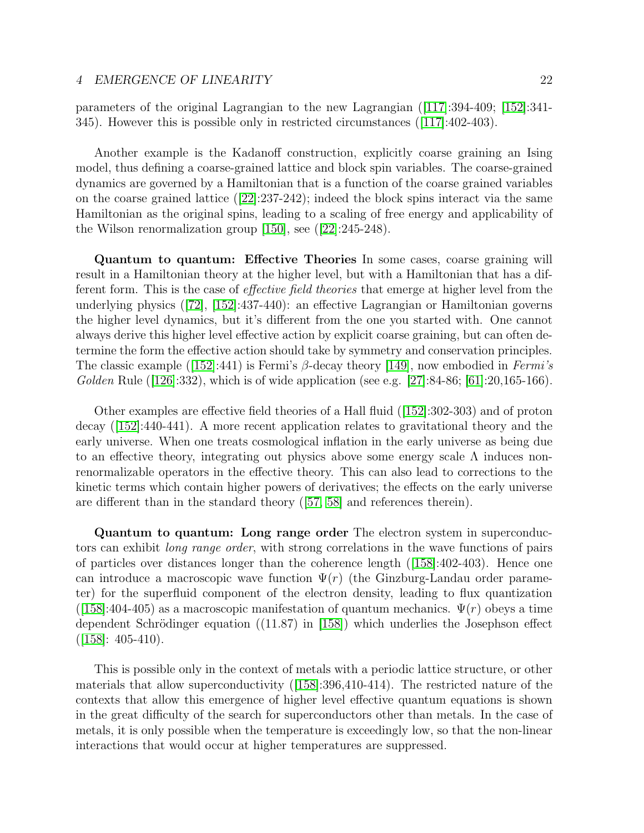parameters of the original Lagrangian to the new Lagrangian ([\[117\]](#page-61-8):394-409; [\[152\]](#page-63-7):341- 345). However this is possible only in restricted circumstances ([\[117\]](#page-61-8):402-403).

Another example is the Kadanoff construction, explicitly coarse graining an Ising model, thus defining a coarse-grained lattice and block spin variables. The coarse-grained dynamics are governed by a Hamiltonian that is a function of the coarse grained variables on the coarse grained lattice  $(22):237-242$ ; indeed the block spins interact via the same Hamiltonian as the original spins, leading to a scaling of free energy and applicability of the Wilson renormalization group [\[150\]](#page-63-8), see ([\[22\]](#page-56-7):245-248).

Quantum to quantum: Effective Theories In some cases, coarse graining will result in a Hamiltonian theory at the higher level, but with a Hamiltonian that has a different form. This is the case of effective field theories that emerge at higher level from the underlying physics ([\[72\]](#page-59-7), [\[152\]](#page-63-7):437-440): an effective Lagrangian or Hamiltonian governs the higher level dynamics, but it's different from the one you started with. One cannot always derive this higher level effective action by explicit coarse graining, but can often determine the form the effective action should take by symmetry and conservation principles. The classic example ([\[152\]](#page-63-7):441) is Fermi's  $\beta$ -decay theory [\[149\]](#page-63-9), now embodied in Fermi's Golden Rule ([\[126\]](#page-62-6):332), which is of wide application (see e.g. [\[27\]](#page-56-8):84-86; [\[61\]](#page-58-9):20,165-166).

Other examples are effective field theories of a Hall fluid ([\[152\]](#page-63-7):302-303) and of proton decay ([\[152\]](#page-63-7):440-441). A more recent application relates to gravitational theory and the early universe. When one treats cosmological inflation in the early universe as being due to an effective theory, integrating out physics above some energy scale  $\Lambda$  induces nonrenormalizable operators in the effective theory. This can also lead to corrections to the kinetic terms which contain higher powers of derivatives; the effects on the early universe are different than in the standard theory ([\[57,](#page-58-10) [58\]](#page-58-11) and references therein).

Quantum to quantum: Long range order The electron system in superconductors can exhibit long range order, with strong correlations in the wave functions of pairs of particles over distances longer than the coherence length ([\[158\]](#page-64-2):402-403). Hence one can introduce a macroscopic wave function  $\Psi(r)$  (the Ginzburg-Landau order parameter) for the superfluid component of the electron density, leading to flux quantization  $([158]:404-405)$  $([158]:404-405)$  $([158]:404-405)$  as a macroscopic manifestation of quantum mechanics.  $\Psi(r)$  obeys a time dependent Schrödinger equation  $((11.87)$  in [\[158\]](#page-64-2)) which underlies the Josephson effect  $([158]: 405-410).$  $([158]: 405-410).$  $([158]: 405-410).$ 

This is possible only in the context of metals with a periodic lattice structure, or other materials that allow superconductivity ([\[158\]](#page-64-2):396,410-414). The restricted nature of the contexts that allow this emergence of higher level effective quantum equations is shown in the great difficulty of the search for superconductors other than metals. In the case of metals, it is only possible when the temperature is exceedingly low, so that the non-linear interactions that would occur at higher temperatures are suppressed.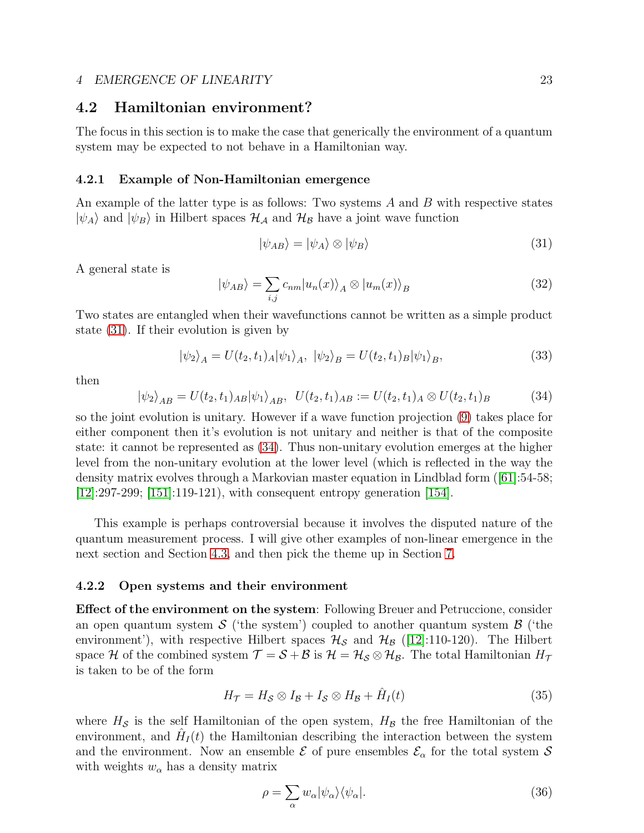### <span id="page-22-0"></span>4.2 Hamiltonian environment?

The focus in this section is to make the case that generically the environment of a quantum system may be expected to not behave in a Hamiltonian way.

#### 4.2.1 Example of Non-Hamiltonian emergence

An example of the latter type is as follows: Two systems A and B with respective states  $|\psi_A\rangle$  and  $|\psi_B\rangle$  in Hilbert spaces  $\mathcal{H}_A$  and  $\mathcal{H}_B$  have a joint wave function

<span id="page-22-1"></span>
$$
|\psi_{AB}\rangle = |\psi_A\rangle \otimes |\psi_B\rangle \tag{31}
$$

A general state is

$$
|\psi_{AB}\rangle = \sum_{i,j} c_{nm} |u_n(x)\rangle_A \otimes |u_m(x)\rangle_B \tag{32}
$$

Two states are entangled when their wavefunctions cannot be written as a simple product state [\(31\)](#page-22-1). If their evolution is given by

$$
|\psi_2\rangle_A = U(t_2, t_1)_A |\psi_1\rangle_A, |\psi_2\rangle_B = U(t_2, t_1)_B |\psi_1\rangle_B,
$$
 (33)

then

<span id="page-22-2"></span>
$$
|\psi_2\rangle_{AB} = U(t_2, t_1)_{AB} |\psi_1\rangle_{AB}, \quad U(t_2, t_1)_{AB} := U(t_2, t_1)_{A} \otimes U(t_2, t_1)_{B} \tag{34}
$$

so the joint evolution is unitary. However if a wave function projection [\(9\)](#page-3-1) takes place for either component then it's evolution is not unitary and neither is that of the composite state: it cannot be represented as [\(34\)](#page-22-2). Thus non-unitary evolution emerges at the higher level from the non-unitary evolution at the lower level (which is reflected in the way the density matrix evolves through a Markovian master equation in Lindblad form ([\[61\]](#page-58-9):54-58; [\[12\]](#page-55-6):297-299; [\[151\]](#page-63-0):119-121), with consequent entropy generation [\[154\]](#page-64-3).

This example is perhaps controversial because it involves the disputed nature of the quantum measurement process. I will give other examples of non-linear emergence in the next section and Section [4.3,](#page-25-0) and then pick the theme up in Section [7.](#page-44-0)

#### <span id="page-22-3"></span>4.2.2 Open systems and their environment

Effect of the environment on the system: Following Breuer and Petruccione, consider an open quantum system  $\mathcal S$  ('the system') coupled to another quantum system  $\mathcal B$  ('the environment'), with respective Hilbert spaces  $\mathcal{H}_{\mathcal{S}}$  and  $\mathcal{H}_{\mathcal{B}}$  ([\[12\]](#page-55-6):110-120). The Hilbert space H of the combined system  $\mathcal{T} = \mathcal{S} + \mathcal{B}$  is  $\mathcal{H} = \mathcal{H}_{\mathcal{S}} \otimes \mathcal{H}_{\mathcal{B}}$ . The total Hamiltonian  $H_{\mathcal{T}}$ is taken to be of the form

$$
H_{\mathcal{T}} = H_{\mathcal{S}} \otimes I_{\mathcal{B}} + I_{\mathcal{S}} \otimes H_{\mathcal{B}} + \hat{H}_I(t) \tag{35}
$$

where  $H_{\mathcal{S}}$  is the self Hamiltonian of the open system,  $H_{\mathcal{B}}$  the free Hamiltonian of the environment, and  $\hat{H}_{I}(t)$  the Hamiltonian describing the interaction between the system and the environment. Now an ensemble  $\mathcal E$  of pure ensembles  $\mathcal E_\alpha$  for the total system  $\mathcal S$ with weights  $w_{\alpha}$  has a density matrix

$$
\rho = \sum_{\alpha} w_{\alpha} |\psi_{\alpha}\rangle \langle \psi_{\alpha}|. \tag{36}
$$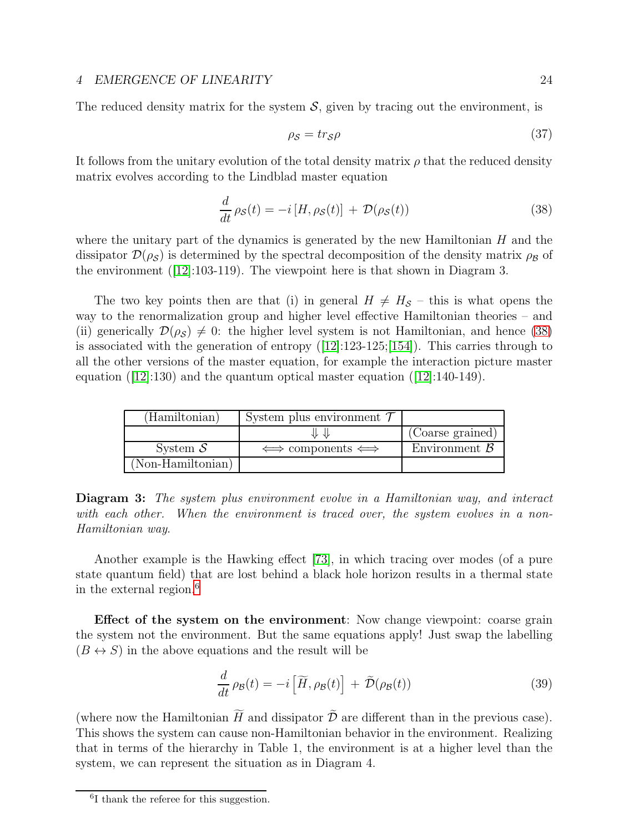The reduced density matrix for the system  $S$ , given by tracing out the environment, is

$$
\rho_{\mathcal{S}} = tr_{\mathcal{S}} \rho \tag{37}
$$

It follows from the unitary evolution of the total density matrix  $\rho$  that the reduced density matrix evolves according to the Lindblad master equation

<span id="page-23-0"></span>
$$
\frac{d}{dt}\rho_{\mathcal{S}}(t) = -i[H, \rho_{\mathcal{S}}(t)] + \mathcal{D}(\rho_{\mathcal{S}}(t))
$$
\n(38)

where the unitary part of the dynamics is generated by the new Hamiltonian  $H$  and the dissipator  $\mathcal{D}(\rho_S)$  is determined by the spectral decomposition of the density matrix  $\rho_B$  of the environment ([\[12\]](#page-55-6):103-119). The viewpoint here is that shown in Diagram 3.

The two key points then are that (i) in general  $H \neq H<sub>S</sub>$  – this is what opens the way to the renormalization group and higher level effective Hamiltonian theories – and (ii) generically  $\mathcal{D}(\rho_S) \neq 0$ : the higher level system is not Hamiltonian, and hence [\(38\)](#page-23-0) is associated with the generation of entropy  $([12]:123-125;[154])$  $([12]:123-125;[154])$  $([12]:123-125;[154])$  $([12]:123-125;[154])$  $([12]:123-125;[154])$ . This carries through to all the other versions of the master equation, for example the interaction picture master equation ( $[12]:130$  $[12]:130$ ) and the quantum optical master equation ( $[12]:140-149$ ).

| (Hamiltonian)     | System plus environment $\tau$ |                     |
|-------------------|--------------------------------|---------------------|
|                   |                                | (Coarse grained)    |
| System $S$        | $\iff$ components $\iff$       | Environment $\beta$ |
| (Non-Hamiltonian) |                                |                     |

Diagram 3: The system plus environment evolve in a Hamiltonian way, and interact with each other. When the environment is traced over, the system evolves in a non-Hamiltonian way.

Another example is the Hawking effect [\[73\]](#page-59-8), in which tracing over modes (of a pure state quantum field) that are lost behind a black hole horizon results in a thermal state in the external region.[6](#page-23-1)

Effect of the system on the environment: Now change viewpoint: coarse grain the system not the environment. But the same equations apply! Just swap the labelling  $(B \leftrightarrow S)$  in the above equations and the result will be

$$
\frac{d}{dt}\rho_{\mathcal{B}}(t) = -i\left[\widetilde{H}, \rho_{\mathcal{B}}(t)\right] + \widetilde{\mathcal{D}}(\rho_{\mathcal{B}}(t))\tag{39}
$$

(where now the Hamiltonian  $\widetilde{H}$  and dissipator  $\widetilde{\mathcal{D}}$  are different than in the previous case). This shows the system can cause non-Hamiltonian behavior in the environment. Realizing that in terms of the hierarchy in Table 1, the environment is at a higher level than the system, we can represent the situation as in Diagram 4.

<span id="page-23-1"></span><sup>6</sup> I thank the referee for this suggestion.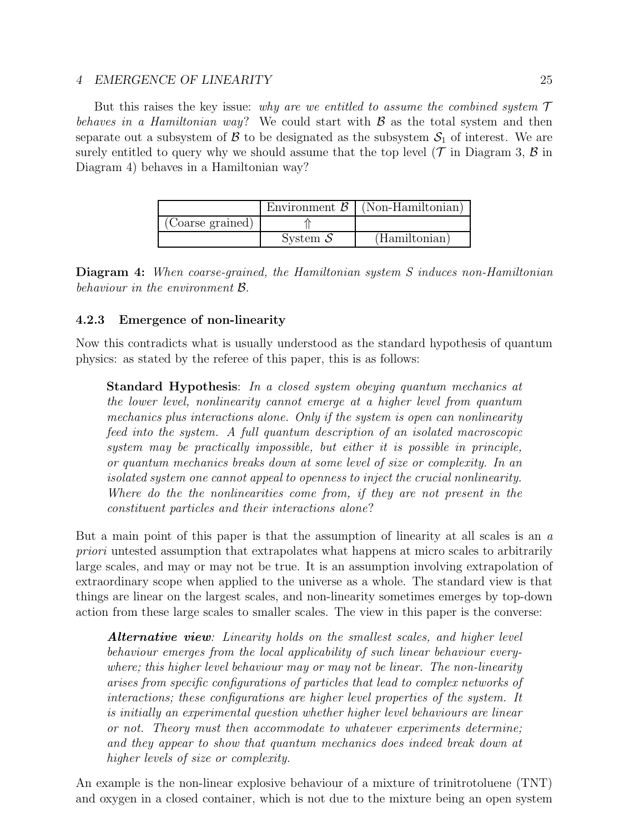But this raises the key issue: why are we entitled to assume the combined system  $\mathcal T$ behaves in a Hamiltonian way? We could start with  $\beta$  as the total system and then separate out a subsystem of  $\beta$  to be designated as the subsystem  $S_1$  of interest. We are surely entitled to query why we should assume that the top level  $(\mathcal{T})$  in Diagram 3,  $\mathcal{B}$  in Diagram 4) behaves in a Hamiltonian way?

|                 | Environment $\beta$ | (Non-Hamiltonian) |
|-----------------|---------------------|-------------------|
| Coarse grained) |                     |                   |
|                 | System $\mathcal S$ | (Hamiltonian)     |

Diagram 4: When coarse-grained, the Hamiltonian system S induces non-Hamiltonian behaviour in the environment B.

#### 4.2.3 Emergence of non-linearity

Now this contradicts what is usually understood as the standard hypothesis of quantum physics: as stated by the referee of this paper, this is as follows:

Standard Hypothesis: In a closed system obeying quantum mechanics at the lower level, nonlinearity cannot emerge at a higher level from quantum mechanics plus interactions alone. Only if the system is open can nonlinearity feed into the system. A full quantum description of an isolated macroscopic system may be practically impossible, but either it is possible in principle, or quantum mechanics breaks down at some level of size or complexity. In an isolated system one cannot appeal to openness to inject the crucial nonlinearity. Where do the the nonlinearities come from, if they are not present in the constituent particles and their interactions alone?

But a main point of this paper is that the assumption of linearity at all scales is an  $\alpha$ priori untested assumption that extrapolates what happens at micro scales to arbitrarily large scales, and may or may not be true. It is an assumption involving extrapolation of extraordinary scope when applied to the universe as a whole. The standard view is that things are linear on the largest scales, and non-linearity sometimes emerges by top-down action from these large scales to smaller scales. The view in this paper is the converse:

Alternative view: Linearity holds on the smallest scales, and higher level behaviour emerges from the local applicability of such linear behaviour everywhere; this higher level behaviour may or may not be linear. The non-linearity arises from specific configurations of particles that lead to complex networks of interactions; these configurations are higher level properties of the system. It is initially an experimental question whether higher level behaviours are linear or not. Theory must then accommodate to whatever experiments determine; and they appear to show that quantum mechanics does indeed break down at higher levels of size or complexity.

An example is the non-linear explosive behaviour of a mixture of trinitrotoluene (TNT) and oxygen in a closed container, which is not due to the mixture being an open system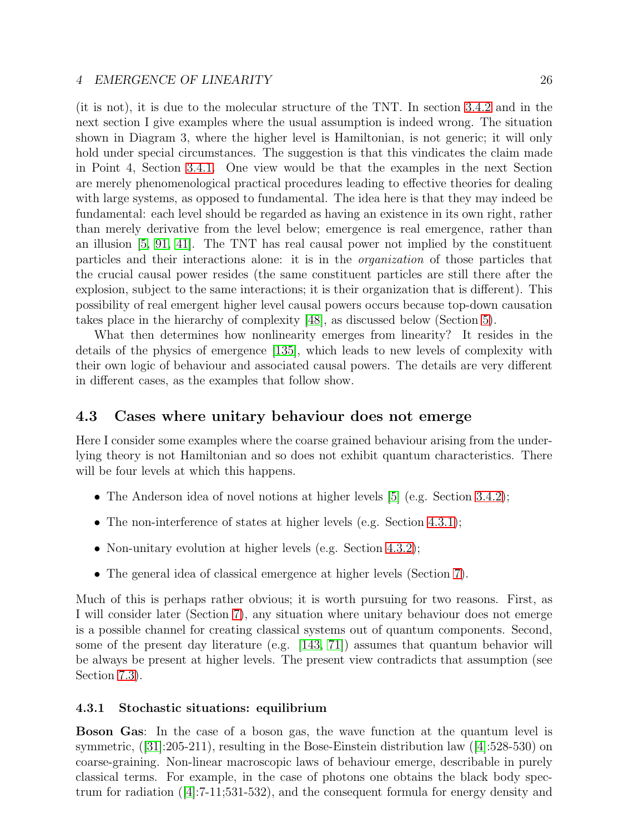(it is not), it is due to the molecular structure of the TNT. In section [3.4.2](#page-15-1) and in the next section I give examples where the usual assumption is indeed wrong. The situation shown in Diagram 3, where the higher level is Hamiltonian, is not generic; it will only hold under special circumstances. The suggestion is that this vindicates the claim made in Point 4, Section [3.4.1.](#page-15-2) One view would be that the examples in the next Section are merely phenomenological practical procedures leading to effective theories for dealing with large systems, as opposed to fundamental. The idea here is that they may indeed be fundamental: each level should be regarded as having an existence in its own right, rather than merely derivative from the level below; emergence is real emergence, rather than an illusion [\[5,](#page-55-4) [91,](#page-60-3) [41\]](#page-57-4). The TNT has real causal power not implied by the constituent particles and their interactions alone: it is in the organization of those particles that the crucial causal power resides (the same constituent particles are still there after the explosion, subject to the same interactions; it is their organization that is different). This possibility of real emergent higher level causal powers occurs because top-down causation takes place in the hierarchy of complexity [\[48\]](#page-57-9), as discussed below (Section [5\)](#page-30-0).

What then determines how nonlinearity emerges from linearity? It resides in the details of the physics of emergence [\[135\]](#page-62-7), which leads to new levels of complexity with their own logic of behaviour and associated causal powers. The details are very different in different cases, as the examples that follow show.

## <span id="page-25-0"></span>4.3 Cases where unitary behaviour does not emerge

Here I consider some examples where the coarse grained behaviour arising from the underlying theory is not Hamiltonian and so does not exhibit quantum characteristics. There will be four levels at which this happens.

- The Anderson idea of novel notions at higher levels [\[5\]](#page-55-4) (e.g. Section [3.4.2\)](#page-15-1);
- The non-interference of states at higher levels (e.g. Section [4.3.1\)](#page-25-1);
- Non-unitary evolution at higher levels (e.g. Section [4.3.2\)](#page-27-0);
- The general idea of classical emergence at higher levels (Section [7\)](#page-44-0).

Much of this is perhaps rather obvious; it is worth pursuing for two reasons. First, as I will consider later (Section [7\)](#page-44-0), any situation where unitary behaviour does not emerge is a possible channel for creating classical systems out of quantum components. Second, some of the present day literature (e.g. [\[143,](#page-63-2) [71\]](#page-59-1)) assumes that quantum behavior will be always be present at higher levels. The present view contradicts that assumption (see Section [7.3\)](#page-48-0).

#### <span id="page-25-1"></span>4.3.1 Stochastic situations: equilibrium

Boson Gas: In the case of a boson gas, the wave function at the quantum level is symmetric,  $([31]:205-211)$  $([31]:205-211)$  $([31]:205-211)$ , resulting in the Bose-Einstein distribution law  $([4]:528-530)$  $([4]:528-530)$  $([4]:528-530)$  on coarse-graining. Non-linear macroscopic laws of behaviour emerge, describable in purely classical terms. For example, in the case of photons one obtains the black body spectrum for radiation ([\[4\]](#page-55-3):7-11;531-532), and the consequent formula for energy density and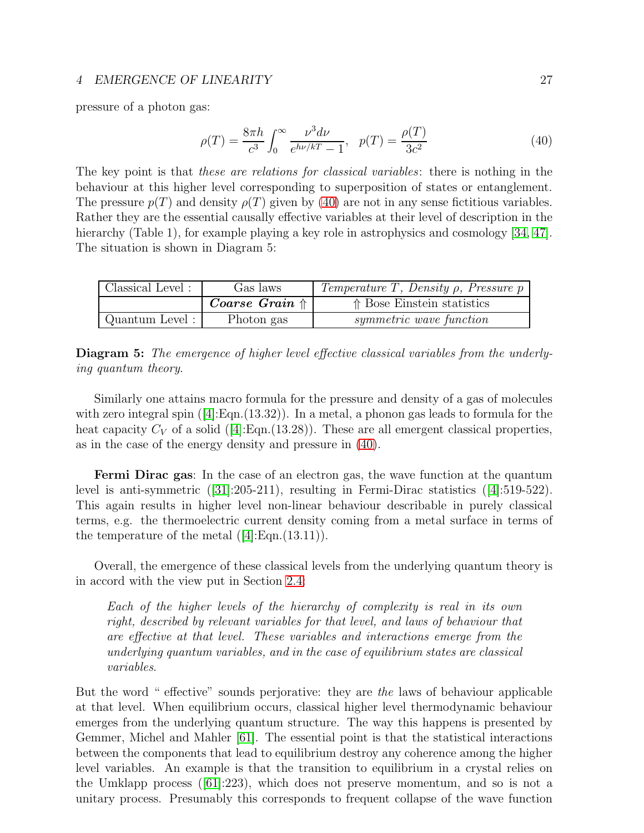pressure of a photon gas:

<span id="page-26-0"></span>
$$
\rho(T) = \frac{8\pi h}{c^3} \int_0^\infty \frac{\nu^3 d\nu}{e^{h\nu/kT} - 1}, \quad p(T) = \frac{\rho(T)}{3c^2}
$$
(40)

The key point is that *these are relations for classical variables*: there is nothing in the behaviour at this higher level corresponding to superposition of states or entanglement. The pressure  $p(T)$  and density  $p(T)$  given by [\(40\)](#page-26-0) are not in any sense fictitious variables. Rather they are the essential causally effective variables at their level of description in the hierarchy (Table 1), for example playing a key role in astrophysics and cosmology [\[34,](#page-56-9) [47\]](#page-57-10). The situation is shown in Diagram 5:

| Classical Level: | Gas laws                                    | Temperature T, Density $\rho$ , Pressure $p$ |
|------------------|---------------------------------------------|----------------------------------------------|
|                  | $\emph{Coarse }$ $\emph{Grain }$ $\Uparrow$ | ↑ Bose Einstein statistics                   |
| Quantum Level :  | Photon gas                                  | <i>symmetric wave function</i>               |

Diagram 5: The emergence of higher level effective classical variables from the underlying quantum theory.

Similarly one attains macro formula for the pressure and density of a gas of molecules with zero integral spin  $([4]:Eqn.(13.32))$  $([4]:Eqn.(13.32))$  $([4]:Eqn.(13.32))$ . In a metal, a phonon gas leads to formula for the heat capacity  $C_V$  of a solid ([\[4\]](#page-55-3):Eqn.(13.28)). These are all emergent classical properties, as in the case of the energy density and pressure in [\(40\)](#page-26-0).

Fermi Dirac gas: In the case of an electron gas, the wave function at the quantum level is anti-symmetric ([\[31\]](#page-56-4):205-211), resulting in Fermi-Dirac statistics ([\[4\]](#page-55-3):519-522). This again results in higher level non-linear behaviour describable in purely classical terms, e.g. the thermoelectric current density coming from a metal surface in terms of the temperature of the metal  $(|4|:Eqn.(13.11)).$ 

Overall, the emergence of these classical levels from the underlying quantum theory is in accord with the view put in Section [2.4:](#page-7-0)

Each of the higher levels of the hierarchy of complexity is real in its own right, described by relevant variables for that level, and laws of behaviour that are effective at that level. These variables and interactions emerge from the underlying quantum variables, and in the case of equilibrium states are classical variables.

But the word " effective" sounds perjorative: they are the laws of behaviour applicable at that level. When equilibrium occurs, classical higher level thermodynamic behaviour emerges from the underlying quantum structure. The way this happens is presented by Gemmer, Michel and Mahler [\[61\]](#page-58-9). The essential point is that the statistical interactions between the components that lead to equilibrium destroy any coherence among the higher level variables. An example is that the transition to equilibrium in a crystal relies on the Umklapp process ([\[61\]](#page-58-9):223), which does not preserve momentum, and so is not a unitary process. Presumably this corresponds to frequent collapse of the wave function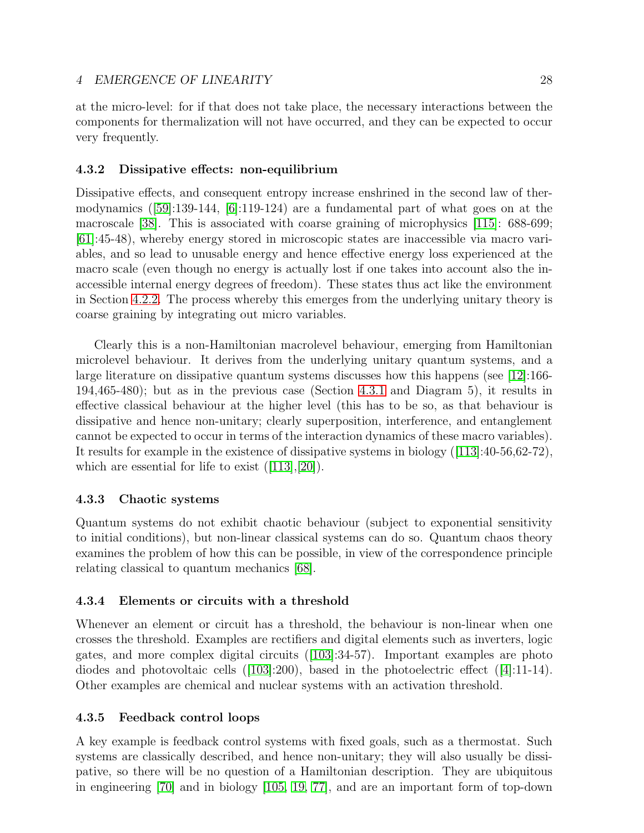at the micro-level: for if that does not take place, the necessary interactions between the components for thermalization will not have occurred, and they can be expected to occur very frequently.

#### <span id="page-27-0"></span>4.3.2 Dissipative effects: non-equilibrium

Dissipative effects, and consequent entropy increase enshrined in the second law of thermodynamics  $(59):139-144, 6|:119-124$  are a fundamental part of what goes on at the macroscale [\[38\]](#page-57-3). This is associated with coarse graining of microphysics [\[115\]](#page-61-1): 688-699; [\[61\]](#page-58-9):45-48), whereby energy stored in microscopic states are inaccessible via macro variables, and so lead to unusable energy and hence effective energy loss experienced at the macro scale (even though no energy is actually lost if one takes into account also the inaccessible internal energy degrees of freedom). These states thus act like the environment in Section [4.2.2.](#page-22-3) The process whereby this emerges from the underlying unitary theory is coarse graining by integrating out micro variables.

Clearly this is a non-Hamiltonian macrolevel behaviour, emerging from Hamiltonian microlevel behaviour. It derives from the underlying unitary quantum systems, and a large literature on dissipative quantum systems discusses how this happens (see [\[12\]](#page-55-6):166- 194,465-480); but as in the previous case (Section [4.3.1](#page-25-1) and Diagram 5), it results in effective classical behaviour at the higher level (this has to be so, as that behaviour is dissipative and hence non-unitary; clearly superposition, interference, and entanglement cannot be expected to occur in terms of the interaction dynamics of these macro variables). It results for example in the existence of dissipative systems in biology ([\[113\]](#page-61-5):40-56,62-72), which are essential for life to exist  $([113],[20])$  $([113],[20])$  $([113],[20])$  $([113],[20])$  $([113],[20])$ .

#### 4.3.3 Chaotic systems

Quantum systems do not exhibit chaotic behaviour (subject to exponential sensitivity to initial conditions), but non-linear classical systems can do so. Quantum chaos theory examines the problem of how this can be possible, in view of the correspondence principle relating classical to quantum mechanics [\[68\]](#page-58-13).

### <span id="page-27-1"></span>4.3.4 Elements or circuits with a threshold

Whenever an element or circuit has a threshold, the behaviour is non-linear when one crosses the threshold. Examples are rectifiers and digital elements such as inverters, logic gates, and more complex digital circuits ([\[103\]](#page-61-9):34-57). Important examples are photo diodes and photovoltaic cells ([\[103\]](#page-61-9):200), based in the photoelectric effect ([\[4\]](#page-55-3):11-14). Other examples are chemical and nuclear systems with an activation threshold.

### 4.3.5 Feedback control loops

A key example is feedback control systems with fixed goals, such as a thermostat. Such systems are classically described, and hence non-unitary; they will also usually be dissipative, so there will be no question of a Hamiltonian description. They are ubiquitous in engineering [\[70\]](#page-59-9) and in biology [\[105,](#page-61-10) [19,](#page-56-10) [77\]](#page-59-10), and are an important form of top-down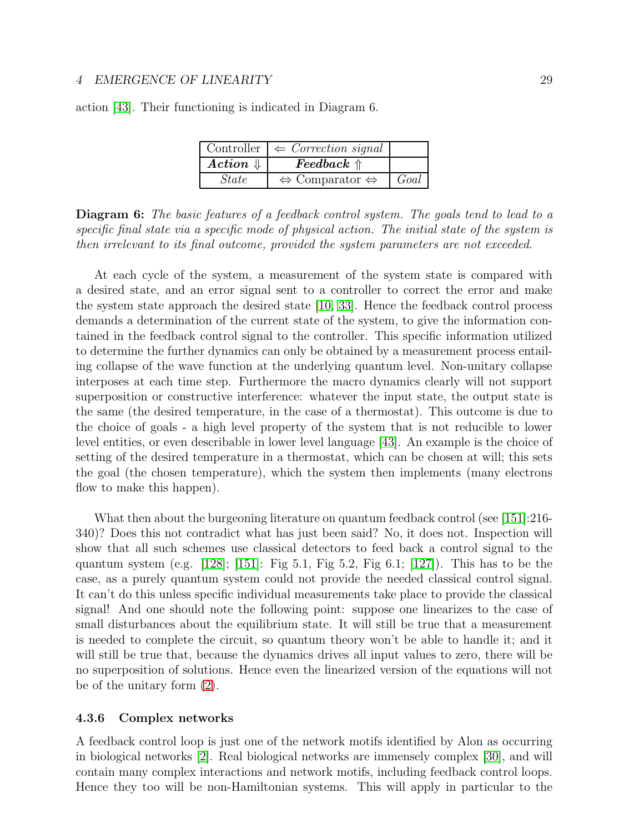action [\[43\]](#page-57-5). Their functioning is indicated in Diagram 6.

|                     | Controller $\vert \Leftarrow$ Correction signal |      |
|---------------------|-------------------------------------------------|------|
| $Action \Downarrow$ | <b>Feedback</b> $\Uparrow$                      |      |
| <i>State</i>        | $\Leftrightarrow$ Comparator $\Leftrightarrow$  | Goal |

Diagram 6: The basic features of a feedback control system. The goals tend to lead to a specific final state via a specific mode of physical action. The initial state of the system is then irrelevant to its final outcome, provided the system parameters are not exceeded.

At each cycle of the system, a measurement of the system state is compared with a desired state, and an error signal sent to a controller to correct the error and make the system state approach the desired state [\[10,](#page-55-11) [33\]](#page-56-11). Hence the feedback control process demands a determination of the current state of the system, to give the information contained in the feedback control signal to the controller. This specific information utilized to determine the further dynamics can only be obtained by a measurement process entailing collapse of the wave function at the underlying quantum level. Non-unitary collapse interposes at each time step. Furthermore the macro dynamics clearly will not support superposition or constructive interference: whatever the input state, the output state is the same (the desired temperature, in the case of a thermostat). This outcome is due to the choice of goals - a high level property of the system that is not reducible to lower level entities, or even describable in lower level language [\[43\]](#page-57-5). An example is the choice of setting of the desired temperature in a thermostat, which can be chosen at will; this sets the goal (the chosen temperature), which the system then implements (many electrons flow to make this happen).

What then about the burgeoning literature on quantum feedback control (see [\[151\]](#page-63-0):216- 340)? Does this not contradict what has just been said? No, it does not. Inspection will show that all such schemes use classical detectors to feed back a control signal to the quantum system (e.g. [\[128\]](#page-62-8); [\[151\]](#page-63-0): Fig 5.1, Fig 5.2, Fig 6.1; [\[127\]](#page-62-9)). This has to be the case, as a purely quantum system could not provide the needed classical control signal. It can't do this unless specific individual measurements take place to provide the classical signal! And one should note the following point: suppose one linearizes to the case of small disturbances about the equilibrium state. It will still be true that a measurement is needed to complete the circuit, so quantum theory won't be able to handle it; and it will still be true that, because the dynamics drives all input values to zero, there will be no superposition of solutions. Hence even the linearized version of the equations will not be of the unitary form [\(2\)](#page-2-5).

#### 4.3.6 Complex networks

A feedback control loop is just one of the network motifs identified by Alon as occurring in biological networks [\[2\]](#page-55-5). Real biological networks are immensely complex [\[30\]](#page-56-12), and will contain many complex interactions and network motifs, including feedback control loops. Hence they too will be non-Hamiltonian systems. This will apply in particular to the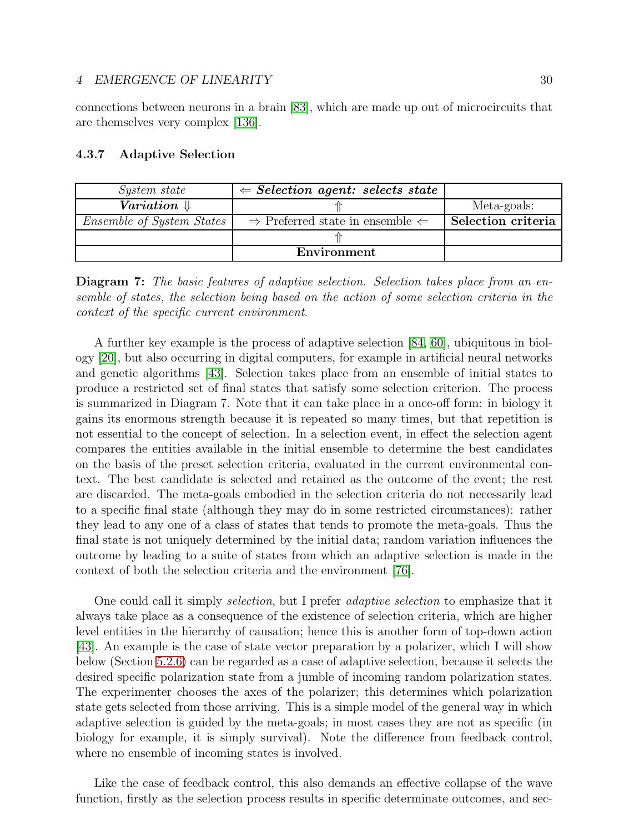connections between neurons in a brain [\[83\]](#page-59-4), which are made up out of microcircuits that are themselves very complex [\[136\]](#page-62-10).

#### <span id="page-29-0"></span>4.3.7 Adaptive Selection

| <i>System state</i>              | $\phi \in Selection \text{ } agent: \text{ } selects \text{ } state$ |                    |
|----------------------------------|----------------------------------------------------------------------|--------------------|
| <i>Variation</i> $\Downarrow$    |                                                                      | Meta-goals:        |
| <i>Ensemble of System States</i> | $\Rightarrow$ Preferred state in ensemble $\Leftarrow$               | Selection criteria |
|                                  |                                                                      |                    |
|                                  | Environment                                                          |                    |

**Diagram 7:** The basic features of adaptive selection. Selection takes place from an ensemble of states, the selection being based on the action of some selection criteria in the context of the specific current environment.

A further key example is the process of adaptive selection [\[84,](#page-59-2) [60\]](#page-58-5), ubiquitous in biology [\[20\]](#page-56-0), but also occurring in digital computers, for example in artificial neural networks and genetic algorithms [\[43\]](#page-57-5). Selection takes place from an ensemble of initial states to produce a restricted set of final states that satisfy some selection criterion. The process is summarized in Diagram 7. Note that it can take place in a once-off form: in biology it gains its enormous strength because it is repeated so many times, but that repetition is not essential to the concept of selection. In a selection event, in effect the selection agent compares the entities available in the initial ensemble to determine the best candidates on the basis of the preset selection criteria, evaluated in the current environmental context. The best candidate is selected and retained as the outcome of the event; the rest are discarded. The meta-goals embodied in the selection criteria do not necessarily lead to a specific final state (although they may do in some restricted circumstances): rather they lead to any one of a class of states that tends to promote the meta-goals. Thus the final state is not uniquely determined by the initial data; random variation influences the outcome by leading to a suite of states from which an adaptive selection is made in the context of both the selection criteria and the environment [\[76\]](#page-59-11).

One could call it simply *selection*, but I prefer *adaptive selection* to emphasize that it always take place as a consequence of the existence of selection criteria, which are higher level entities in the hierarchy of causation; hence this is another form of top-down action [\[43\]](#page-57-5). An example is the case of state vector preparation by a polarizer, which I will show below (Section [5.2.6\)](#page-35-0) can be regarded as a case of adaptive selection, because it selects the desired specific polarization state from a jumble of incoming random polarization states. The experimenter chooses the axes of the polarizer; this determines which polarization state gets selected from those arriving. This is a simple model of the general way in which adaptive selection is guided by the meta-goals; in most cases they are not as specific (in biology for example, it is simply survival). Note the difference from feedback control, where no ensemble of incoming states is involved.

Like the case of feedback control, this also demands an effective collapse of the wave function, firstly as the selection process results in specific determinate outcomes, and sec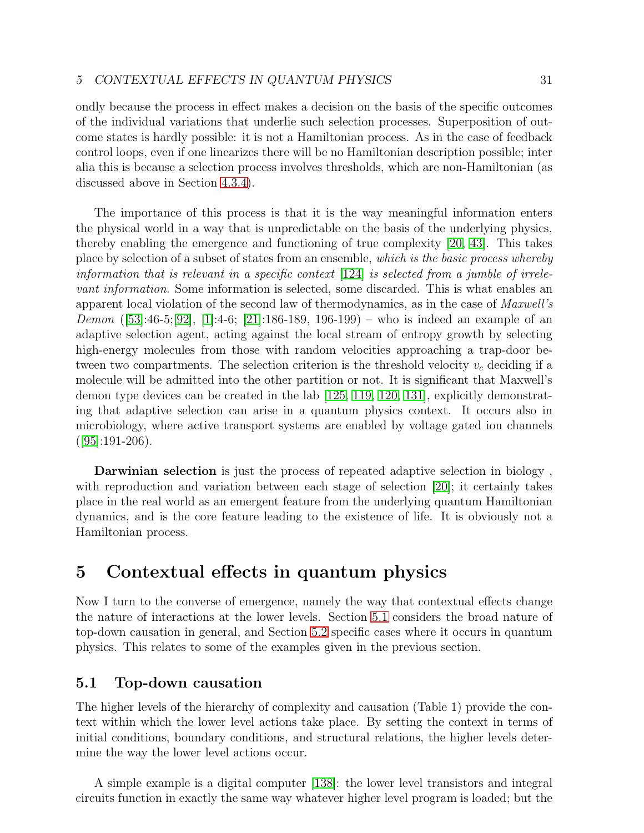ondly because the process in effect makes a decision on the basis of the specific outcomes of the individual variations that underlie such selection processes. Superposition of outcome states is hardly possible: it is not a Hamiltonian process. As in the case of feedback control loops, even if one linearizes there will be no Hamiltonian description possible; inter alia this is because a selection process involves thresholds, which are non-Hamiltonian (as discussed above in Section [4.3.4\)](#page-27-1).

The importance of this process is that it is the way meaningful information enters the physical world in a way that is unpredictable on the basis of the underlying physics, thereby enabling the emergence and functioning of true complexity [\[20,](#page-56-0) [43\]](#page-57-5). This takes place by selection of a subset of states from an ensemble, which is the basic process whereby information that is relevant in a specific context [\[124\]](#page-62-11) is selected from a jumble of irrelevant information. Some information is selected, some discarded. This is what enables an apparent local violation of the second law of thermodynamics, as in the case of Maxwell's *Demon* ([\[53\]](#page-58-14):46-5;[\[92\]](#page-60-7), [\[1\]](#page-55-1):4-6; [\[21\]](#page-56-2):186-189, 196-199) – who is indeed an example of an adaptive selection agent, acting against the local stream of entropy growth by selecting high-energy molecules from those with random velocities approaching a trap-door between two compartments. The selection criterion is the threshold velocity  $v_c$  deciding if a molecule will be admitted into the other partition or not. It is significant that Maxwell's demon type devices can be created in the lab [\[125,](#page-62-12) [119,](#page-61-11) [120,](#page-61-12) [131\]](#page-62-13), explicitly demonstrating that adaptive selection can arise in a quantum physics context. It occurs also in microbiology, where active transport systems are enabled by voltage gated ion channels  $([95]:191-206).$  $([95]:191-206).$  $([95]:191-206).$ 

Darwinian selection is just the process of repeated adaptive selection in biology , with reproduction and variation between each stage of selection [\[20\]](#page-56-0); it certainly takes place in the real world as an emergent feature from the underlying quantum Hamiltonian dynamics, and is the core feature leading to the existence of life. It is obviously not a Hamiltonian process.

## <span id="page-30-0"></span>5 Contextual effects in quantum physics

Now I turn to the converse of emergence, namely the way that contextual effects change the nature of interactions at the lower levels. Section [5.1](#page-30-1) considers the broad nature of top-down causation in general, and Section [5.2](#page-32-0) specific cases where it occurs in quantum physics. This relates to some of the examples given in the previous section.

## <span id="page-30-1"></span>5.1 Top-down causation

The higher levels of the hierarchy of complexity and causation (Table 1) provide the context within which the lower level actions take place. By setting the context in terms of initial conditions, boundary conditions, and structural relations, the higher levels determine the way the lower level actions occur.

A simple example is a digital computer [\[138\]](#page-63-10): the lower level transistors and integral circuits function in exactly the same way whatever higher level program is loaded; but the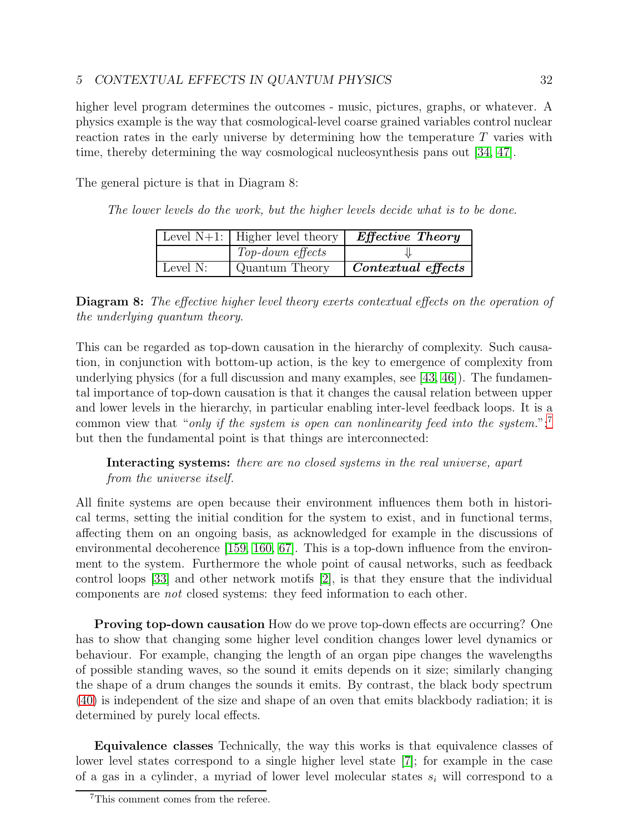higher level program determines the outcomes - music, pictures, graphs, or whatever. A physics example is the way that cosmological-level coarse grained variables control nuclear reaction rates in the early universe by determining how the temperature T varies with time, thereby determining the way cosmological nucleosynthesis pans out [\[34,](#page-56-9) [47\]](#page-57-10).

The general picture is that in Diagram 8:

The lower levels do the work, but the higher levels decide what is to be done.

|          | Level $N+1$ : Higher level theory | <b>Effective Theory</b> |
|----------|-----------------------------------|-------------------------|
|          | Top-down effects                  |                         |
| Level N: | Quantum Theory                    | Contextual effects      |

Diagram 8: The effective higher level theory exerts contextual effects on the operation of the underlying quantum theory.

This can be regarded as top-down causation in the hierarchy of complexity. Such causation, in conjunction with bottom-up action, is the key to emergence of complexity from underlying physics (for a full discussion and many examples, see  $[43, 46]$  $[43, 46]$ ). The fundamental importance of top-down causation is that it changes the causal relation between upper and lower levels in the hierarchy, in particular enabling inter-level feedback loops. It is a common view that "only if the system is open can nonlinearity feed into the system.";<sup>[7](#page-31-0)</sup> but then the fundamental point is that things are interconnected:

Interacting systems: there are no closed systems in the real universe, apart from the universe itself.

All finite systems are open because their environment influences them both in historical terms, setting the initial condition for the system to exist, and in functional terms, affecting them on an ongoing basis, as acknowledged for example in the discussions of environmental decoherence [\[159,](#page-64-4) [160,](#page-64-0) [67\]](#page-58-0). This is a top-down influence from the environment to the system. Furthermore the whole point of causal networks, such as feedback control loops [\[33\]](#page-56-11) and other network motifs [\[2\]](#page-55-5), is that they ensure that the individual components are not closed systems: they feed information to each other.

**Proving top-down causation** How do we prove top-down effects are occurring? One has to show that changing some higher level condition changes lower level dynamics or behaviour. For example, changing the length of an organ pipe changes the wavelengths of possible standing waves, so the sound it emits depends on it size; similarly changing the shape of a drum changes the sounds it emits. By contrast, the black body spectrum [\(40\)](#page-26-0) is independent of the size and shape of an oven that emits blackbody radiation; it is determined by purely local effects.

Equivalence classes Technically, the way this works is that equivalence classes of lower level states correspond to a single higher level state [\[7\]](#page-55-7); for example in the case of a gas in a cylinder, a myriad of lower level molecular states  $s_i$  will correspond to a

<span id="page-31-0"></span><sup>7</sup>This comment comes from the referee.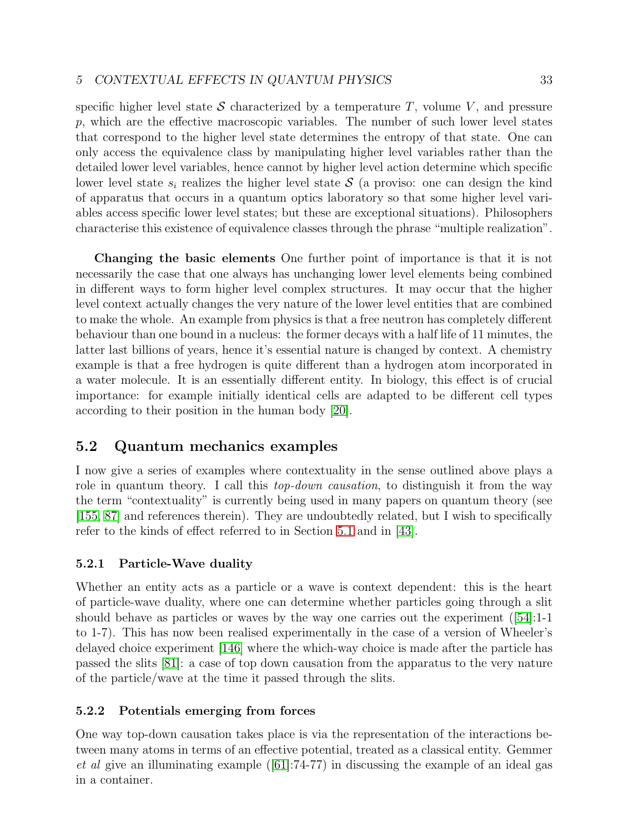specific higher level state S characterized by a temperature  $T$ , volume  $V$ , and pressure p, which are the effective macroscopic variables. The number of such lower level states that correspond to the higher level state determines the entropy of that state. One can only access the equivalence class by manipulating higher level variables rather than the detailed lower level variables, hence cannot by higher level action determine which specific lower level state  $s_i$  realizes the higher level state S (a proviso: one can design the kind of apparatus that occurs in a quantum optics laboratory so that some higher level variables access specific lower level states; but these are exceptional situations). Philosophers characterise this existence of equivalence classes through the phrase "multiple realization".

Changing the basic elements One further point of importance is that it is not necessarily the case that one always has unchanging lower level elements being combined in different ways to form higher level complex structures. It may occur that the higher level context actually changes the very nature of the lower level entities that are combined to make the whole. An example from physics is that a free neutron has completely different behaviour than one bound in a nucleus: the former decays with a half life of 11 minutes, the latter last billions of years, hence it's essential nature is changed by context. A chemistry example is that a free hydrogen is quite different than a hydrogen atom incorporated in a water molecule. It is an essentially different entity. In biology, this effect is of crucial importance: for example initially identical cells are adapted to be different cell types according to their position in the human body [\[20\]](#page-56-0).

## <span id="page-32-0"></span>5.2 Quantum mechanics examples

I now give a series of examples where contextuality in the sense outlined above plays a role in quantum theory. I call this *top-down causation*, to distinguish it from the way the term "contextuality" is currently being used in many papers on quantum theory (see [\[155,](#page-64-1) [87\]](#page-60-5) and references therein). They are undoubtedly related, but I wish to specifically refer to the kinds of effect referred to in Section [5.1](#page-30-1) and in [\[43\]](#page-57-5).

### 5.2.1 Particle-Wave duality

Whether an entity acts as a particle or a wave is context dependent: this is the heart of particle-wave duality, where one can determine whether particles going through a slit should behave as particles or waves by the way one carries out the experiment  $([54]:1-1$  $([54]:1-1$  $([54]:1-1$ to 1-7). This has now been realised experimentally in the case of a version of Wheeler's delayed choice experiment [\[146\]](#page-63-11) where the which-way choice is made after the particle has passed the slits [\[81\]](#page-59-12): a case of top down causation from the apparatus to the very nature of the particle/wave at the time it passed through the slits.

#### <span id="page-32-1"></span>5.2.2 Potentials emerging from forces

One way top-down causation takes place is via the representation of the interactions between many atoms in terms of an effective potential, treated as a classical entity. Gemmer et al give an illuminating example  $(61)$ :74-77) in discussing the example of an ideal gas in a container.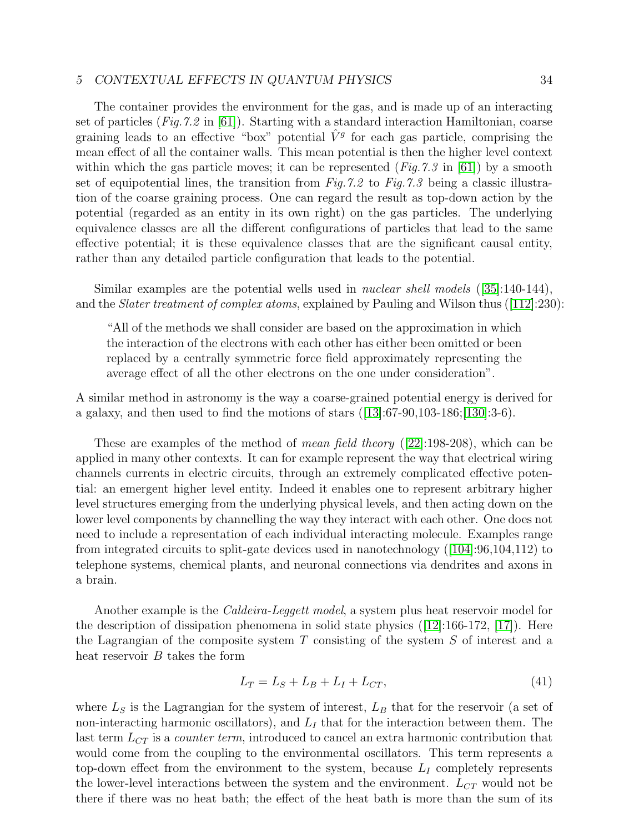The container provides the environment for the gas, and is made up of an interacting set of particles  $(Fiq.7.2 \text{ in } [61])$  $(Fiq.7.2 \text{ in } [61])$  $(Fiq.7.2 \text{ in } [61])$ . Starting with a standard interaction Hamiltonian, coarse graining leads to an effective "box" potential  $\hat{V}^g$  for each gas particle, comprising the mean effect of all the container walls. This mean potential is then the higher level context within which the gas particle moves; it can be represented  $(Fig.7.3 \text{ in } [61])$  $(Fig.7.3 \text{ in } [61])$  $(Fig.7.3 \text{ in } [61])$  by a smooth set of equipotential lines, the transition from  $Fig.7.2$  to  $Fig.7.3$  being a classic illustration of the coarse graining process. One can regard the result as top-down action by the potential (regarded as an entity in its own right) on the gas particles. The underlying equivalence classes are all the different configurations of particles that lead to the same effective potential; it is these equivalence classes that are the significant causal entity, rather than any detailed particle configuration that leads to the potential.

Similar examples are the potential wells used in *nuclear shell models* ([\[35\]](#page-56-13):140-144), and the *Slater treatment of complex atoms*, explained by Pauling and Wilson thus  $([112]:230)$  $([112]:230)$  $([112]:230)$ :

"All of the methods we shall consider are based on the approximation in which the interaction of the electrons with each other has either been omitted or been replaced by a centrally symmetric force field approximately representing the average effect of all the other electrons on the one under consideration".

A similar method in astronomy is the way a coarse-grained potential energy is derived for a galaxy, and then used to find the motions of stars  $([13]:67-90,103-186;[130]:3-6)$  $([13]:67-90,103-186;[130]:3-6)$  $([13]:67-90,103-186;[130]:3-6)$  $([13]:67-90,103-186;[130]:3-6)$  $([13]:67-90,103-186;[130]:3-6)$ .

These are examples of the method of *mean field theory* ([\[22\]](#page-56-7):198-208), which can be applied in many other contexts. It can for example represent the way that electrical wiring channels currents in electric circuits, through an extremely complicated effective potential: an emergent higher level entity. Indeed it enables one to represent arbitrary higher level structures emerging from the underlying physical levels, and then acting down on the lower level components by channelling the way they interact with each other. One does not need to include a representation of each individual interacting molecule. Examples range from integrated circuits to split-gate devices used in nanotechnology ([\[104\]](#page-61-7):96,104,112) to telephone systems, chemical plants, and neuronal connections via dendrites and axons in a brain.

Another example is the *Caldeira-Leggett model*, a system plus heat reservoir model for the description of dissipation phenomena in solid state physics  $(12):166-172, 17]$ . Here the Lagrangian of the composite system  $T$  consisting of the system  $S$  of interest and a heat reservoir  $B$  takes the form

$$
L_T = L_S + L_B + L_I + L_{CT},
$$
\n(41)

where  $L<sub>S</sub>$  is the Lagrangian for the system of interest,  $L<sub>B</sub>$  that for the reservoir (a set of non-interacting harmonic oscillators), and  $L_I$  that for the interaction between them. The last term  $L_{CT}$  is a *counter term*, introduced to cancel an extra harmonic contribution that would come from the coupling to the environmental oscillators. This term represents a top-down effect from the environment to the system, because  $L_I$  completely represents the lower-level interactions between the system and the environment.  $L_{CT}$  would not be there if there was no heat bath; the effect of the heat bath is more than the sum of its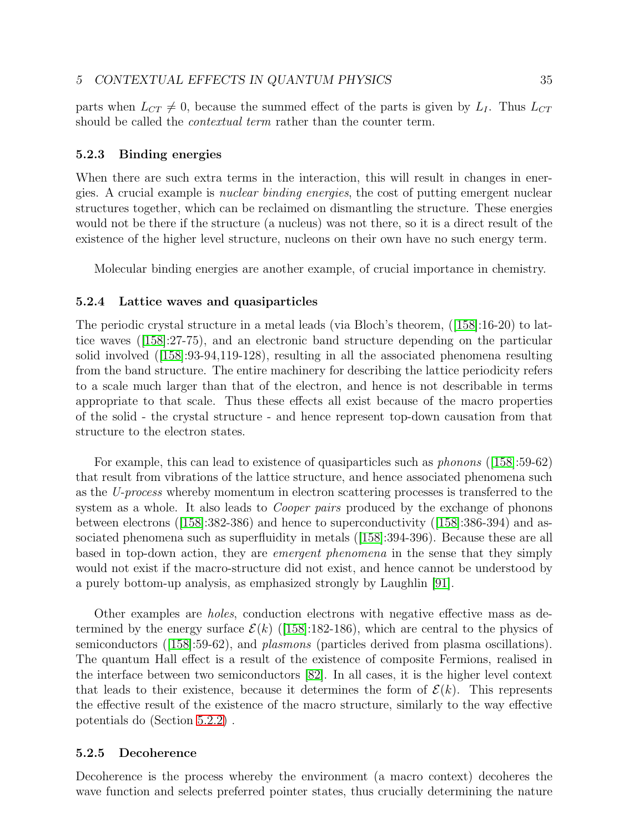parts when  $L_{CT} \neq 0$ , because the summed effect of the parts is given by  $L_I$ . Thus  $L_{CT}$ should be called the *contextual term* rather than the counter term.

#### 5.2.3 Binding energies

When there are such extra terms in the interaction, this will result in changes in energies. A crucial example is nuclear binding energies, the cost of putting emergent nuclear structures together, which can be reclaimed on dismantling the structure. These energies would not be there if the structure (a nucleus) was not there, so it is a direct result of the existence of the higher level structure, nucleons on their own have no such energy term.

Molecular binding energies are another example, of crucial importance in chemistry.

#### 5.2.4 Lattice waves and quasiparticles

The periodic crystal structure in a metal leads (via Bloch's theorem, ([\[158\]](#page-64-2):16-20) to lattice waves ([\[158\]](#page-64-2):27-75), and an electronic band structure depending on the particular solid involved ([\[158\]](#page-64-2):93-94,119-128), resulting in all the associated phenomena resulting from the band structure. The entire machinery for describing the lattice periodicity refers to a scale much larger than that of the electron, and hence is not describable in terms appropriate to that scale. Thus these effects all exist because of the macro properties of the solid - the crystal structure - and hence represent top-down causation from that structure to the electron states.

For example, this can lead to existence of quasiparticles such as *phonons* ([\[158\]](#page-64-2):59-62) that result from vibrations of the lattice structure, and hence associated phenomena such as the U-process whereby momentum in electron scattering processes is transferred to the system as a whole. It also leads to *Cooper pairs* produced by the exchange of phonons between electrons ([\[158\]](#page-64-2):382-386) and hence to superconductivity ([\[158\]](#page-64-2):386-394) and associated phenomena such as superfluidity in metals ([\[158\]](#page-64-2):394-396). Because these are all based in top-down action, they are emergent phenomena in the sense that they simply would not exist if the macro-structure did not exist, and hence cannot be understood by a purely bottom-up analysis, as emphasized strongly by Laughlin [\[91\]](#page-60-3).

Other examples are holes, conduction electrons with negative effective mass as determined by the energy surface  $\mathcal{E}(k)$  ([\[158\]](#page-64-2):182-186), which are central to the physics of semiconductors ( $[158]:59-62$  $[158]:59-62$ ), and *plasmons* (particles derived from plasma oscillations). The quantum Hall effect is a result of the existence of composite Fermions, realised in the interface between two semiconductors [\[82\]](#page-59-13). In all cases, it is the higher level context that leads to their existence, because it determines the form of  $\mathcal{E}(k)$ . This represents the effective result of the existence of the macro structure, similarly to the way effective potentials do (Section [5.2.2\)](#page-32-1) .

#### 5.2.5 Decoherence

Decoherence is the process whereby the environment (a macro context) decoheres the wave function and selects preferred pointer states, thus crucially determining the nature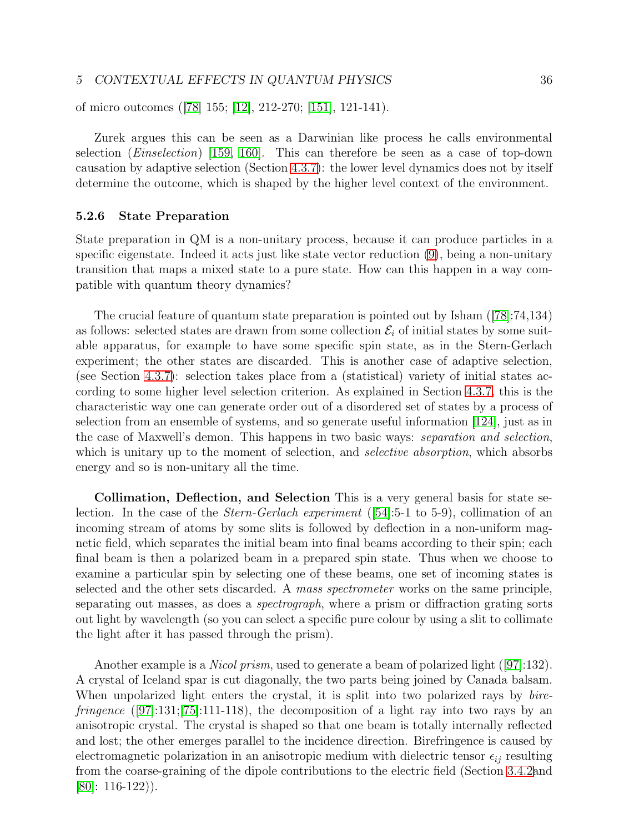of micro outcomes ([\[78\]](#page-59-0) 155; [\[12\]](#page-55-6), 212-270; [\[151\]](#page-63-0), 121-141).

Zurek argues this can be seen as a Darwinian like process he calls environmental selection (Einselection) [\[159,](#page-64-4) [160\]](#page-64-0). This can therefore be seen as a case of top-down causation by adaptive selection (Section [4.3.7\)](#page-29-0): the lower level dynamics does not by itself determine the outcome, which is shaped by the higher level context of the environment.

#### <span id="page-35-0"></span>5.2.6 State Preparation

State preparation in QM is a non-unitary process, because it can produce particles in a specific eigenstate. Indeed it acts just like state vector reduction [\(9\)](#page-3-1), being a non-unitary transition that maps a mixed state to a pure state. How can this happen in a way compatible with quantum theory dynamics?

The crucial feature of quantum state preparation is pointed out by Isham ([\[78\]](#page-59-0):74,134) as follows: selected states are drawn from some collection  $\mathcal{E}_i$  of initial states by some suitable apparatus, for example to have some specific spin state, as in the Stern-Gerlach experiment; the other states are discarded. This is another case of adaptive selection, (see Section [4.3.7\)](#page-29-0): selection takes place from a (statistical) variety of initial states according to some higher level selection criterion. As explained in Section [4.3.7,](#page-29-0) this is the characteristic way one can generate order out of a disordered set of states by a process of selection from an ensemble of systems, and so generate useful information [\[124\]](#page-62-11), just as in the case of Maxwell's demon. This happens in two basic ways: separation and selection, which is unitary up to the moment of selection, and *selective absorption*, which absorbs energy and so is non-unitary all the time.

Collimation, Deflection, and Selection This is a very general basis for state selection. In the case of the *Stern-Gerlach experiment* ([\[54\]](#page-58-2):5-1 to 5-9), collimation of an incoming stream of atoms by some slits is followed by deflection in a non-uniform magnetic field, which separates the initial beam into final beams according to their spin; each final beam is then a polarized beam in a prepared spin state. Thus when we choose to examine a particular spin by selecting one of these beams, one set of incoming states is selected and the other sets discarded. A mass spectrometer works on the same principle, separating out masses, as does a *spectrograph*, where a prism or diffraction grating sorts out light by wavelength (so you can select a specific pure colour by using a slit to collimate the light after it has passed through the prism).

Another example is a *Nicol prism*, used to generate a beam of polarized light ([\[97\]](#page-60-6):132). A crystal of Iceland spar is cut diagonally, the two parts being joined by Canada balsam. When unpolarized light enters the crystal, it is split into two polarized rays by bire*fringence* ([\[97\]](#page-60-6):131;[\[75\]](#page-59-6):111-118), the decomposition of a light ray into two rays by an anisotropic crystal. The crystal is shaped so that one beam is totally internally reflected and lost; the other emerges parallel to the incidence direction. Birefringence is caused by electromagnetic polarization in an anisotropic medium with dielectric tensor  $\epsilon_{ij}$  resulting from the coarse-graining of the dipole contributions to the electric field (Section [3.4.2a](#page-15-1)nd  $[80]$ : 116-122)).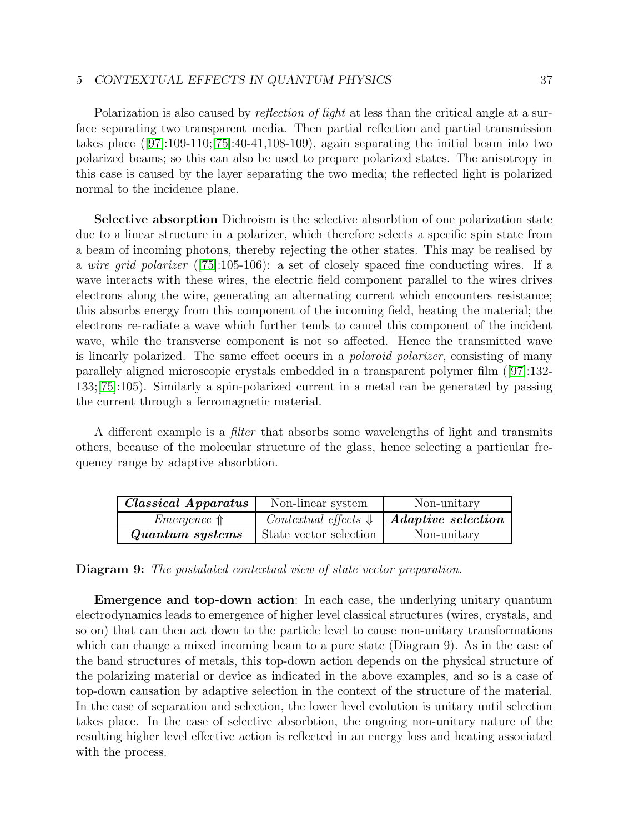Polarization is also caused by *reflection of light* at less than the critical angle at a surface separating two transparent media. Then partial reflection and partial transmission takes place  $([97]:109-110; [75]:40-41,108-109)$  $([97]:109-110; [75]:40-41,108-109)$  $([97]:109-110; [75]:40-41,108-109)$  $([97]:109-110; [75]:40-41,108-109)$  $([97]:109-110; [75]:40-41,108-109)$ , again separating the initial beam into two polarized beams; so this can also be used to prepare polarized states. The anisotropy in this case is caused by the layer separating the two media; the reflected light is polarized normal to the incidence plane.

Selective absorption Dichroism is the selective absorbtion of one polarization state due to a linear structure in a polarizer, which therefore selects a specific spin state from a beam of incoming photons, thereby rejecting the other states. This may be realised by a wire grid polarizer ([\[75\]](#page-59-6):105-106): a set of closely spaced fine conducting wires. If a wave interacts with these wires, the electric field component parallel to the wires drives electrons along the wire, generating an alternating current which encounters resistance; this absorbs energy from this component of the incoming field, heating the material; the electrons re-radiate a wave which further tends to cancel this component of the incident wave, while the transverse component is not so affected. Hence the transmitted wave is linearly polarized. The same effect occurs in a *polaroid polarizer*, consisting of many parallely aligned microscopic crystals embedded in a transparent polymer film ([\[97\]](#page-60-6):132- 133;[\[75\]](#page-59-6):105). Similarly a spin-polarized current in a metal can be generated by passing the current through a ferromagnetic material.

A different example is a filter that absorbs some wavelengths of light and transmits others, because of the molecular structure of the glass, hence selecting a particular frequency range by adaptive absorbtion.

| <i>Classical Apparatus</i> | Non-linear system               | Non-unitary               |
|----------------------------|---------------------------------|---------------------------|
| $E$ mergence $\Uparrow$    | Contextual effects $\Downarrow$ | <i>Adaptive selection</i> |
| Quantum systems            | State vector selection          | Non-unitary               |

Diagram 9: The postulated contextual view of state vector preparation.

Emergence and top-down action: In each case, the underlying unitary quantum electrodynamics leads to emergence of higher level classical structures (wires, crystals, and so on) that can then act down to the particle level to cause non-unitary transformations which can change a mixed incoming beam to a pure state (Diagram 9). As in the case of the band structures of metals, this top-down action depends on the physical structure of the polarizing material or device as indicated in the above examples, and so is a case of top-down causation by adaptive selection in the context of the structure of the material. In the case of separation and selection, the lower level evolution is unitary until selection takes place. In the case of selective absorbtion, the ongoing non-unitary nature of the resulting higher level effective action is reflected in an energy loss and heating associated with the process.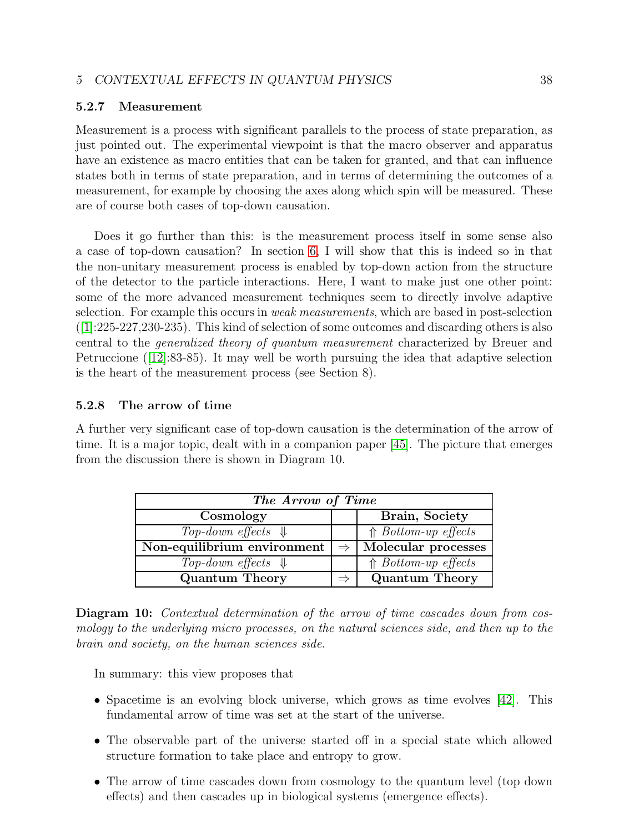## 5.2.7 Measurement

Measurement is a process with significant parallels to the process of state preparation, as just pointed out. The experimental viewpoint is that the macro observer and apparatus have an existence as macro entities that can be taken for granted, and that can influence states both in terms of state preparation, and in terms of determining the outcomes of a measurement, for example by choosing the axes along which spin will be measured. These are of course both cases of top-down causation.

Does it go further than this: is the measurement process itself in some sense also a case of top-down causation? In section [6,](#page-38-0) I will show that this is indeed so in that the non-unitary measurement process is enabled by top-down action from the structure of the detector to the particle interactions. Here, I want to make just one other point: some of the more advanced measurement techniques seem to directly involve adaptive selection. For example this occurs in weak measurements, which are based in post-selection  $(11:225-227,230-235)$ . This kind of selection of some outcomes and discarding others is also central to the generalized theory of quantum measurement characterized by Breuer and Petruccione ([\[12\]](#page-55-6):83-85). It may well be worth pursuing the idea that adaptive selection is the heart of the measurement process (see Section 8).

## 5.2.8 The arrow of time

A further very significant case of top-down causation is the determination of the arrow of time. It is a major topic, dealt with in a companion paper [\[45\]](#page-57-0). The picture that emerges from the discussion there is shown in Diagram 10.

| The Arrow of Time             |               |                              |  |
|-------------------------------|---------------|------------------------------|--|
| Cosmology                     |               | Brain, Society               |  |
| Top-down effects $\Downarrow$ |               | $\Uparrow$ Bottom-up effects |  |
| Non-equilibrium environment   | $\Rightarrow$ | Molecular processes          |  |
| Top-down effects $\Downarrow$ |               | $\Uparrow$ Bottom-up effects |  |
| <b>Quantum Theory</b>         |               | <b>Quantum Theory</b>        |  |

Diagram 10: Contextual determination of the arrow of time cascades down from cosmology to the underlying micro processes, on the natural sciences side, and then up to the brain and society, on the human sciences side.

In summary: this view proposes that

- Spacetime is an evolving block universe, which grows as time evolves [\[42\]](#page-57-1). This fundamental arrow of time was set at the start of the universe.
- The observable part of the universe started off in a special state which allowed structure formation to take place and entropy to grow.
- The arrow of time cascades down from cosmology to the quantum level (top down effects) and then cascades up in biological systems (emergence effects).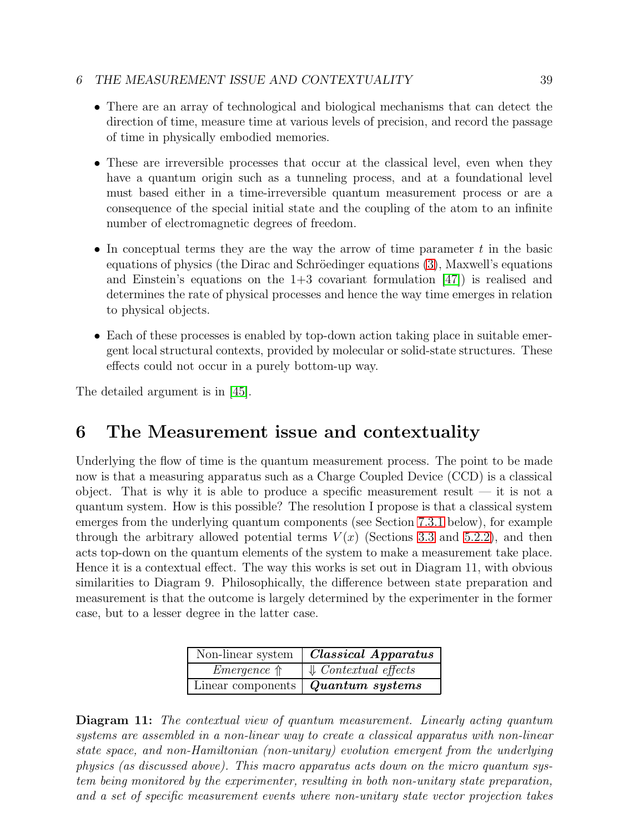## 6 THE MEASUREMENT ISSUE AND CONTEXTUALITY 39

- There are an array of technological and biological mechanisms that can detect the direction of time, measure time at various levels of precision, and record the passage of time in physically embodied memories.
- These are irreversible processes that occur at the classical level, even when they have a quantum origin such as a tunneling process, and at a foundational level must based either in a time-irreversible quantum measurement process or are a consequence of the special initial state and the coupling of the atom to an infinite number of electromagnetic degrees of freedom.
- In conceptual terms they are the way the arrow of time parameter  $t$  in the basic equations of physics (the Dirac and Schröedinger equations  $(3)$ , Maxwell's equations and Einstein's equations on the  $1+3$  covariant formulation  $|47|$ ) is realised and determines the rate of physical processes and hence the way time emerges in relation to physical objects.
- Each of these processes is enabled by top-down action taking place in suitable emergent local structural contexts, provided by molecular or solid-state structures. These effects could not occur in a purely bottom-up way.

The detailed argument is in [\[45\]](#page-57-0).

## <span id="page-38-0"></span>6 The Measurement issue and contextuality

Underlying the flow of time is the quantum measurement process. The point to be made now is that a measuring apparatus such as a Charge Coupled Device (CCD) is a classical object. That is why it is able to produce a specific measurement result  $-$  it is not a quantum system. How is this possible? The resolution I propose is that a classical system emerges from the underlying quantum components (see Section [7.3.1](#page-49-0) below), for example through the arbitrary allowed potential terms  $V(x)$  (Sections [3.3](#page-12-0) and [5.2.2\)](#page-32-1), and then acts top-down on the quantum elements of the system to make a measurement take place. Hence it is a contextual effect. The way this works is set out in Diagram 11, with obvious similarities to Diagram 9. Philosophically, the difference between state preparation and measurement is that the outcome is largely determined by the experimenter in the former case, but to a lesser degree in the latter case.

| Non-linear system              | <i>Classical Apparatus</i>      |
|--------------------------------|---------------------------------|
| $E$ <i>mergence</i> $\Uparrow$ | $\downarrow$ Contextual effects |
| Linear components              | Quantum systems                 |

Diagram 11: The contextual view of quantum measurement. Linearly acting quantum systems are assembled in a non-linear way to create a classical apparatus with non-linear state space, and non-Hamiltonian (non-unitary) evolution emergent from the underlying physics (as discussed above). This macro apparatus acts down on the micro quantum system being monitored by the experimenter, resulting in both non-unitary state preparation, and a set of specific measurement events where non-unitary state vector projection takes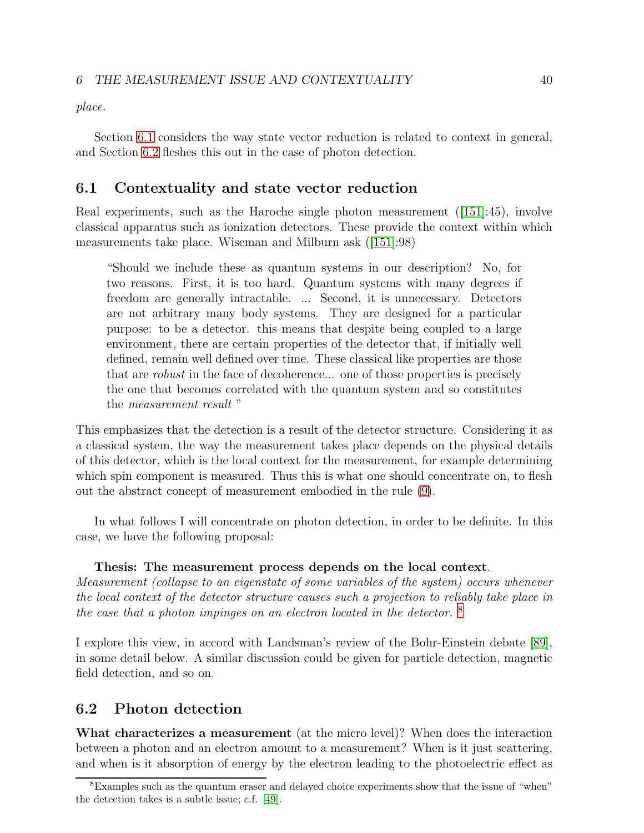place.

Section [6.1](#page-39-0) considers the way state vector reduction is related to context in general, and Section [6.2](#page-39-1) fleshes this out in the case of photon detection.

## <span id="page-39-0"></span>6.1 Contextuality and state vector reduction

Real experiments, such as the Haroche single photon measurement ([\[151\]](#page-63-0):45), involve classical apparatus such as ionization detectors. These provide the context within which measurements take place. Wiseman and Milburn ask ([\[151\]](#page-63-0):98)

"Should we include these as quantum systems in our description? No, for two reasons. First, it is too hard. Quantum systems with many degrees if freedom are generally intractable. ... Second, it is unnecessary. Detectors are not arbitrary many body systems. They are designed for a particular purpose: to be a detector. this means that despite being coupled to a large environment, there are certain properties of the detector that, if initially well defined, remain well defined over time. These classical like properties are those that are robust in the face of decoherence... one of those properties is precisely the one that becomes correlated with the quantum system and so constitutes the measurement result "

This emphasizes that the detection is a result of the detector structure. Considering it as a classical system, the way the measurement takes place depends on the physical details of this detector, which is the local context for the measurement, for example determining which spin component is measured. Thus this is what one should concentrate on, to flesh out the abstract concept of measurement embodied in the rule [\(9\)](#page-3-1).

In what follows I will concentrate on photon detection, in order to be definite. In this case, we have the following proposal:

#### Thesis: The measurement process depends on the local context.

Measurement (collapse to an eigenstate of some variables of the system) occurs whenever the local context of the detector structure causes such a projection to reliably take place in the case that a photon impinges on an electron located in the detector.  $8$ 

I explore this view, in accord with Landsman's review of the Bohr-Einstein debate [\[89\]](#page-60-9), in some detail below. A similar discussion could be given for particle detection, magnetic field detection, and so on.

## <span id="page-39-1"></span>6.2 Photon detection

What characterizes a measurement (at the micro level)? When does the interaction between a photon and an electron amount to a measurement? When is it just scattering, and when is it absorption of energy by the electron leading to the photoelectric effect as

<span id="page-39-2"></span><sup>8</sup>Examples such as the quantum eraser and delayed choice experiments show that the issue of "when" the detection takes is a subtle issue; c.f. [\[49\]](#page-57-2).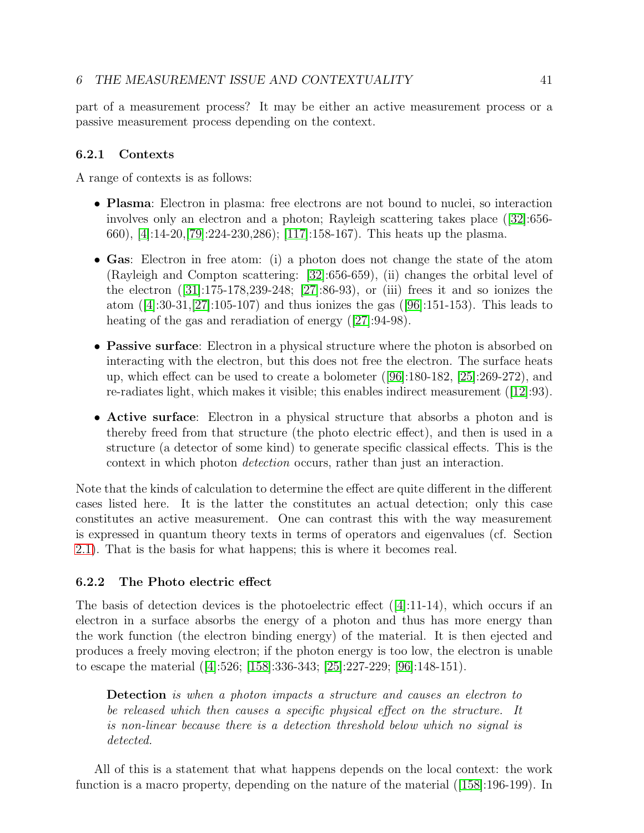## 6 THE MEASUREMENT ISSUE AND CONTEXTUALITY 41

part of a measurement process? It may be either an active measurement process or a passive measurement process depending on the context.

## 6.2.1 Contexts

A range of contexts is as follows:

- **Plasma**: Electron in plasma: free electrons are not bound to nuclei, so interaction involves only an electron and a photon; Rayleigh scattering takes place ([\[32\]](#page-56-15):656- 660), [\[4\]](#page-55-3):14-20,[\[79\]](#page-59-3):224-230,286); [\[117\]](#page-61-8):158-167). This heats up the plasma.
- Gas: Electron in free atom: (i) a photon does not change the state of the atom (Rayleigh and Compton scattering: [\[32\]](#page-56-15):656-659), (ii) changes the orbital level of the electron ([\[31\]](#page-56-4):175-178,239-248; [\[27\]](#page-56-8):86-93), or (iii) frees it and so ionizes the atom  $([4]:30-31,[27]:105-107)$  $([4]:30-31,[27]:105-107)$  $([4]:30-31,[27]:105-107)$  $([4]:30-31,[27]:105-107)$  $([4]:30-31,[27]:105-107)$  and thus ionizes the gas  $([96]:151-153)$  $([96]:151-153)$  $([96]:151-153)$ . This leads to heating of the gas and reradiation of energy ([\[27\]](#page-56-8):94-98).
- **Passive surface**: Electron in a physical structure where the photon is absorbed on interacting with the electron, but this does not free the electron. The surface heats up, which effect can be used to create a bolometer ([\[96\]](#page-60-10):180-182, [\[25\]](#page-56-16):269-272), and re-radiates light, which makes it visible; this enables indirect measurement ([\[12\]](#page-55-6):93).
- Active surface: Electron in a physical structure that absorbs a photon and is thereby freed from that structure (the photo electric effect), and then is used in a structure (a detector of some kind) to generate specific classical effects. This is the context in which photon detection occurs, rather than just an interaction.

Note that the kinds of calculation to determine the effect are quite different in the different cases listed here. It is the latter the constitutes an actual detection; only this case constitutes an active measurement. One can contrast this with the way measurement is expressed in quantum theory texts in terms of operators and eigenvalues (cf. Section [2.1\)](#page-2-1). That is the basis for what happens; this is where it becomes real.

## 6.2.2 The Photo electric effect

The basis of detection devices is the photoelectric effect  $(4:11-14)$ , which occurs if an electron in a surface absorbs the energy of a photon and thus has more energy than the work function (the electron binding energy) of the material. It is then ejected and produces a freely moving electron; if the photon energy is too low, the electron is unable to escape the material ([\[4\]](#page-55-3):526; [\[158\]](#page-64-2):336-343; [\[25\]](#page-56-16):227-229; [\[96\]](#page-60-10):148-151).

Detection is when a photon impacts a structure and causes an electron to be released which then causes a specific physical effect on the structure. It is non-linear because there is a detection threshold below which no signal is detected.

All of this is a statement that what happens depends on the local context: the work function is a macro property, depending on the nature of the material ([\[158\]](#page-64-2):196-199). In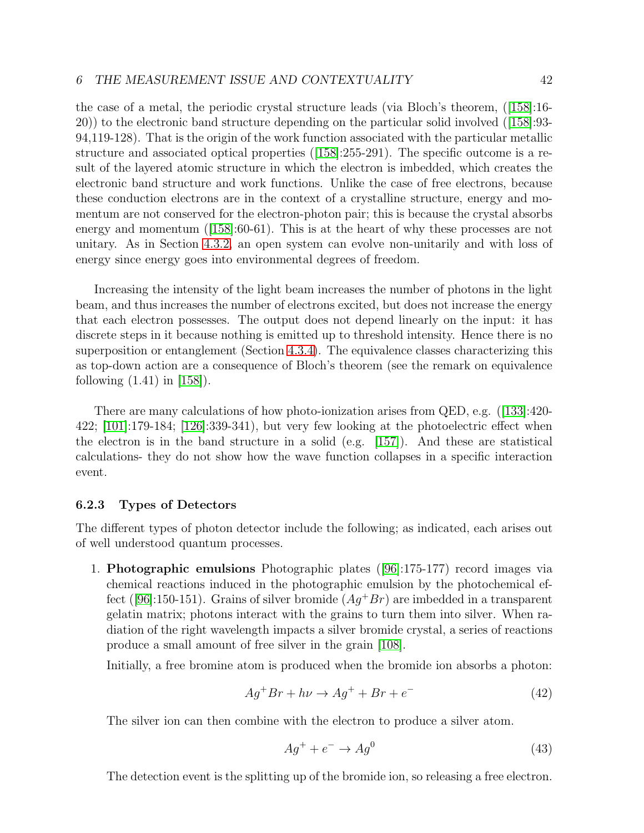the case of a metal, the periodic crystal structure leads (via Bloch's theorem, ([\[158\]](#page-64-2):16- 20)) to the electronic band structure depending on the particular solid involved ([\[158\]](#page-64-2):93- 94,119-128). That is the origin of the work function associated with the particular metallic structure and associated optical properties ([\[158\]](#page-64-2):255-291). The specific outcome is a result of the layered atomic structure in which the electron is imbedded, which creates the electronic band structure and work functions. Unlike the case of free electrons, because these conduction electrons are in the context of a crystalline structure, energy and momentum are not conserved for the electron-photon pair; this is because the crystal absorbs energy and momentum ( $|158|:60-61$ ). This is at the heart of why these processes are not unitary. As in Section [4.3.2,](#page-27-0) an open system can evolve non-unitarily and with loss of energy since energy goes into environmental degrees of freedom.

Increasing the intensity of the light beam increases the number of photons in the light beam, and thus increases the number of electrons excited, but does not increase the energy that each electron possesses. The output does not depend linearly on the input: it has discrete steps in it because nothing is emitted up to threshold intensity. Hence there is no superposition or entanglement (Section [4.3.4\)](#page-27-1). The equivalence classes characterizing this as top-down action are a consequence of Bloch's theorem (see the remark on equivalence following  $(1.41)$  in  $[158]$ ).

There are many calculations of how photo-ionization arises from QED, e.g. ([\[133\]](#page-62-4):420- 422; [\[101\]](#page-60-11):179-184; [\[126\]](#page-62-6):339-341), but very few looking at the photoelectric effect when the electron is in the band structure in a solid (e.g.  $[157]$ ). And these are statistical calculations- they do not show how the wave function collapses in a specific interaction event.

#### <span id="page-41-0"></span>6.2.3 Types of Detectors

The different types of photon detector include the following; as indicated, each arises out of well understood quantum processes.

1. Photographic emulsions Photographic plates ([\[96\]](#page-60-10):175-177) record images via chemical reactions induced in the photographic emulsion by the photochemical ef-fect ([\[96\]](#page-60-10):150-151). Grains of silver bromide  $(Ag^+Br)$  are imbedded in a transparent gelatin matrix; photons interact with the grains to turn them into silver. When radiation of the right wavelength impacts a silver bromide crystal, a series of reactions produce a small amount of free silver in the grain [\[108\]](#page-61-14).

Initially, a free bromine atom is produced when the bromide ion absorbs a photon:

$$
Ag^+Br + h\nu \to Ag^+ + Br + e^-
$$
\n(42)

The silver ion can then combine with the electron to produce a silver atom.

$$
Ag^{+} + e^{-} \rightarrow Ag^{0}
$$
 (43)

The detection event is the splitting up of the bromide ion, so releasing a free electron.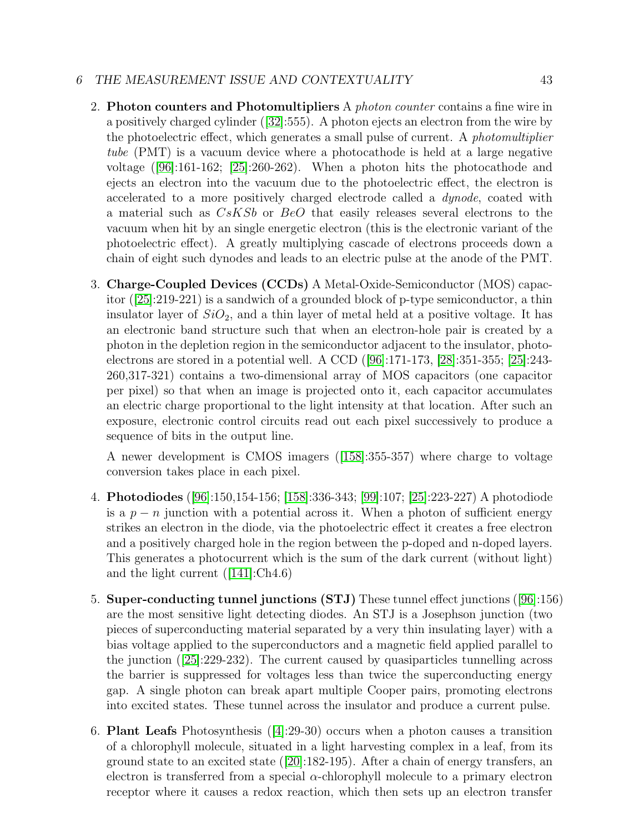#### 6 THE MEASUREMENT ISSUE AND CONTEXTUALITY 43

- 2. Photon counters and Photomultipliers A *photon counter* contains a fine wire in a positively charged cylinder ([\[32\]](#page-56-15):555). A photon ejects an electron from the wire by the photoelectric effect, which generates a small pulse of current. A photomultiplier tube (PMT) is a vacuum device where a photocathode is held at a large negative voltage ([\[96\]](#page-60-10):161-162; [\[25\]](#page-56-16):260-262). When a photon hits the photocathode and ejects an electron into the vacuum due to the photoelectric effect, the electron is accelerated to a more positively charged electrode called a dynode, coated with a material such as  $CsKSb$  or  $BeO$  that easily releases several electrons to the vacuum when hit by an single energetic electron (this is the electronic variant of the photoelectric effect). A greatly multiplying cascade of electrons proceeds down a chain of eight such dynodes and leads to an electric pulse at the anode of the PMT.
- 3. Charge-Coupled Devices (CCDs) A Metal-Oxide-Semiconductor (MOS) capacitor ([\[25\]](#page-56-16):219-221) is a sandwich of a grounded block of p-type semiconductor, a thin insulator layer of  $SiO<sub>2</sub>$ , and a thin layer of metal held at a positive voltage. It has an electronic band structure such that when an electron-hole pair is created by a photon in the depletion region in the semiconductor adjacent to the insulator, photoelectrons are stored in a potential well. A CCD ([\[96\]](#page-60-10):171-173, [\[28\]](#page-56-17):351-355; [\[25\]](#page-56-16):243- 260,317-321) contains a two-dimensional array of MOS capacitors (one capacitor per pixel) so that when an image is projected onto it, each capacitor accumulates an electric charge proportional to the light intensity at that location. After such an exposure, electronic control circuits read out each pixel successively to produce a sequence of bits in the output line.

A newer development is CMOS imagers ([\[158\]](#page-64-2):355-357) where charge to voltage conversion takes place in each pixel.

- 4. Photodiodes ([\[96\]](#page-60-10):150,154-156; [\[158\]](#page-64-2):336-343; [\[99\]](#page-60-4):107; [\[25\]](#page-56-16):223-227) A photodiode is a  $p - n$  junction with a potential across it. When a photon of sufficient energy strikes an electron in the diode, via the photoelectric effect it creates a free electron and a positively charged hole in the region between the p-doped and n-doped layers. This generates a photocurrent which is the sum of the dark current (without light) and the light current ([\[141\]](#page-63-12):Ch4.6)
- 5. Super-conducting tunnel junctions (STJ) These tunnel effect junctions ([\[96\]](#page-60-10):156) are the most sensitive light detecting diodes. An STJ is a Josephson junction (two pieces of superconducting material separated by a very thin insulating layer) with a bias voltage applied to the superconductors and a magnetic field applied parallel to the junction ([\[25\]](#page-56-16):229-232). The current caused by quasiparticles tunnelling across the barrier is suppressed for voltages less than twice the superconducting energy gap. A single photon can break apart multiple Cooper pairs, promoting electrons into excited states. These tunnel across the insulator and produce a current pulse.
- 6. Plant Leafs Photosynthesis ([\[4\]](#page-55-3):29-30) occurs when a photon causes a transition of a chlorophyll molecule, situated in a light harvesting complex in a leaf, from its ground state to an excited state  $(20):182-195$ . After a chain of energy transfers, an electron is transferred from a special  $\alpha$ -chlorophyll molecule to a primary electron receptor where it causes a redox reaction, which then sets up an electron transfer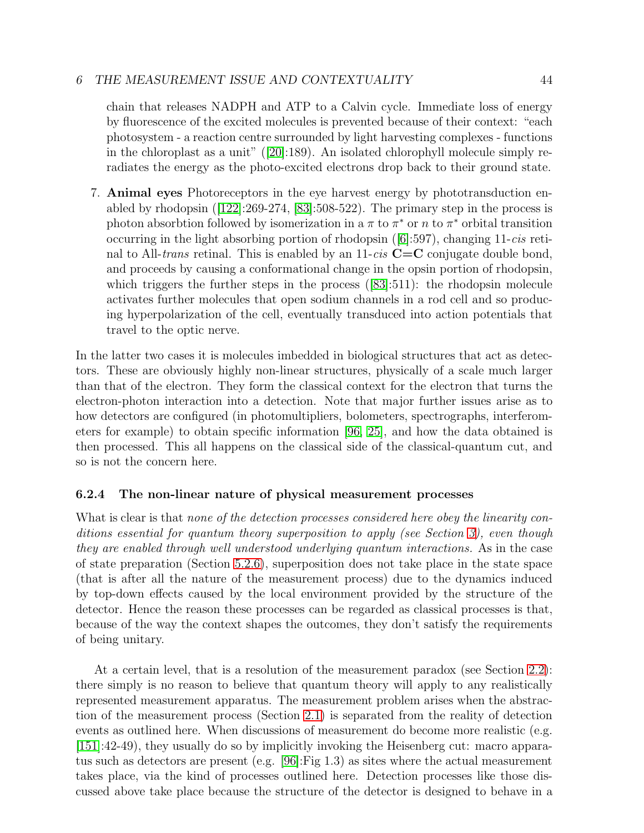#### 6 THE MEASUREMENT ISSUE AND CONTEXTUALITY 44

chain that releases NADPH and ATP to a Calvin cycle. Immediate loss of energy by fluorescence of the excited molecules is prevented because of their context: "each photosystem - a reaction centre surrounded by light harvesting complexes - functions in the chloroplast as a unit"  $(20):189$ . An isolated chlorophyll molecule simply reradiates the energy as the photo-excited electrons drop back to their ground state.

7. Animal eyes Photoreceptors in the eye harvest energy by phototransduction enabled by rhodopsin  $(122):269-274$ ,  $[83]:508-522$ . The primary step in the process is photon absorbtion followed by isomerization in a  $\pi$  to  $\pi^*$  or n to  $\pi^*$  orbital transition occurring in the light absorbing portion of rhodopsin ( $[6]:597$  $[6]:597$ ), changing 11-cis retinal to All-*trans* retinal. This is enabled by an  $11-cis \mathbf{C}=\mathbf{C}$  conjugate double bond, and proceeds by causing a conformational change in the opsin portion of rhodopsin, which triggers the further steps in the process  $([83]:511)$  $([83]:511)$  $([83]:511)$ : the rhodopsin molecule activates further molecules that open sodium channels in a rod cell and so producing hyperpolarization of the cell, eventually transduced into action potentials that travel to the optic nerve.

In the latter two cases it is molecules imbedded in biological structures that act as detectors. These are obviously highly non-linear structures, physically of a scale much larger than that of the electron. They form the classical context for the electron that turns the electron-photon interaction into a detection. Note that major further issues arise as to how detectors are configured (in photomultipliers, bolometers, spectrographs, interferometers for example) to obtain specific information [\[96,](#page-60-10) [25\]](#page-56-16), and how the data obtained is then processed. This all happens on the classical side of the classical-quantum cut, and so is not the concern here.

### 6.2.4 The non-linear nature of physical measurement processes

What is clear is that none of the detection processes considered here obey the linearity conditions essential for quantum theory superposition to apply (see Section [3\)](#page-9-0), even though they are enabled through well understood underlying quantum interactions. As in the case of state preparation (Section [5.2.6\)](#page-35-0), superposition does not take place in the state space (that is after all the nature of the measurement process) due to the dynamics induced by top-down effects caused by the local environment provided by the structure of the detector. Hence the reason these processes can be regarded as classical processes is that, because of the way the context shapes the outcomes, they don't satisfy the requirements of being unitary.

At a certain level, that is a resolution of the measurement paradox (see Section [2.2\)](#page-4-0): there simply is no reason to believe that quantum theory will apply to any realistically represented measurement apparatus. The measurement problem arises when the abstraction of the measurement process (Section [2.1\)](#page-2-1) is separated from the reality of detection events as outlined here. When discussions of measurement do become more realistic (e.g. [\[151\]](#page-63-0):42-49), they usually do so by implicitly invoking the Heisenberg cut: macro apparatus such as detectors are present (e.g. [\[96\]](#page-60-10):Fig 1.3) as sites where the actual measurement takes place, via the kind of processes outlined here. Detection processes like those discussed above take place because the structure of the detector is designed to behave in a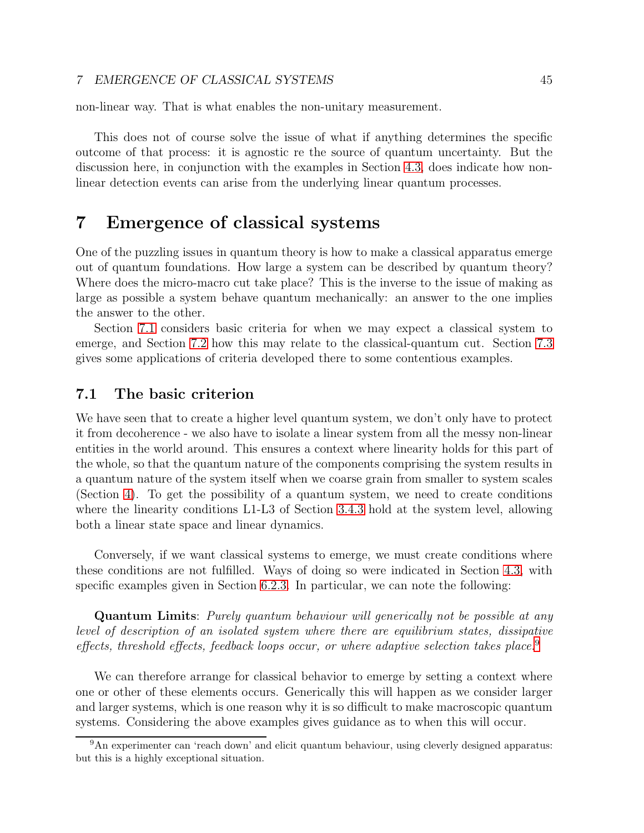#### 7 EMERGENCE OF CLASSICAL SYSTEMS 45

non-linear way. That is what enables the non-unitary measurement.

This does not of course solve the issue of what if anything determines the specific outcome of that process: it is agnostic re the source of quantum uncertainty. But the discussion here, in conjunction with the examples in Section [4.3,](#page-25-0) does indicate how nonlinear detection events can arise from the underlying linear quantum processes.

## <span id="page-44-0"></span>7 Emergence of classical systems

One of the puzzling issues in quantum theory is how to make a classical apparatus emerge out of quantum foundations. How large a system can be described by quantum theory? Where does the micro-macro cut take place? This is the inverse to the issue of making as large as possible a system behave quantum mechanically: an answer to the one implies the answer to the other.

Section [7.1](#page-44-1) considers basic criteria for when we may expect a classical system to emerge, and Section [7.2](#page-45-0) how this may relate to the classical-quantum cut. Section [7.3](#page-48-0) gives some applications of criteria developed there to some contentious examples.

## <span id="page-44-1"></span>7.1 The basic criterion

We have seen that to create a higher level quantum system, we don't only have to protect it from decoherence - we also have to isolate a linear system from all the messy non-linear entities in the world around. This ensures a context where linearity holds for this part of the whole, so that the quantum nature of the components comprising the system results in a quantum nature of the system itself when we coarse grain from smaller to system scales (Section [4\)](#page-18-0). To get the possibility of a quantum system, we need to create conditions where the linearity conditions L1-L3 of Section [3.4.3](#page-17-0) hold at the system level, allowing both a linear state space and linear dynamics.

Conversely, if we want classical systems to emerge, we must create conditions where these conditions are not fulfilled. Ways of doing so were indicated in Section [4.3,](#page-25-0) with specific examples given in Section [6.2.3.](#page-41-0) In particular, we can note the following:

Quantum Limits: Purely quantum behaviour will generically not be possible at any level of description of an isolated system where there are equilibrium states, dissipative effects, threshold effects, feedback loops occur, or where adaptive selection takes place.<sup>[9](#page-44-2)</sup>

We can therefore arrange for classical behavior to emerge by setting a context where one or other of these elements occurs. Generically this will happen as we consider larger and larger systems, which is one reason why it is so difficult to make macroscopic quantum systems. Considering the above examples gives guidance as to when this will occur.

<span id="page-44-2"></span><sup>9</sup>An experimenter can 'reach down' and elicit quantum behaviour, using cleverly designed apparatus: but this is a highly exceptional situation.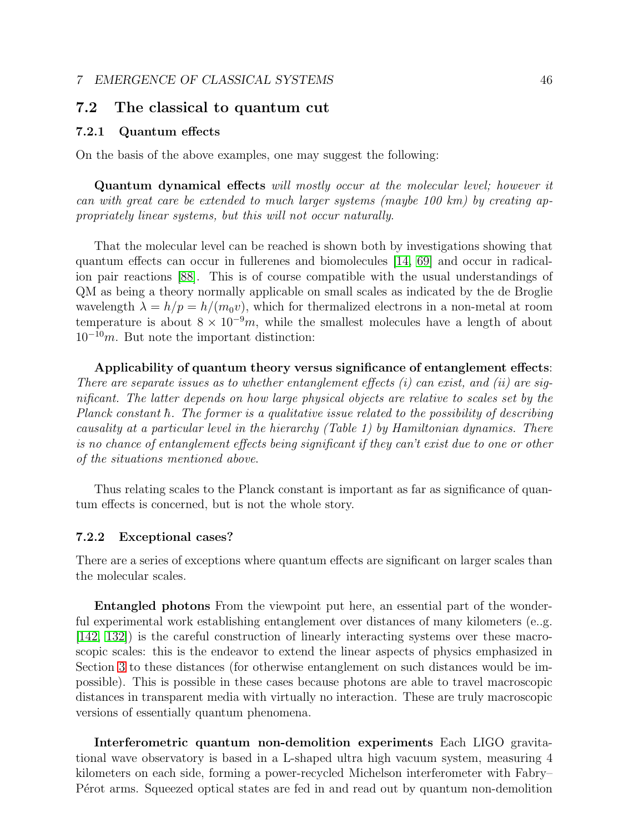#### <span id="page-45-0"></span>7.2 The classical to quantum cut

#### 7.2.1 Quantum effects

On the basis of the above examples, one may suggest the following:

Quantum dynamical effects will mostly occur at the molecular level; however it can with great care be extended to much larger systems (maybe 100 km) by creating appropriately linear systems, but this will not occur naturally.

That the molecular level can be reached is shown both by investigations showing that quantum effects can occur in fullerenes and biomolecules [\[14,](#page-55-12) [69\]](#page-59-14) and occur in radicalion pair reactions [\[88\]](#page-60-12). This is of course compatible with the usual understandings of QM as being a theory normally applicable on small scales as indicated by the de Broglie wavelength  $\lambda = h/p = h/(m_0 v)$ , which for thermalized electrons in a non-metal at room temperature is about  $8 \times 10^{-9}m$ , while the smallest molecules have a length of about  $10^{-10}m$ . But note the important distinction:

Applicability of quantum theory versus significance of entanglement effects: There are separate issues as to whether entanglement effects  $(i)$  can exist, and  $(ii)$  are significant. The latter depends on how large physical objects are relative to scales set by the Planck constant  $\hbar$ . The former is a qualitative issue related to the possibility of describing causality at a particular level in the hierarchy (Table 1) by Hamiltonian dynamics. There is no chance of entanglement effects being significant if they can't exist due to one or other of the situations mentioned above.

Thus relating scales to the Planck constant is important as far as significance of quantum effects is concerned, but is not the whole story.

#### 7.2.2 Exceptional cases?

There are a series of exceptions where quantum effects are significant on larger scales than the molecular scales.

Entangled photons From the viewpoint put here, an essential part of the wonderful experimental work establishing entanglement over distances of many kilometers (e..g. [\[142,](#page-63-13) [132\]](#page-62-16)) is the careful construction of linearly interacting systems over these macroscopic scales: this is the endeavor to extend the linear aspects of physics emphasized in Section [3](#page-9-0) to these distances (for otherwise entanglement on such distances would be impossible). This is possible in these cases because photons are able to travel macroscopic distances in transparent media with virtually no interaction. These are truly macroscopic versions of essentially quantum phenomena.

Interferometric quantum non-demolition experiments Each LIGO gravitational wave observatory is based in a L-shaped ultra high vacuum system, measuring 4 kilometers on each side, forming a power-recycled Michelson interferometer with Fabry– P<sub>e</sub> erot arms. Squeezed optical states are fed in and read out by quantum non-demolition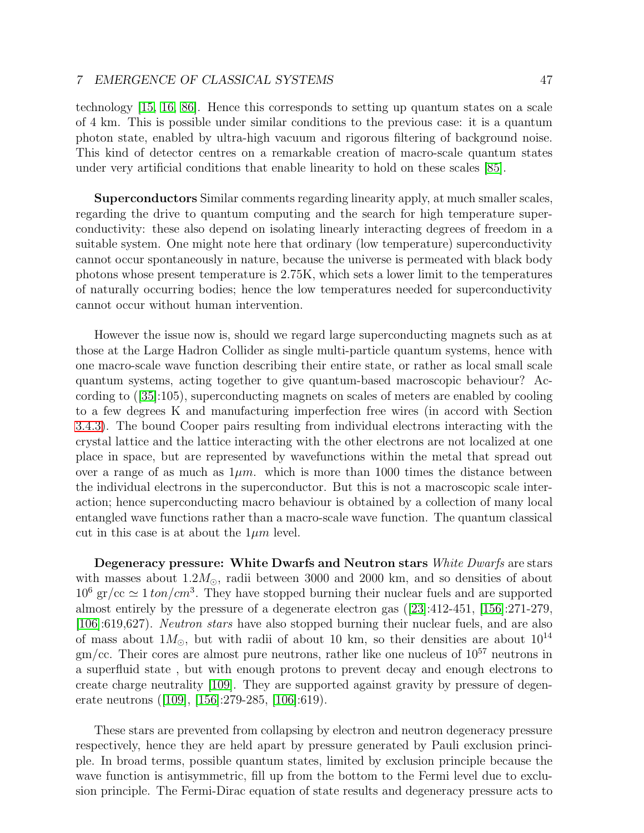#### 7 EMERGENCE OF CLASSICAL SYSTEMS 47

technology [\[15,](#page-55-13) [16,](#page-55-14) [86\]](#page-60-13). Hence this corresponds to setting up quantum states on a scale of 4 km. This is possible under similar conditions to the previous case: it is a quantum photon state, enabled by ultra-high vacuum and rigorous filtering of background noise. This kind of detector centres on a remarkable creation of macro-scale quantum states under very artificial conditions that enable linearity to hold on these scales [\[85\]](#page-59-15).

Superconductors Similar comments regarding linearity apply, at much smaller scales, regarding the drive to quantum computing and the search for high temperature superconductivity: these also depend on isolating linearly interacting degrees of freedom in a suitable system. One might note here that ordinary (low temperature) superconductivity cannot occur spontaneously in nature, because the universe is permeated with black body photons whose present temperature is 2.75K, which sets a lower limit to the temperatures of naturally occurring bodies; hence the low temperatures needed for superconductivity cannot occur without human intervention.

However the issue now is, should we regard large superconducting magnets such as at those at the Large Hadron Collider as single multi-particle quantum systems, hence with one macro-scale wave function describing their entire state, or rather as local small scale quantum systems, acting together to give quantum-based macroscopic behaviour? According to ([\[35\]](#page-56-13):105), superconducting magnets on scales of meters are enabled by cooling to a few degrees K and manufacturing imperfection free wires (in accord with Section [3.4.3\)](#page-17-0). The bound Cooper pairs resulting from individual electrons interacting with the crystal lattice and the lattice interacting with the other electrons are not localized at one place in space, but are represented by wavefunctions within the metal that spread out over a range of as much as  $1\mu m$ , which is more than 1000 times the distance between the individual electrons in the superconductor. But this is not a macroscopic scale interaction; hence superconducting macro behaviour is obtained by a collection of many local entangled wave functions rather than a macro-scale wave function. The quantum classical cut in this case is at about the  $1\mu m$  level.

Degeneracy pressure: White Dwarfs and Neutron stars White Dwarfs are stars with masses about  $1.2M_{\odot}$ , radii between 3000 and 2000 km, and so densities of about  $10^6$  gr/cc  $\simeq 1 \tan/cm^3$ . They have stopped burning their nuclear fuels and are supported almost entirely by the pressure of a degenerate electron gas ([\[23\]](#page-56-18):412-451, [\[156\]](#page-64-6):271-279, [\[106\]](#page-61-15):619,627). Neutron stars have also stopped burning their nuclear fuels, and are also of mass about  $1M_{\odot}$ , but with radii of about 10 km, so their densities are about  $10^{14}$  $gm/cc$ . Their cores are almost pure neutrons, rather like one nucleus of  $10^{57}$  neutrons in a superfluid state , but with enough protons to prevent decay and enough electrons to create charge neutrality [\[109\]](#page-61-16). They are supported against gravity by pressure of degenerate neutrons ([\[109\]](#page-61-16), [\[156\]](#page-64-6):279-285, [\[106\]](#page-61-15):619).

These stars are prevented from collapsing by electron and neutron degeneracy pressure respectively, hence they are held apart by pressure generated by Pauli exclusion principle. In broad terms, possible quantum states, limited by exclusion principle because the wave function is antisymmetric, fill up from the bottom to the Fermi level due to exclusion principle. The Fermi-Dirac equation of state results and degeneracy pressure acts to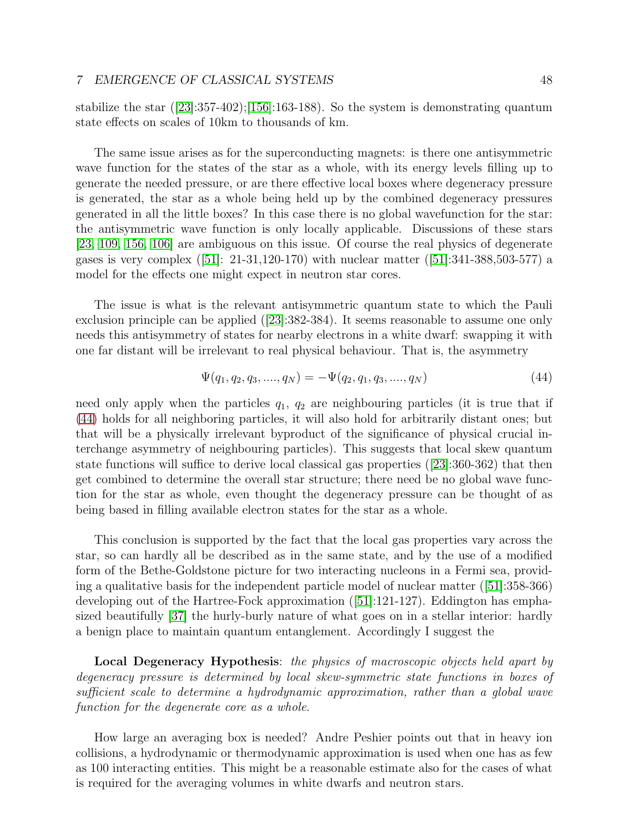stabilize the star  $(23):357-402;156:163-188$ . So the system is demonstrating quantum state effects on scales of 10km to thousands of km.

The same issue arises as for the superconducting magnets: is there one antisymmetric wave function for the states of the star as a whole, with its energy levels filling up to generate the needed pressure, or are there effective local boxes where degeneracy pressure is generated, the star as a whole being held up by the combined degeneracy pressures generated in all the little boxes? In this case there is no global wavefunction for the star: the antisymmetric wave function is only locally applicable. Discussions of these stars [\[23,](#page-56-18) [109,](#page-61-16) [156,](#page-64-6) [106\]](#page-61-15) are ambiguous on this issue. Of course the real physics of degenerate gases is very complex ([\[51\]](#page-58-15): 21-31,120-170) with nuclear matter ([\[51\]](#page-58-15):341-388,503-577) a model for the effects one might expect in neutron star cores.

The issue is what is the relevant antisymmetric quantum state to which the Pauli exclusion principle can be applied ([\[23\]](#page-56-18):382-384). It seems reasonable to assume one only needs this antisymmetry of states for nearby electrons in a white dwarf: swapping it with one far distant will be irrelevant to real physical behaviour. That is, the asymmetry

<span id="page-47-0"></span>
$$
\Psi(q_1, q_2, q_3, \dots, q_N) = -\Psi(q_2, q_1, q_3, \dots, q_N)
$$
\n(44)

need only apply when the particles  $q_1, q_2$  are neighbouring particles (it is true that if [\(44\)](#page-47-0) holds for all neighboring particles, it will also hold for arbitrarily distant ones; but that will be a physically irrelevant byproduct of the significance of physical crucial interchange asymmetry of neighbouring particles). This suggests that local skew quantum state functions will suffice to derive local classical gas properties ([\[23\]](#page-56-18):360-362) that then get combined to determine the overall star structure; there need be no global wave function for the star as whole, even thought the degeneracy pressure can be thought of as being based in filling available electron states for the star as a whole.

This conclusion is supported by the fact that the local gas properties vary across the star, so can hardly all be described as in the same state, and by the use of a modified form of the Bethe-Goldstone picture for two interacting nucleons in a Fermi sea, providing a qualitative basis for the independent particle model of nuclear matter ([\[51\]](#page-58-15):358-366) developing out of the Hartree-Fock approximation ([\[51\]](#page-58-15):121-127). Eddington has emphasized beautifully [\[37\]](#page-57-12) the hurly-burly nature of what goes on in a stellar interior: hardly a benign place to maintain quantum entanglement. Accordingly I suggest the

Local Degeneracy Hypothesis: the physics of macroscopic objects held apart by degeneracy pressure is determined by local skew-symmetric state functions in boxes of sufficient scale to determine a hydrodynamic approximation, rather than a global wave function for the degenerate core as a whole.

How large an averaging box is needed? Andre Peshier points out that in heavy ion collisions, a hydrodynamic or thermodynamic approximation is used when one has as few as 100 interacting entities. This might be a reasonable estimate also for the cases of what is required for the averaging volumes in white dwarfs and neutron stars.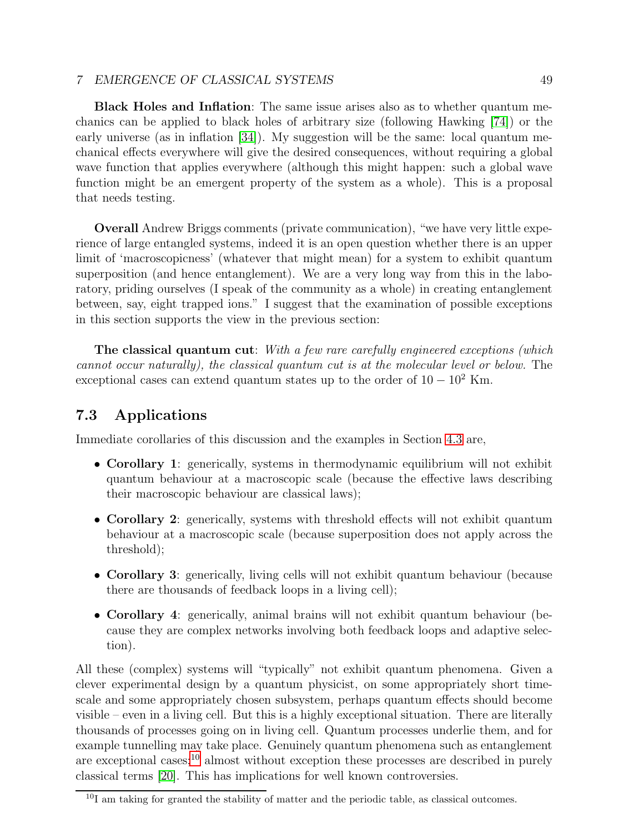#### 7 EMERGENCE OF CLASSICAL SYSTEMS 49

Black Holes and Inflation: The same issue arises also as to whether quantum mechanics can be applied to black holes of arbitrary size (following Hawking [\[74\]](#page-59-16)) or the early universe (as in inflation [\[34\]](#page-56-9)). My suggestion will be the same: local quantum mechanical effects everywhere will give the desired consequences, without requiring a global wave function that applies everywhere (although this might happen: such a global wave function might be an emergent property of the system as a whole). This is a proposal that needs testing.

Overall Andrew Briggs comments (private communication), "we have very little experience of large entangled systems, indeed it is an open question whether there is an upper limit of 'macroscopicness' (whatever that might mean) for a system to exhibit quantum superposition (and hence entanglement). We are a very long way from this in the laboratory, priding ourselves (I speak of the community as a whole) in creating entanglement between, say, eight trapped ions." I suggest that the examination of possible exceptions in this section supports the view in the previous section:

The classical quantum cut: With a few rare carefully engineered exceptions (which cannot occur naturally), the classical quantum cut is at the molecular level or below. The exceptional cases can extend quantum states up to the order of  $10 - 10^2$  Km.

## <span id="page-48-0"></span>7.3 Applications

Immediate corollaries of this discussion and the examples in Section [4.3](#page-25-0) are,

- Corollary 1: generically, systems in thermodynamic equilibrium will not exhibit quantum behaviour at a macroscopic scale (because the effective laws describing their macroscopic behaviour are classical laws);
- Corollary 2: generically, systems with threshold effects will not exhibit quantum behaviour at a macroscopic scale (because superposition does not apply across the threshold);
- Corollary 3: generically, living cells will not exhibit quantum behaviour (because there are thousands of feedback loops in a living cell);
- Corollary 4: generically, animal brains will not exhibit quantum behaviour (because they are complex networks involving both feedback loops and adaptive selection).

All these (complex) systems will "typically" not exhibit quantum phenomena. Given a clever experimental design by a quantum physicist, on some appropriately short timescale and some appropriately chosen subsystem, perhaps quantum effects should become visible – even in a living cell. But this is a highly exceptional situation. There are literally thousands of processes going on in living cell. Quantum processes underlie them, and for example tunnelling may take place. Genuinely quantum phenomena such as entanglement are exceptional cases;[10](#page-48-1) almost without exception these processes are described in purely classical terms [\[20\]](#page-56-0). This has implications for well known controversies.

<span id="page-48-1"></span><sup>&</sup>lt;sup>10</sup>I am taking for granted the stability of matter and the periodic table, as classical outcomes.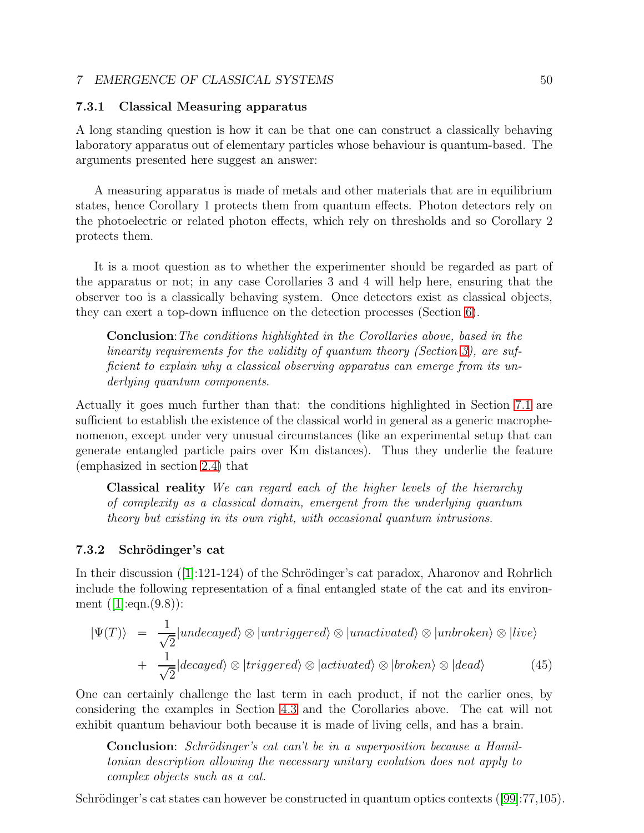#### 7 EMERGENCE OF CLASSICAL SYSTEMS 50

#### <span id="page-49-0"></span>7.3.1 Classical Measuring apparatus

A long standing question is how it can be that one can construct a classically behaving laboratory apparatus out of elementary particles whose behaviour is quantum-based. The arguments presented here suggest an answer:

A measuring apparatus is made of metals and other materials that are in equilibrium states, hence Corollary 1 protects them from quantum effects. Photon detectors rely on the photoelectric or related photon effects, which rely on thresholds and so Corollary 2 protects them.

It is a moot question as to whether the experimenter should be regarded as part of the apparatus or not; in any case Corollaries 3 and 4 will help here, ensuring that the observer too is a classically behaving system. Once detectors exist as classical objects, they can exert a top-down influence on the detection processes (Section [6\)](#page-38-0).

Conclusion:The conditions highlighted in the Corollaries above, based in the linearity requirements for the validity of quantum theory (Section [3\)](#page-9-0), are sufficient to explain why a classical observing apparatus can emerge from its underlying quantum components.

Actually it goes much further than that: the conditions highlighted in Section [7.1](#page-44-1) are sufficient to establish the existence of the classical world in general as a generic macrophenomenon, except under very unusual circumstances (like an experimental setup that can generate entangled particle pairs over Km distances). Thus they underlie the feature (emphasized in section [2.4\)](#page-7-0) that

Classical reality We can regard each of the higher levels of the hierarchy of complexity as a classical domain, emergent from the underlying quantum theory but existing in its own right, with occasional quantum intrusions.

#### 7.3.2 Schrödinger's cat

In their discussion  $(1|:121-124)$  of the Schrödinger's cat paradox, Aharonov and Rohrlich include the following representation of a final entangled state of the cat and its environment  $([1]:eqn.(9.8))$  $([1]:eqn.(9.8))$  $([1]:eqn.(9.8))$ :

$$
|\Psi(T)\rangle = \frac{1}{\sqrt{2}}|undecayed\rangle \otimes |untriggered\rangle \otimes |unactivated\rangle \otimes |unbroken\rangle \otimes |live\rangle
$$
  
+ 
$$
\frac{1}{\sqrt{2}}|decayed\rangle \otimes |triggered\rangle \otimes |activated\rangle \otimes |broken\rangle \otimes |dead\rangle
$$
 (45)

One can certainly challenge the last term in each product, if not the earlier ones, by considering the examples in Section [4.3](#page-25-0) and the Corollaries above. The cat will not exhibit quantum behaviour both because it is made of living cells, and has a brain.

**Conclusion**: Schrödinger's cat can't be in a superposition because a Hamiltonian description allowing the necessary unitary evolution does not apply to complex objects such as a cat.

Schrödinger's cat states can however be constructed in quantum optics contexts ([\[99\]](#page-60-4):77,105).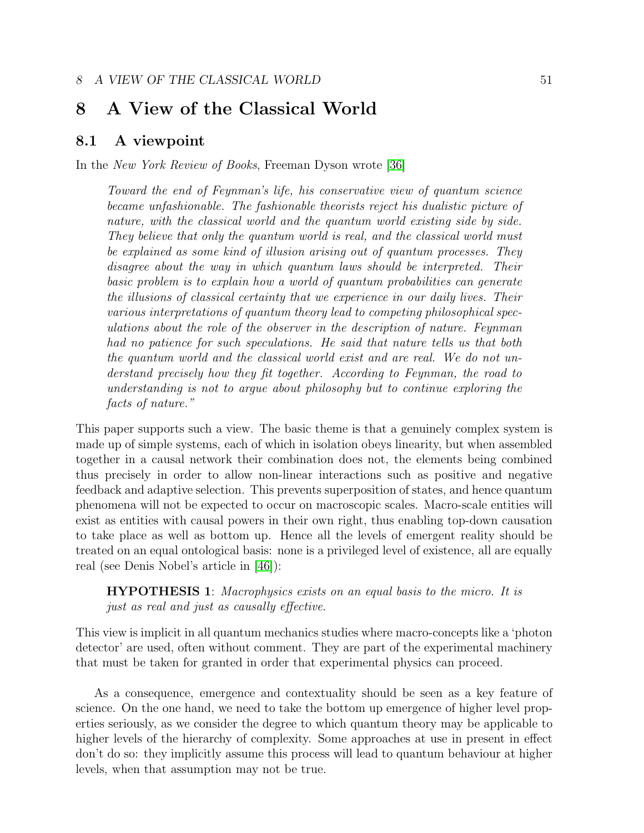## <span id="page-50-1"></span><span id="page-50-0"></span>8 A View of the Classical World

## 8.1 A viewpoint

In the New York Review of Books, Freeman Dyson wrote [\[36\]](#page-56-19)

Toward the end of Feynman's life, his conservative view of quantum science became unfashionable. The fashionable theorists reject his dualistic picture of nature, with the classical world and the quantum world existing side by side. They believe that only the quantum world is real, and the classical world must be explained as some kind of illusion arising out of quantum processes. They disagree about the way in which quantum laws should be interpreted. Their basic problem is to explain how a world of quantum probabilities can generate the illusions of classical certainty that we experience in our daily lives. Their various interpretations of quantum theory lead to competing philosophical speculations about the role of the observer in the description of nature. Feynman had no patience for such speculations. He said that nature tells us that both the quantum world and the classical world exist and are real. We do not understand precisely how they fit together. According to Feynman, the road to understanding is not to argue about philosophy but to continue exploring the facts of nature."

This paper supports such a view. The basic theme is that a genuinely complex system is made up of simple systems, each of which in isolation obeys linearity, but when assembled together in a causal network their combination does not, the elements being combined thus precisely in order to allow non-linear interactions such as positive and negative feedback and adaptive selection. This prevents superposition of states, and hence quantum phenomena will not be expected to occur on macroscopic scales. Macro-scale entities will exist as entities with causal powers in their own right, thus enabling top-down causation to take place as well as bottom up. Hence all the levels of emergent reality should be treated on an equal ontological basis: none is a privileged level of existence, all are equally real (see Denis Nobel's article in [\[46\]](#page-57-11)):

HYPOTHESIS 1: Macrophysics exists on an equal basis to the micro. It is just as real and just as causally effective.

This view is implicit in all quantum mechanics studies where macro-concepts like a 'photon detector' are used, often without comment. They are part of the experimental machinery that must be taken for granted in order that experimental physics can proceed.

As a consequence, emergence and contextuality should be seen as a key feature of science. On the one hand, we need to take the bottom up emergence of higher level properties seriously, as we consider the degree to which quantum theory may be applicable to higher levels of the hierarchy of complexity. Some approaches at use in present in effect don't do so: they implicitly assume this process will lead to quantum behaviour at higher levels, when that assumption may not be true.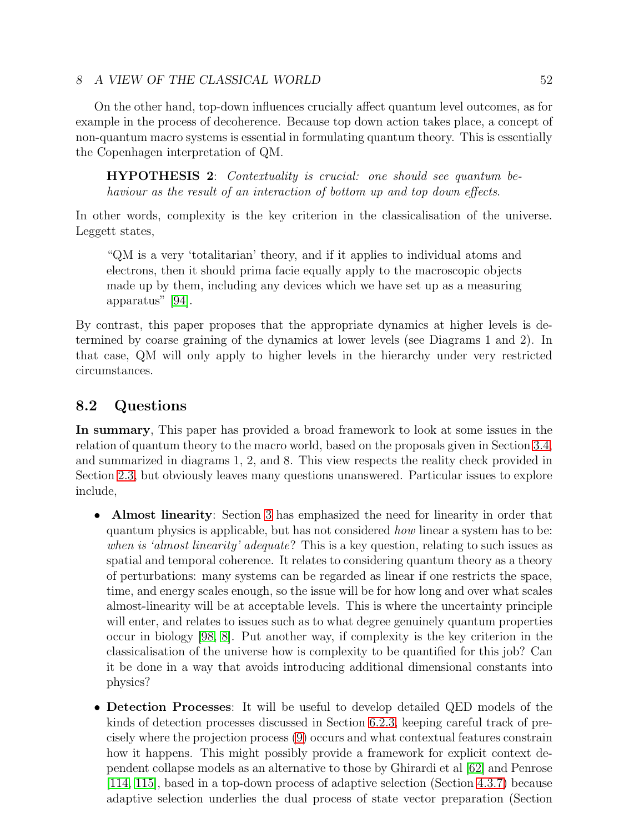On the other hand, top-down influences crucially affect quantum level outcomes, as for example in the process of decoherence. Because top down action takes place, a concept of non-quantum macro systems is essential in formulating quantum theory. This is essentially the Copenhagen interpretation of QM.

HYPOTHESIS 2: Contextuality is crucial: one should see quantum behaviour as the result of an interaction of bottom up and top down effects.

In other words, complexity is the key criterion in the classicalisation of the universe. Leggett states,

"QM is a very 'totalitarian' theory, and if it applies to individual atoms and electrons, then it should prima facie equally apply to the macroscopic objects made up by them, including any devices which we have set up as a measuring apparatus" [\[94\]](#page-60-14).

By contrast, this paper proposes that the appropriate dynamics at higher levels is determined by coarse graining of the dynamics at lower levels (see Diagrams 1 and 2). In that case, QM will only apply to higher levels in the hierarchy under very restricted circumstances.

## <span id="page-51-0"></span>8.2 Questions

In summary, This paper has provided a broad framework to look at some issues in the relation of quantum theory to the macro world, based on the proposals given in Section [3.4,](#page-14-0) and summarized in diagrams 1, 2, and 8. This view respects the reality check provided in Section [2.3,](#page-6-0) but obviously leaves many questions unanswered. Particular issues to explore include,

- Almost linearity: Section [3](#page-9-0) has emphasized the need for linearity in order that quantum physics is applicable, but has not considered how linear a system has to be: when is 'almost linearity' adequate? This is a key question, relating to such issues as spatial and temporal coherence. It relates to considering quantum theory as a theory of perturbations: many systems can be regarded as linear if one restricts the space, time, and energy scales enough, so the issue will be for how long and over what scales almost-linearity will be at acceptable levels. This is where the uncertainty principle will enter, and relates to issues such as to what degree genuinely quantum properties occur in biology [\[98,](#page-60-15) [8\]](#page-55-15). Put another way, if complexity is the key criterion in the classicalisation of the universe how is complexity to be quantified for this job? Can it be done in a way that avoids introducing additional dimensional constants into physics?
- Detection Processes: It will be useful to develop detailed QED models of the kinds of detection processes discussed in Section [6.2.3,](#page-41-0) keeping careful track of precisely where the projection process [\(9\)](#page-3-1) occurs and what contextual features constrain how it happens. This might possibly provide a framework for explicit context dependent collapse models as an alternative to those by Ghirardi et al [\[62\]](#page-58-3) and Penrose [\[114,](#page-61-3) [115\]](#page-61-1), based in a top-down process of adaptive selection (Section [4.3.7\)](#page-29-0) because adaptive selection underlies the dual process of state vector preparation (Section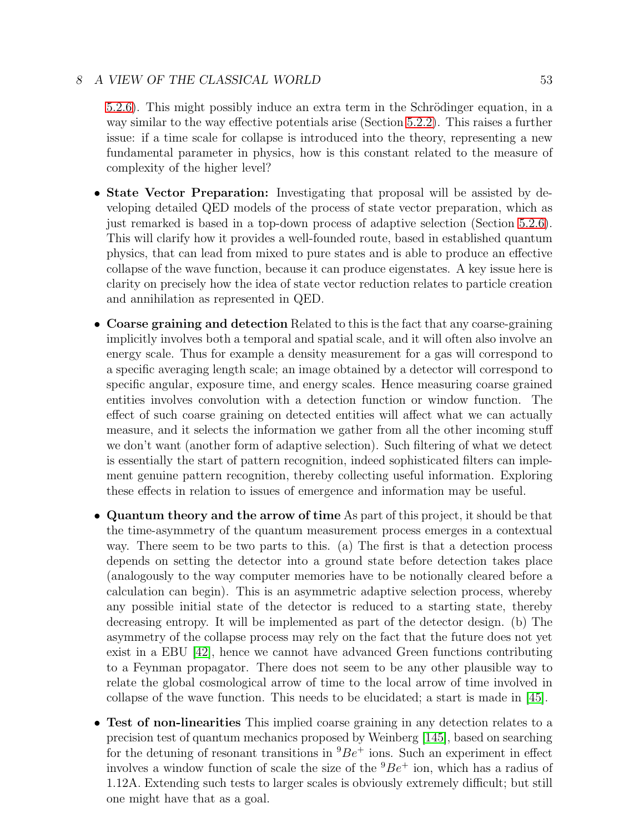$5.2.6$ ). This might possibly induce an extra term in the Schrödinger equation, in a way similar to the way effective potentials arise (Section [5.2.2\)](#page-32-1). This raises a further issue: if a time scale for collapse is introduced into the theory, representing a new fundamental parameter in physics, how is this constant related to the measure of complexity of the higher level?

- State Vector Preparation: Investigating that proposal will be assisted by developing detailed QED models of the process of state vector preparation, which as just remarked is based in a top-down process of adaptive selection (Section [5.2.6\)](#page-35-0). This will clarify how it provides a well-founded route, based in established quantum physics, that can lead from mixed to pure states and is able to produce an effective collapse of the wave function, because it can produce eigenstates. A key issue here is clarity on precisely how the idea of state vector reduction relates to particle creation and annihilation as represented in QED.
- Coarse graining and detection Related to this is the fact that any coarse-graining implicitly involves both a temporal and spatial scale, and it will often also involve an energy scale. Thus for example a density measurement for a gas will correspond to a specific averaging length scale; an image obtained by a detector will correspond to specific angular, exposure time, and energy scales. Hence measuring coarse grained entities involves convolution with a detection function or window function. The effect of such coarse graining on detected entities will affect what we can actually measure, and it selects the information we gather from all the other incoming stuff we don't want (another form of adaptive selection). Such filtering of what we detect is essentially the start of pattern recognition, indeed sophisticated filters can implement genuine pattern recognition, thereby collecting useful information. Exploring these effects in relation to issues of emergence and information may be useful.
- Quantum theory and the arrow of time As part of this project, it should be that the time-asymmetry of the quantum measurement process emerges in a contextual way. There seem to be two parts to this. (a) The first is that a detection process depends on setting the detector into a ground state before detection takes place (analogously to the way computer memories have to be notionally cleared before a calculation can begin). This is an asymmetric adaptive selection process, whereby any possible initial state of the detector is reduced to a starting state, thereby decreasing entropy. It will be implemented as part of the detector design. (b) The asymmetry of the collapse process may rely on the fact that the future does not yet exist in a EBU [\[42\]](#page-57-1), hence we cannot have advanced Green functions contributing to a Feynman propagator. There does not seem to be any other plausible way to relate the global cosmological arrow of time to the local arrow of time involved in collapse of the wave function. This needs to be elucidated; a start is made in [\[45\]](#page-57-0).
- Test of non-linearities This implied coarse graining in any detection relates to a precision test of quantum mechanics proposed by Weinberg [\[145\]](#page-63-14), based on searching for the detuning of resonant transitions in  ${}^{9}Be^+$  ions. Such an experiment in effect involves a window function of scale the size of the  ${}^{9}Be^+$  ion, which has a radius of 1.12A. Extending such tests to larger scales is obviously extremely difficult; but still one might have that as a goal.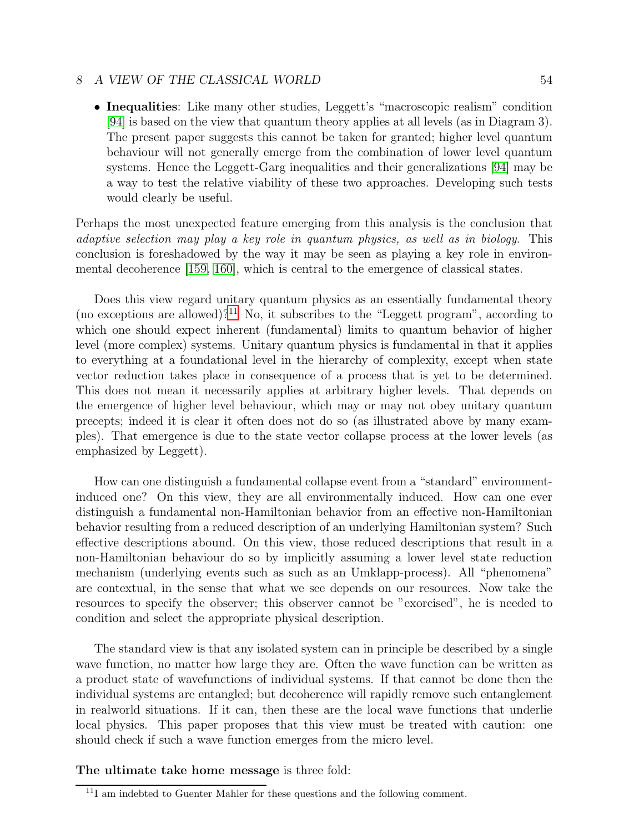• Inequalities: Like many other studies, Leggett's "macroscopic realism" condition [\[94\]](#page-60-14) is based on the view that quantum theory applies at all levels (as in Diagram 3). The present paper suggests this cannot be taken for granted; higher level quantum behaviour will not generally emerge from the combination of lower level quantum systems. Hence the Leggett-Garg inequalities and their generalizations [\[94\]](#page-60-14) may be a way to test the relative viability of these two approaches. Developing such tests would clearly be useful.

Perhaps the most unexpected feature emerging from this analysis is the conclusion that adaptive selection may play a key role in quantum physics, as well as in biology. This conclusion is foreshadowed by the way it may be seen as playing a key role in environmental decoherence [\[159,](#page-64-4) [160\]](#page-64-0), which is central to the emergence of classical states.

Does this view regard unitary quantum physics as an essentially fundamental theory (no exceptions are allowed)?<sup>[11](#page-53-0)</sup> No, it subscribes to the "Leggett program", according to which one should expect inherent (fundamental) limits to quantum behavior of higher level (more complex) systems. Unitary quantum physics is fundamental in that it applies to everything at a foundational level in the hierarchy of complexity, except when state vector reduction takes place in consequence of a process that is yet to be determined. This does not mean it necessarily applies at arbitrary higher levels. That depends on the emergence of higher level behaviour, which may or may not obey unitary quantum precepts; indeed it is clear it often does not do so (as illustrated above by many examples). That emergence is due to the state vector collapse process at the lower levels (as emphasized by Leggett).

How can one distinguish a fundamental collapse event from a "standard" environmentinduced one? On this view, they are all environmentally induced. How can one ever distinguish a fundamental non-Hamiltonian behavior from an effective non-Hamiltonian behavior resulting from a reduced description of an underlying Hamiltonian system? Such effective descriptions abound. On this view, those reduced descriptions that result in a non-Hamiltonian behaviour do so by implicitly assuming a lower level state reduction mechanism (underlying events such as such as an Umklapp-process). All "phenomena" are contextual, in the sense that what we see depends on our resources. Now take the resources to specify the observer; this observer cannot be "exorcised", he is needed to condition and select the appropriate physical description.

The standard view is that any isolated system can in principle be described by a single wave function, no matter how large they are. Often the wave function can be written as a product state of wavefunctions of individual systems. If that cannot be done then the individual systems are entangled; but decoherence will rapidly remove such entanglement in realworld situations. If it can, then these are the local wave functions that underlie local physics. This paper proposes that this view must be treated with caution: one should check if such a wave function emerges from the micro level.

The ultimate take home message is three fold:

<span id="page-53-0"></span> $11$ I am indebted to Guenter Mahler for these questions and the following comment.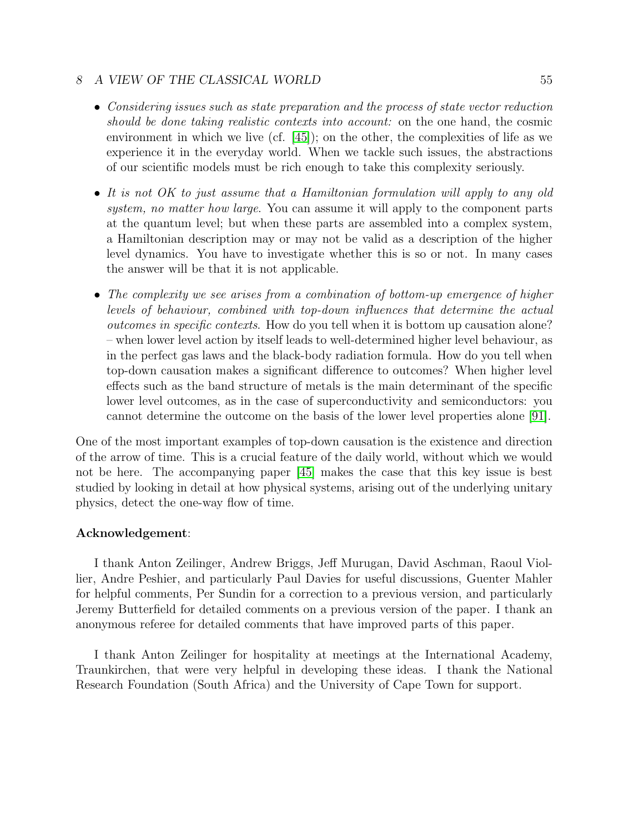- Considering issues such as state preparation and the process of state vector reduction should be done taking realistic contexts into account: on the one hand, the cosmic environment in which we live (cf. [\[45\]](#page-57-0)); on the other, the complexities of life as we experience it in the everyday world. When we tackle such issues, the abstractions of our scientific models must be rich enough to take this complexity seriously.
- It is not OK to just assume that a Hamiltonian formulation will apply to any old system, no matter how large. You can assume it will apply to the component parts at the quantum level; but when these parts are assembled into a complex system, a Hamiltonian description may or may not be valid as a description of the higher level dynamics. You have to investigate whether this is so or not. In many cases the answer will be that it is not applicable.
- The complexity we see arises from a combination of bottom-up emergence of higher levels of behaviour, combined with top-down influences that determine the actual outcomes in specific contexts. How do you tell when it is bottom up causation alone? – when lower level action by itself leads to well-determined higher level behaviour, as in the perfect gas laws and the black-body radiation formula. How do you tell when top-down causation makes a significant difference to outcomes? When higher level effects such as the band structure of metals is the main determinant of the specific lower level outcomes, as in the case of superconductivity and semiconductors: you cannot determine the outcome on the basis of the lower level properties alone [\[91\]](#page-60-3).

One of the most important examples of top-down causation is the existence and direction of the arrow of time. This is a crucial feature of the daily world, without which we would not be here. The accompanying paper [\[45\]](#page-57-0) makes the case that this key issue is best studied by looking in detail at how physical systems, arising out of the underlying unitary physics, detect the one-way flow of time.

#### Acknowledgement:

I thank Anton Zeilinger, Andrew Briggs, Jeff Murugan, David Aschman, Raoul Viollier, Andre Peshier, and particularly Paul Davies for useful discussions, Guenter Mahler for helpful comments, Per Sundin for a correction to a previous version, and particularly Jeremy Butterfield for detailed comments on a previous version of the paper. I thank an anonymous referee for detailed comments that have improved parts of this paper.

I thank Anton Zeilinger for hospitality at meetings at the International Academy, Traunkirchen, that were very helpful in developing these ideas. I thank the National Research Foundation (South Africa) and the University of Cape Town for support.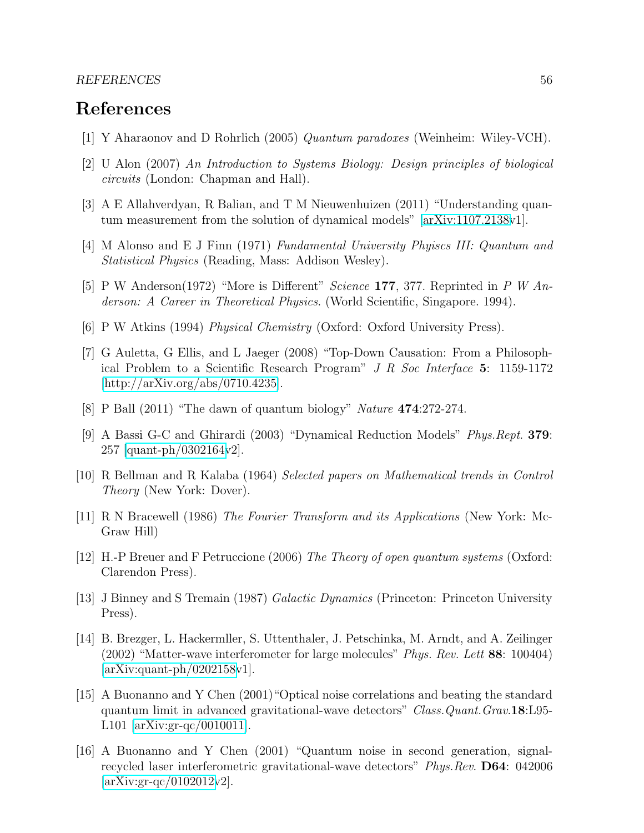#### REFERENCES 56

## <span id="page-55-1"></span>References

- <span id="page-55-5"></span>[1] Y Aharaonov and D Rohrlich (2005) Quantum paradoxes (Weinheim: Wiley-VCH).
- <span id="page-55-0"></span>[2] U Alon (2007) An Introduction to Systems Biology: Design principles of biological circuits (London: Chapman and Hall).
- <span id="page-55-3"></span>[3] A E Allahverdyan, R Balian, and T M Nieuwenhuizen (2011) "Understanding quantum measurement from the solution of dynamical models" [\[arXiv:1107.2138v](http://arxiv.org/abs/1107.2138)1].
- <span id="page-55-4"></span>[4] M Alonso and E J Finn (1971) Fundamental University Phyiscs III: Quantum and Statistical Physics (Reading, Mass: Addison Wesley).
- <span id="page-55-8"></span>[5] P W Anderson(1972) "More is Different" Science 177, 377. Reprinted in P W Anderson: A Career in Theoretical Physics. (World Scientific, Singapore. 1994).
- <span id="page-55-7"></span>[6] P W Atkins (1994) Physical Chemistry (Oxford: Oxford University Press).
- [7] G Auletta, G Ellis, and L Jaeger (2008) "Top-Down Causation: From a Philosophical Problem to a Scientific Research Program"  $J R$  Soc Interface 5: 1159-1172 [\[http://arXiv.org/abs/0710.4235\]](http://arXiv.org/abs/0710.4235).
- <span id="page-55-15"></span><span id="page-55-2"></span>[8] P Ball (2011) "The dawn of quantum biology" Nature 474:272-274.
- [9] A Bassi G-C and Ghirardi (2003) "Dynamical Reduction Models" Phys.Rept. 379: 257 [\[quant-ph/0302164v](http://arxiv.org/abs/quant-ph/0302164)2].
- <span id="page-55-11"></span><span id="page-55-10"></span>[10] R Bellman and R Kalaba (1964) Selected papers on Mathematical trends in Control Theory (New York: Dover).
- <span id="page-55-6"></span>[11] R N Bracewell (1986) The Fourier Transform and its Applications (New York: Mc-Graw Hill)
- <span id="page-55-9"></span>[12] H.-P Breuer and F Petruccione (2006) The Theory of open quantum systems (Oxford: Clarendon Press).
- [13] J Binney and S Tremain (1987) Galactic Dynamics (Princeton: Princeton University Press).
- <span id="page-55-12"></span>[14] B. Brezger, L. Hackermller, S. Uttenthaler, J. Petschinka, M. Arndt, and A. Zeilinger (2002) "Matter-wave interferometer for large molecules" Phys. Rev. Lett 88: 100404) [\[arXiv:quant-ph/0202158v](http://arxiv.org/abs/quant-ph/0202158)1].
- <span id="page-55-13"></span>[15] A Buonanno and Y Chen (2001)"Optical noise correlations and beating the standard quantum limit in advanced gravitational-wave detectors" Class. Quant. Grav.18:L95-L101 [\[arXiv:gr-qc/0010011\]](http://arxiv.org/abs/gr-qc/0010011).
- <span id="page-55-14"></span>[16] A Buonanno and Y Chen (2001) "Quantum noise in second generation, signalrecycled laser interferometric gravitational-wave detectors" *Phys.Rev.* **D64**: 042006  $\left[\ar{\text{Xiv:gr-qc}/0102012v2}\right]$ .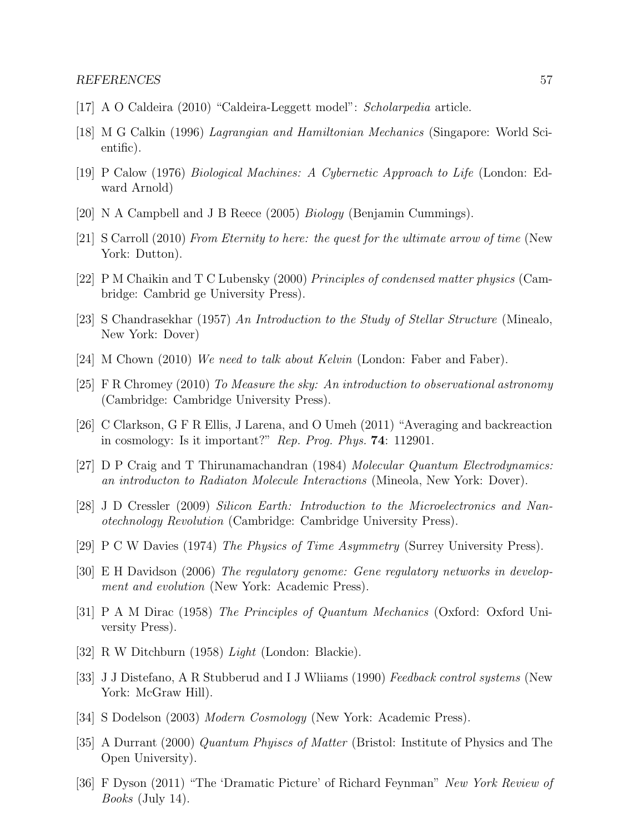- <span id="page-56-14"></span><span id="page-56-6"></span>[17] A O Caldeira (2010) "Caldeira-Leggett model": Scholarpedia article.
- <span id="page-56-10"></span>[18] M G Calkin (1996) Lagrangian and Hamiltonian Mechanics (Singapore: World Scientific).
- <span id="page-56-0"></span>[19] P Calow (1976) Biological Machines: A Cybernetic Approach to Life (London: Edward Arnold)
- <span id="page-56-2"></span>[20] N A Campbell and J B Reece (2005) Biology (Benjamin Cummings).
- [21] S Carroll (2010) From Eternity to here: the quest for the ultimate arrow of time (New York: Dutton).
- <span id="page-56-18"></span><span id="page-56-7"></span>[22] P M Chaikin and T C Lubensky (2000) Principles of condensed matter physics (Cambridge: Cambrid ge University Press).
- <span id="page-56-3"></span>[23] S Chandrasekhar (1957) An Introduction to the Study of Stellar Structure (Minealo, New York: Dover)
- <span id="page-56-16"></span>[24] M Chown (2010) We need to talk about Kelvin (London: Faber and Faber).
- <span id="page-56-5"></span> $[25]$  F R Chromey (2010) To Measure the sky: An introduction to observational astronomy (Cambridge: Cambridge University Press).
- <span id="page-56-8"></span>[26] C Clarkson, G F R Ellis, J Larena, and O Umeh (2011) "Averaging and backreaction in cosmology: Is it important?" Rep. Prog. Phys. 74: 112901.
- [27] D P Craig and T Thirunamachandran (1984) Molecular Quantum Electrodynamics: an introducton to Radiaton Molecule Interactions (Mineola, New York: Dover).
- <span id="page-56-17"></span><span id="page-56-1"></span>[28] J D Cressler (2009) Silicon Earth: Introduction to the Microelectronics and Nanotechnology Revolution (Cambridge: Cambridge University Press).
- <span id="page-56-12"></span>[29] P C W Davies (1974) The Physics of Time Asymmetry (Surrey University Press).
- [30] E H Davidson (2006) The regulatory genome: Gene regulatory networks in development and evolution (New York: Academic Press).
- <span id="page-56-4"></span>[31] P A M Dirac (1958) The Principles of Quantum Mechanics (Oxford: Oxford University Press).
- <span id="page-56-15"></span><span id="page-56-11"></span>[32] R W Ditchburn (1958) Light (London: Blackie).
- [33] J J Distefano, A R Stubberud and I J Wliiams (1990) Feedback control systems (New York: McGraw Hill).
- <span id="page-56-13"></span><span id="page-56-9"></span>[34] S Dodelson (2003) *Modern Cosmology* (New York: Academic Press).
- [35] A Durrant (2000) Quantum Phyiscs of Matter (Bristol: Institute of Physics and The Open University).
- <span id="page-56-19"></span>[36] F Dyson (2011) "The 'Dramatic Picture' of Richard Feynman" New York Review of Books (July 14).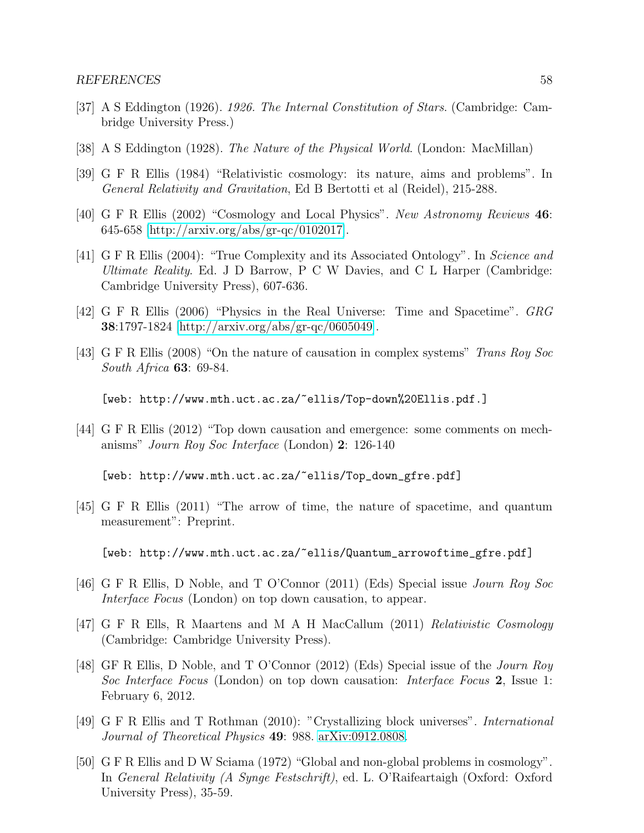- <span id="page-57-12"></span><span id="page-57-3"></span>[37] A S Eddington (1926). 1926. The Internal Constitution of Stars. (Cambridge: Cambridge University Press.)
- <span id="page-57-8"></span>[38] A S Eddington (1928). The Nature of the Physical World. (London: MacMillan)
- <span id="page-57-7"></span>[39] G F R Ellis (1984) "Relativistic cosmology: its nature, aims and problems". In General Relativity and Gravitation, Ed B Bertotti et al (Reidel), 215-288.
- <span id="page-57-4"></span>[40] G F R Ellis (2002) "Cosmology and Local Physics". New Astronomy Reviews 46: 645-658 [\[http://arxiv.org/abs/gr-qc/0102017\]](http://arxiv.org/abs/gr-qc/0102017).
- [41] G F R Ellis (2004): "True Complexity and its Associated Ontology". In Science and Ultimate Reality. Ed. J D Barrow, P C W Davies, and C L Harper (Cambridge: Cambridge University Press), 607-636.
- <span id="page-57-5"></span><span id="page-57-1"></span>[42] G F R Ellis (2006) "Physics in the Real Universe: Time and Spacetime". GRG 38:1797-1824 [\[http://arxiv.org/abs/gr-qc/0605049\]](http://arxiv.org/abs/gr-qc/0605049).
- [43] G F R Ellis (2008) "On the nature of causation in complex systems" Trans Roy Soc South Africa 63: 69-84.

[web: http://www.mth.uct.ac.za/~ellis/Top-down%20Ellis.pdf.]

[44] G F R Ellis (2012) "Top down causation and emergence: some comments on mechanisms" Journ Roy Soc Interface (London) 2: 126-140

[web: http://www.mth.uct.ac.za/~ellis/Top\_down\_gfre.pdf]

<span id="page-57-0"></span>[45] G F R Ellis (2011) "The arrow of time, the nature of spacetime, and quantum measurement": Preprint.

[web: http://www.mth.uct.ac.za/~ellis/Quantum\_arrowoftime\_gfre.pdf]

- <span id="page-57-11"></span>[46] G F R Ellis, D Noble, and T O'Connor (2011) (Eds) Special issue Journ Roy Soc Interface Focus (London) on top down causation, to appear.
- <span id="page-57-10"></span>[47] G F R Ells, R Maartens and M A H MacCallum (2011) Relativistic Cosmology (Cambridge: Cambridge University Press).
- <span id="page-57-9"></span>[48] GF R Ellis, D Noble, and T O'Connor (2012) (Eds) Special issue of the Journ Roy Soc Interface Focus (London) on top down causation: Interface Focus 2, Issue 1: February 6, 2012.
- <span id="page-57-6"></span><span id="page-57-2"></span>[49] G F R Ellis and T Rothman (2010): "Crystallizing block universes". International Journal of Theoretical Physics 49: 988. [arXiv:0912.0808.](http://arxiv.org/abs/0912.0808)
- [50] G F R Ellis and D W Sciama (1972) "Global and non-global problems in cosmology". In General Relativity (A Synge Festschrift), ed. L. O'Raifeartaigh (Oxford: Oxford University Press), 35-59.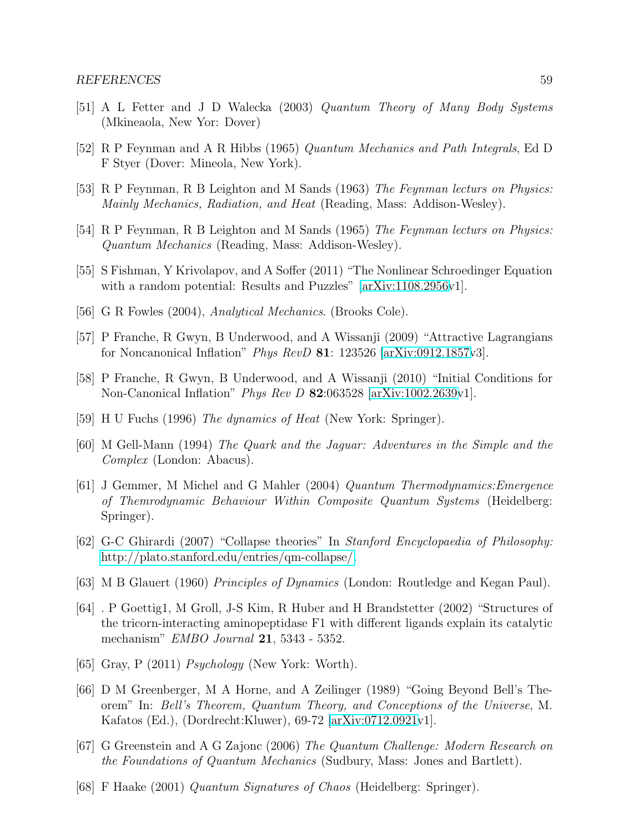- <span id="page-58-15"></span><span id="page-58-1"></span>[51] A L Fetter and J D Walecka (2003) Quantum Theory of Many Body Systems (Mkineaola, New Yor: Dover)
- <span id="page-58-14"></span>[52] R P Feynman and A R Hibbs (1965) Quantum Mechanics and Path Integrals, Ed D F Styer (Dover: Mineola, New York).
- <span id="page-58-2"></span>[53] R P Feynman, R B Leighton and M Sands (1963) The Feynman lecturs on Physics: Mainly Mechanics, Radiation, and Heat (Reading, Mass: Addison-Wesley).
- <span id="page-58-6"></span>[54] R P Feynman, R B Leighton and M Sands (1965) The Feynman lecturs on Physics: Quantum Mechanics (Reading, Mass: Addison-Wesley).
- <span id="page-58-8"></span>[55] S Fishman, Y Krivolapov, and A Soffer (2011) "The Nonlinear Schroedinger Equation with a random potential: Results and Puzzles" [\[arXiv:1108.2956v](http://arxiv.org/abs/1108.2956)1].
- <span id="page-58-10"></span>[56] G R Fowles (2004), Analytical Mechanics. (Brooks Cole).
- <span id="page-58-11"></span>[57] P Franche, R Gwyn, B Underwood, and A Wissanji (2009) "Attractive Lagrangians for Noncanonical Inflation" *Phys RevD* 81: 123526 [\[arXiv:0912.1857v](http://arxiv.org/abs/0912.1857)3].
- <span id="page-58-12"></span>[58] P Franche, R Gwyn, B Underwood, and A Wissanji (2010) "Initial Conditions for Non-Canonical Inflation" Phys Rev D 82:063528 [\[arXiv:1002.2639v](http://arxiv.org/abs/1002.2639)1].
- <span id="page-58-5"></span>[59] H U Fuchs (1996) The dynamics of Heat (New York: Springer).
- <span id="page-58-9"></span>[60] M Gell-Mann (1994) The Quark and the Jaguar: Adventures in the Simple and the Complex (London: Abacus).
- [61] J Gemmer, M Michel and G Mahler (2004) Quantum Thermodynamics:Emergence of Themrodynamic Behaviour Within Composite Quantum Systems (Heidelberg: Springer).
- <span id="page-58-7"></span><span id="page-58-3"></span>[62] G-C Ghirardi (2007) "Collapse theories" In Stanford Encyclopaedia of Philosophy: [http://plato.stanford.edu/entries/qm-collapse/.](http://plato.stanford.edu/entries/qm-collapse/)
- [63] M B Glauert (1960) Principles of Dynamics (London: Routledge and Kegan Paul).
- [64] . P Goettig1, M Groll, J-S Kim, R Huber and H Brandstetter (2002) "Structures of the tricorn-interacting aminopeptidase F1 with different ligands explain its catalytic mechanism" *EMBO Journal* **21**, 5343 - 5352.
- <span id="page-58-4"></span>[65] Gray, P (2011) *Psychology* (New York: Worth).
- [66] D M Greenberger, M A Horne, and A Zeilinger (1989) "Going Beyond Bell's Theorem" In: Bell's Theorem, Quantum Theory, and Conceptions of the Universe, M. Kafatos (Ed.), (Dordrecht:Kluwer), 69-72 [\[arXiv:0712.0921v](http://arxiv.org/abs/0712.0921)1].
- <span id="page-58-0"></span>[67] G Greenstein and A G Zajonc (2006) The Quantum Challenge: Modern Research on the Foundations of Quantum Mechanics (Sudbury, Mass: Jones and Bartlett).
- <span id="page-58-13"></span>[68] F Haake (2001) Quantum Signatures of Chaos (Heidelberg: Springer).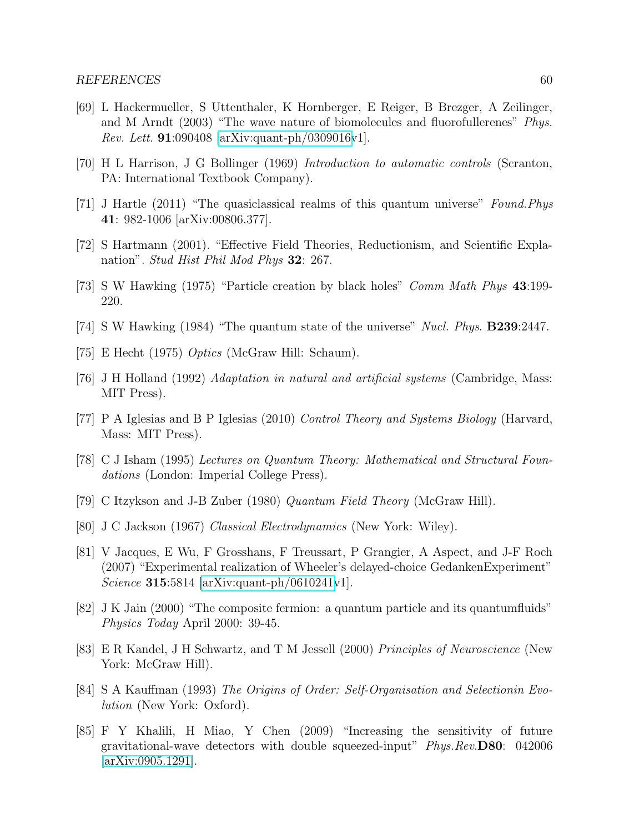- <span id="page-59-14"></span>[69] L Hackermueller, S Uttenthaler, K Hornberger, E Reiger, B Brezger, A Zeilinger, and M Arndt (2003) "The wave nature of biomolecules and fluorofullerenes" Phys. Rev. Lett. 91:090408 [\[arXiv:quant-ph/0309016v](http://arxiv.org/abs/quant-ph/0309016)1].
- <span id="page-59-9"></span><span id="page-59-1"></span>[70] H L Harrison, J G Bollinger (1969) Introduction to automatic controls (Scranton, PA: International Textbook Company).
- <span id="page-59-7"></span>[71] J Hartle (2011) "The quasiclassical realms of this quantum universe" Found.Phys 41: 982-1006 [arXiv:00806.377].
- <span id="page-59-8"></span>[72] S Hartmann (2001). "Effective Field Theories, Reductionism, and Scientific Explanation". Stud Hist Phil Mod Phys 32: 267.
- <span id="page-59-16"></span>[73] S W Hawking (1975) "Particle creation by black holes" Comm Math Phys 43:199- 220.
- <span id="page-59-6"></span>[74] S W Hawking (1984) "The quantum state of the universe" Nucl. Phys. B239:2447.
- <span id="page-59-11"></span>[75] E Hecht (1975) Optics (McGraw Hill: Schaum).
- <span id="page-59-10"></span>[76] J H Holland (1992) Adaptation in natural and artificial systems (Cambridge, Mass: MIT Press).
- [77] P A Iglesias and B P Iglesias (2010) Control Theory and Systems Biology (Harvard, Mass: MIT Press).
- <span id="page-59-0"></span>[78] C J Isham (1995) Lectures on Quantum Theory: Mathematical and Structural Foundations (London: Imperial College Press).
- <span id="page-59-5"></span><span id="page-59-3"></span>[79] C Itzykson and J-B Zuber (1980) Quantum Field Theory (McGraw Hill).
- <span id="page-59-12"></span>[80] J C Jackson (1967) Classical Electrodynamics (New York: Wiley).
- [81] V Jacques, E Wu, F Grosshans, F Treussart, P Grangier, A Aspect, and J-F Roch (2007) "Experimental realization of Wheeler's delayed-choice GedankenExperiment" Science 315:5814 [\[arXiv:quant-ph/0610241v](http://arxiv.org/abs/quant-ph/0610241)1].
- <span id="page-59-13"></span><span id="page-59-4"></span>[82] J K Jain (2000) "The composite fermion: a quantum particle and its quantumfluids" Physics Today April 2000: 39-45.
- [83] E R Kandel, J H Schwartz, and T M Jessell (2000) Principles of Neuroscience (New York: McGraw Hill).
- <span id="page-59-2"></span>[84] S A Kauffman (1993) The Origins of Order: Self-Organisation and Selectionin Evolution (New York: Oxford).
- <span id="page-59-15"></span>[85] F Y Khalili, H Miao, Y Chen (2009) "Increasing the sensitivity of future gravitational-wave detectors with double squeezed-input"  $Phys. Rev.$ **D80**: 042006 [\[arXiv:0905.1291\]](http://arxiv.org/abs/0905.1291).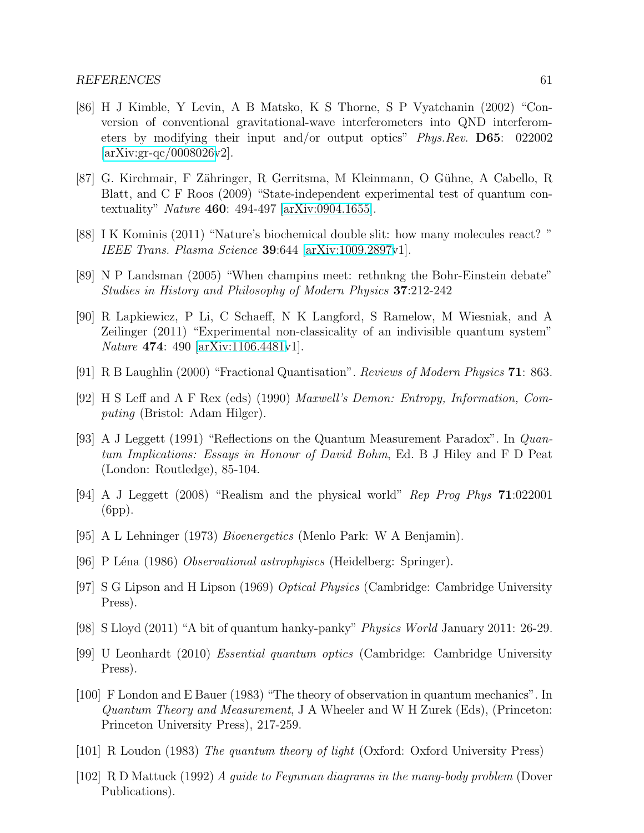- <span id="page-60-13"></span>[86] H J Kimble, Y Levin, A B Matsko, K S Thorne, S P Vyatchanin (2002) "Conversion of conventional gravitational-wave interferometers into QND interferometers by modifying their input and/or output optics" Phys. Rev. D65: 022002 [\[arXiv:gr-qc/0008026v](http://arxiv.org/abs/gr-qc/0008026)2].
- <span id="page-60-5"></span>[87] G. Kirchmair, F Zähringer, R Gerritsma, M Kleinmann, O Gühne, A Cabello, R Blatt, and C F Roos (2009) "State-independent experimental test of quantum contextuality" Nature 460: 494-497 [\[arXiv:0904.1655\]](http://arxiv.org/abs/0904.1655).
- <span id="page-60-12"></span>[88] I K Kominis (2011) "Nature's biochemical double slit: how many molecules react? " IEEE Trans. Plasma Science 39:644 [\[arXiv:1009.2897v](http://arxiv.org/abs/1009.2897)1].
- <span id="page-60-9"></span><span id="page-60-2"></span>[89] N P Landsman (2005) "When champins meet: rethnkng the Bohr-Einstein debate" Studies in History and Philosophy of Modern Physics 37:212-242
- [90] R Lapkiewicz, P Li, C Schaeff, N K Langford, S Ramelow, M Wiesniak, and A Zeilinger (2011) "Experimental non-classicality of an indivisible quantum system" Nature 474: 490 [\[arXiv:1106.4481v](http://arxiv.org/abs/1106.4481)1].
- <span id="page-60-7"></span><span id="page-60-3"></span>[91] R B Laughlin (2000) "Fractional Quantisation". Reviews of Modern Physics 71: 863.
- [92] H S Leff and A F Rex (eds) (1990) Maxwell's Demon: Entropy, Information, Computing (Bristol: Adam Hilger).
- <span id="page-60-1"></span>[93] A J Leggett (1991) "Reflections on the Quantum Measurement Paradox". In Quantum Implications: Essays in Honour of David Bohm, Ed. B J Hiley and F D Peat (London: Routledge), 85-104.
- <span id="page-60-14"></span>[94] A J Leggett (2008) "Realism and the physical world" Rep Prog Phys 71:022001 (6pp).
- <span id="page-60-10"></span><span id="page-60-8"></span>[95] A L Lehninger (1973) Bioenergetics (Menlo Park: W A Benjamin).
- <span id="page-60-6"></span>[96] P Léna (1986) Observational astrophyiscs (Heidelberg: Springer).
- [97] S G Lipson and H Lipson (1969) Optical Physics (Cambridge: Cambridge University Press).
- <span id="page-60-15"></span><span id="page-60-4"></span>[98] S Lloyd (2011) "A bit of quantum hanky-panky" Physics World January 2011: 26-29.
- [99] U Leonhardt (2010) Essential quantum optics (Cambridge: Cambridge University Press).
- <span id="page-60-0"></span>[100] F London and E Bauer (1983) "The theory of observation in quantum mechanics". In Quantum Theory and Measurement, J A Wheeler and W H Zurek (Eds), (Princeton: Princeton University Press), 217-259.
- <span id="page-60-11"></span>[101] R Loudon (1983) The quantum theory of light (Oxford: Oxford University Press)
- [102] R D Mattuck (1992) A guide to Feynman diagrams in the many-body problem (Dover Publications).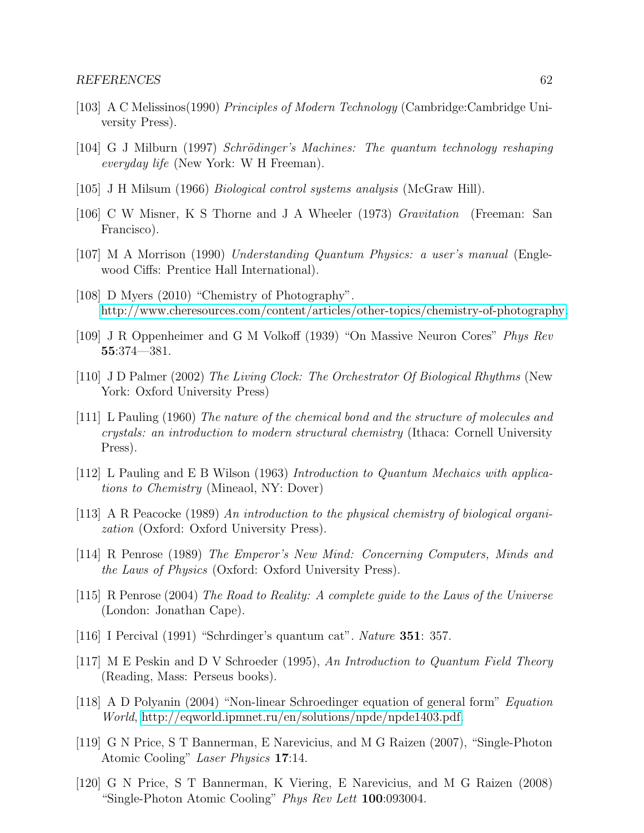- <span id="page-61-9"></span><span id="page-61-7"></span>[103] A C Melissinos(1990) Principles of Modern Technology (Cambridge:Cambridge University Press).
- <span id="page-61-10"></span>[104] G J Milburn (1997) Schrödinger's Machines: The quantum technology reshaping everyday life (New York: W H Freeman).
- <span id="page-61-15"></span>[105] J H Milsum (1966) Biological control systems analysis (McGraw Hill).
- <span id="page-61-0"></span>[106] C W Misner, K S Thorne and J A Wheeler (1973) Gravitation (Freeman: San Francisco).
- <span id="page-61-14"></span>[107] M A Morrison (1990) Understanding Quantum Physics: a user's manual (Englewood Ciffs: Prentice Hall International).
- <span id="page-61-16"></span>[108] D Myers (2010) "Chemistry of Photography". [http://www.cheresources.com/content/articles/other-topics/chemistry-of-photography.](http://www.cheresources.com/content/articles/other-topics/chemistry-of-photography)
- [109] J R Oppenheimer and G M Volkoff (1939) "On Massive Neuron Cores" Phys Rev 55:374—381.
- <span id="page-61-6"></span>[110] J D Palmer (2002) The Living Clock: The Orchestrator Of Biological Rhythms (New York: Oxford University Press)
- [111] L Pauling (1960) The nature of the chemical bond and the structure of molecules and crystals: an introduction to modern structural chemistry (Ithaca: Cornell University Press).
- <span id="page-61-13"></span><span id="page-61-5"></span>[112] L Pauling and E B Wilson (1963) Introduction to Quantum Mechaics with applications to Chemistry (Mineaol, NY: Dover)
- [113] A R Peacocke (1989) An introduction to the physical chemistry of biological organization (Oxford: Oxford University Press).
- <span id="page-61-3"></span>[114] R Penrose (1989) The Emperor's New Mind: Concerning Computers, Minds and the Laws of Physics (Oxford: Oxford University Press).
- <span id="page-61-1"></span>[115] R Penrose (2004) The Road to Reality: A complete guide to the Laws of the Universe (London: Jonathan Cape).
- <span id="page-61-8"></span><span id="page-61-2"></span>[116] I Percival (1991) "Schrdinger's quantum cat". Nature 351: 357.
- [117] M E Peskin and D V Schroeder (1995), An Introduction to Quantum Field Theory (Reading, Mass: Perseus books).
- <span id="page-61-4"></span>[118] A D Polyanin (2004) "Non-linear Schroedinger equation of general form" Equation World, [http://eqworld.ipmnet.ru/en/solutions/npde/npde1403.pdf.](http://eqworld.ipmnet.ru/en/solutions/npde/npde1403.pdf)
- <span id="page-61-11"></span>[119] G N Price, S T Bannerman, E Narevicius, and M G Raizen (2007), "Single-Photon Atomic Cooling" Laser Physics 17:14.
- <span id="page-61-12"></span>[120] G N Price, S T Bannerman, K Viering, E Narevicius, and M G Raizen (2008) "Single-Photon Atomic Cooling" Phys Rev Lett 100:093004.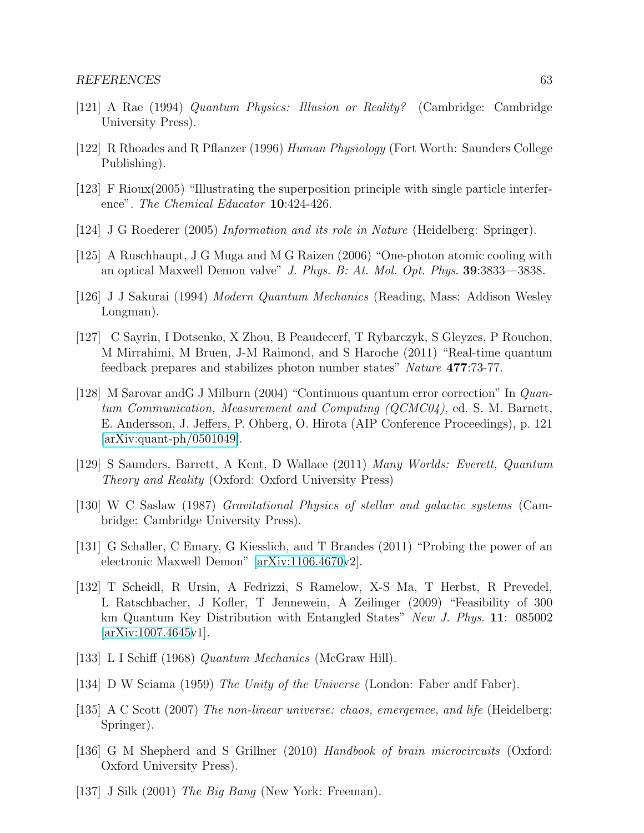- <span id="page-62-15"></span><span id="page-62-0"></span>[121] A Rae (1994) Quantum Physics: Illusion or Reality? (Cambridge: Cambridge University Press).
- <span id="page-62-5"></span>[122] R Rhoades and R Pflanzer (1996) Human Physiology (Fort Worth: Saunders College Publishing).
- <span id="page-62-11"></span>[123] F Rioux(2005) "Illustrating the superposition principle with single particle interference". The Chemical Educator 10:424-426.
- <span id="page-62-12"></span>[124] J G Roederer (2005) Information and its role in Nature (Heidelberg: Springer).
- <span id="page-62-6"></span>[125] A Ruschhaupt, J G Muga and M G Raizen (2006) "One-photon atomic cooling with an optical Maxwell Demon valve" J. Phys. B: At. Mol. Opt. Phys. 39:3833—3838.
- [126] J J Sakurai (1994) Modern Quantum Mechanics (Reading, Mass: Addison Wesley Longman).
- <span id="page-62-9"></span>[127] C Sayrin, I Dotsenko, X Zhou, B Peaudecerf, T Rybarczyk, S Gleyzes, P Rouchon, M Mirrahimi, M Bruen, J-M Raimond, and S Haroche (2011) "Real-time quantum feedback prepares and stabilizes photon number states" Nature 477:73-77.
- <span id="page-62-8"></span>[128] M Sarovar andG J Milburn (2004) "Continuous quantum error correction" In Quantum Communication, Measurement and Computing (QCMC04), ed. S. M. Barnett, E. Andersson, J. Jeffers, P. Ohberg, O. Hirota (AIP Conference Proceedings), p. 121 [\[arXiv:quant-ph/0501049\]](http://arxiv.org/abs/quant-ph/0501049).
- <span id="page-62-14"></span><span id="page-62-1"></span>[129] S Saunders, Barrett, A Kent, D Wallace (2011) Many Worlds: Everett, Quantum Theory and Reality (Oxford: Oxford University Press)
- <span id="page-62-13"></span>[130] W C Saslaw (1987) Gravitational Physics of stellar and galactic systems (Cambridge: Cambridge University Press).
- [131] G Schaller, C Emary, G Kiesslich, and T Brandes (2011) "Probing the power of an electronic Maxwell Demon" [\[arXiv:1106.4670v](http://arxiv.org/abs/1106.4670)2].
- <span id="page-62-16"></span>[132] T Scheidl, R Ursin, A Fedrizzi, S Ramelow, X-S Ma, T Herbst, R Prevedel, L Ratschbacher, J Kofler, T Jennewein, A Zeilinger (2009) "Feasibility of 300 km Quantum Key Distribution with Entangled States" New J. Phys. 11: 085002 [\[arXiv:1007.4645v](http://arxiv.org/abs/1007.4645)1].
- <span id="page-62-4"></span><span id="page-62-3"></span>[133] L I Schiff (1968) Quantum Mechanics (McGraw Hill).
- <span id="page-62-7"></span>[134] D W Sciama (1959) The Unity of the Universe (London: Faber andf Faber).
- [135] A C Scott (2007) The non-linear universe: chaos, emergemce, and life (Heidelberg: Springer).
- <span id="page-62-10"></span>[136] G M Shepherd and S Grillner (2010) Handbook of brain microcircuits (Oxford: Oxford University Press).
- <span id="page-62-2"></span>[137] J Silk (2001) The Big Bang (New York: Freeman).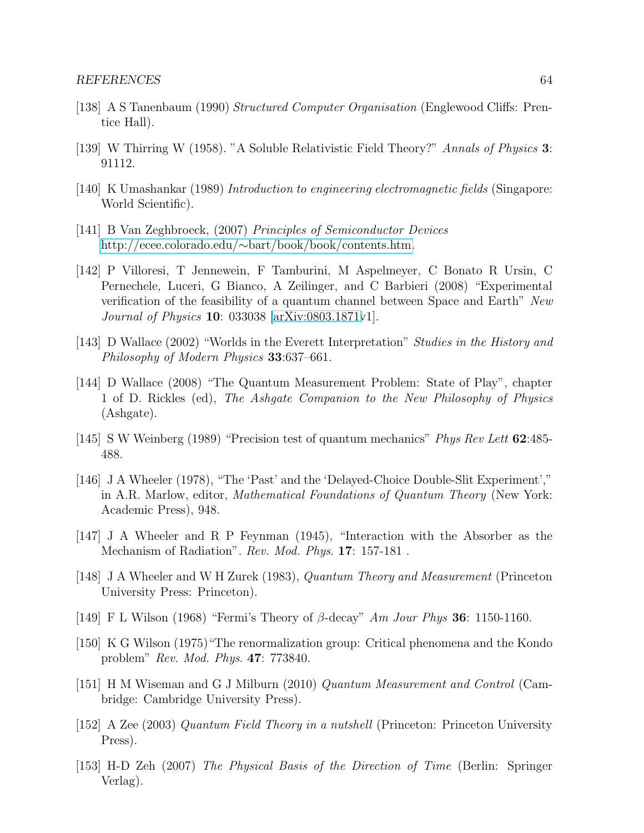- <span id="page-63-10"></span><span id="page-63-5"></span>[138] A S Tanenbaum (1990) Structured Computer Organisation (Englewood Cliffs: Prentice Hall).
- <span id="page-63-6"></span>[139] W Thirring W (1958). "A Soluble Relativistic Field Theory?" Annals of Physics 3: 91112.
- <span id="page-63-12"></span>[140] K Umashankar (1989) Introduction to engineering electromagnetic fields (Singapore: World Scientific).
- <span id="page-63-13"></span>[141] B Van Zeghbroeck, (2007) Principles of Semiconductor Devices http://ecee.colorado.edu/∼[bart/book/book/contents.htm.](http://ecee.colorado.edu/~bart/book/book/contents.htm)
- [142] P Villoresi, T Jennewein, F Tamburini, M Aspelmeyer, C Bonato R Ursin, C Pernechele, Luceri, G Bianco, A Zeilinger, and C Barbieri (2008) "Experimental verification of the feasibility of a quantum channel between Space and Earth" New Journal of Physics 10: 033038 [\[arXiv:0803.1871v](http://arxiv.org/abs/0803.1871)1].
- <span id="page-63-3"></span><span id="page-63-2"></span>[143] D Wallace (2002) "Worlds in the Everett Interpretation" Studies in the History and Philosophy of Modern Physics 33:637–661.
- [144] D Wallace (2008) "The Quantum Measurement Problem: State of Play", chapter 1 of D. Rickles (ed), The Ashgate Companion to the New Philosophy of Physics (Ashgate).
- <span id="page-63-14"></span><span id="page-63-11"></span>[145] S W Weinberg (1989) "Precision test of quantum mechanics" Phys Rev Lett 62:485- 488.
- [146] J A Wheeler (1978), "The 'Past' and the 'Delayed-Choice Double-Slit Experiment'," in A.R. Marlow, editor, Mathematical Foundations of Quantum Theory (New York: Academic Press), 948.
- <span id="page-63-4"></span>[147] J A Wheeler and R P Feynman (1945), "Interaction with the Absorber as the Mechanism of Radiation". Rev. Mod. Phys. 17: 157-181.
- <span id="page-63-1"></span>[148] J A Wheeler and W H Zurek (1983), Quantum Theory and Measurement (Princeton University Press: Princeton).
- <span id="page-63-9"></span><span id="page-63-8"></span>[149] F L Wilson (1968) "Fermi's Theory of  $\beta$ -decay" Am Jour Phys 36: 1150-1160.
- [150] K G Wilson (1975)"The renormalization group: Critical phenomena and the Kondo problem" Rev. Mod. Phys. 47: 773840.
- <span id="page-63-0"></span>[151] H M Wiseman and G J Milburn (2010) Quantum Measurement and Control (Cambridge: Cambridge University Press).
- <span id="page-63-7"></span>[152] A Zee (2003) Quantum Field Theory in a nutshell (Princeton: Princeton University Press).
- [153] H-D Zeh (2007) The Physical Basis of the Direction of Time (Berlin: Springer Verlag).